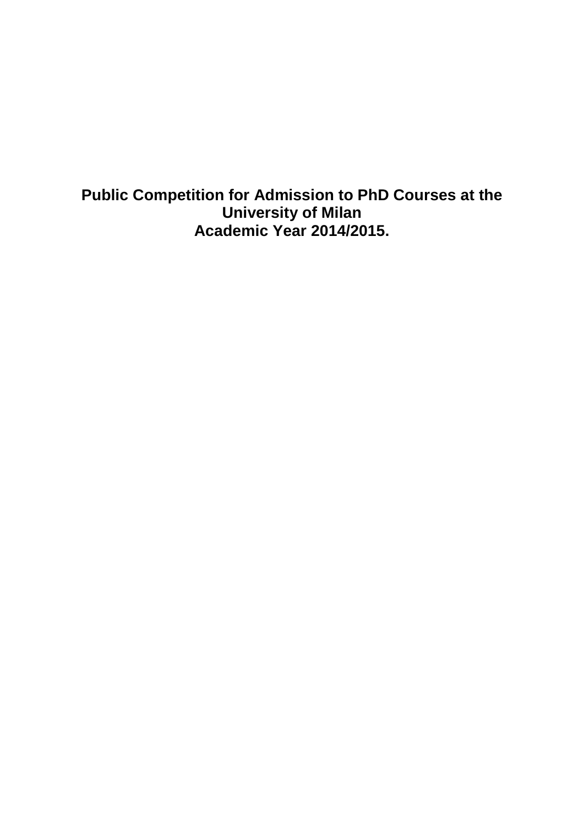**Public Competition for Admission to PhD Courses at the University of Milan Academic Year 2014/2015.**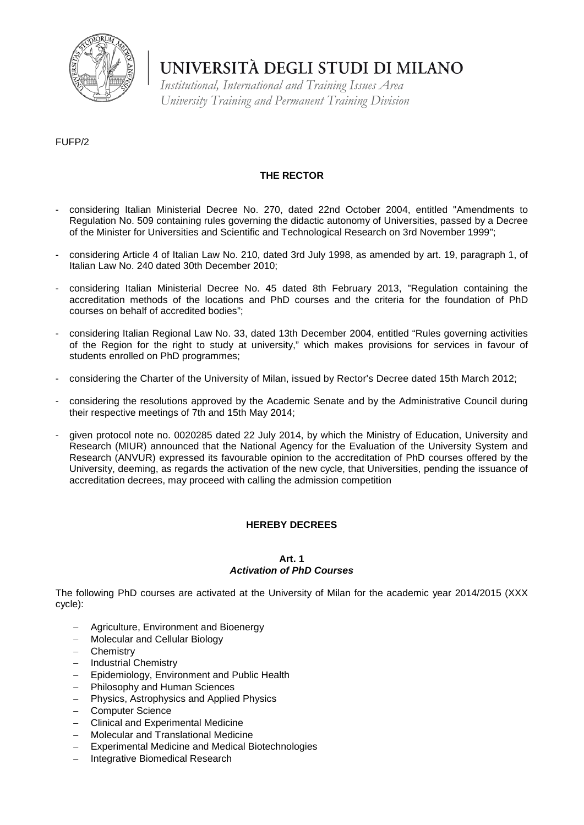

*Institutional, International and Training Issues Area University Training and Permanent Training Division*

#### FUFP/2

### **THE RECTOR**

- considering Italian Ministerial Decree No. 270, dated 22nd October 2004, entitled "Amendments to Regulation No. 509 containing rules governing the didactic autonomy of Universities, passed by a Decree of the Minister for Universities and Scientific and Technological Research on 3rd November 1999";
- considering Article 4 of Italian Law No. 210, dated 3rd July 1998, as amended by art. 19, paragraph 1, of Italian Law No. 240 dated 30th December 2010;
- considering Italian Ministerial Decree No. 45 dated 8th February 2013, "Regulation containing the accreditation methods of the locations and PhD courses and the criteria for the foundation of PhD courses on behalf of accredited bodies";
- considering Italian Regional Law No. 33, dated 13th December 2004, entitled "Rules governing activities of the Region for the right to study at university," which makes provisions for services in favour of students enrolled on PhD programmes;
- considering the Charter of the University of Milan, issued by Rector's Decree dated 15th March 2012;
- considering the resolutions approved by the Academic Senate and by the Administrative Council during their respective meetings of 7th and 15th May 2014;
- given protocol note no. 0020285 dated 22 July 2014, by which the Ministry of Education, University and Research (MIUR) announced that the National Agency for the Evaluation of the University System and Research (ANVUR) expressed its favourable opinion to the accreditation of PhD courses offered by the University, deeming, as regards the activation of the new cycle, that Universities, pending the issuance of accreditation decrees, may proceed with calling the admission competition

#### **HEREBY DECREES**

#### **Art. 1** *Activation of PhD Courses*

The following PhD courses are activated at the University of Milan for the academic year 2014/2015 (XXX cycle):

- − Agriculture, Environment and Bioenergy
- − Molecular and Cellular Biology
- − Chemistry
- − Industrial Chemistry
- − Epidemiology, Environment and Public Health
- Philosophy and Human Sciences
- − Physics, Astrophysics and Applied Physics
- − Computer Science
- − Clinical and Experimental Medicine
- − Molecular and Translational Medicine
- − Experimental Medicine and Medical Biotechnologies
- − Integrative Biomedical Research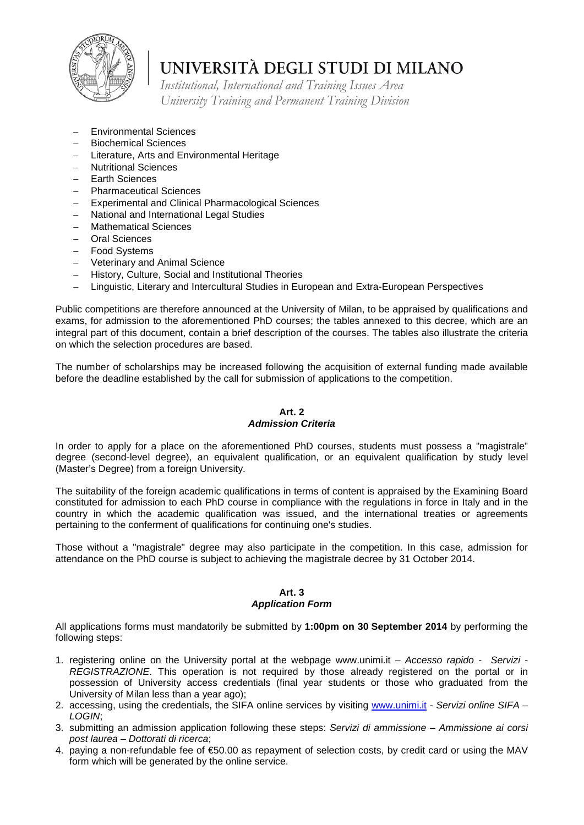

*Institutional, International and Training Issues Area University Training and Permanent Training Division*

- − Environmental Sciences
- − Biochemical Sciences
- − Literature, Arts and Environmental Heritage
- − Nutritional Sciences
- − Earth Sciences
- − Pharmaceutical Sciences
- Experimental and Clinical Pharmacological Sciences
- − National and International Legal Studies
- − Mathematical Sciences
- − Oral Sciences
- − Food Systems
- − Veterinary and Animal Science
- − History, Culture, Social and Institutional Theories
- − Linguistic, Literary and Intercultural Studies in European and Extra-European Perspectives

Public competitions are therefore announced at the University of Milan, to be appraised by qualifications and exams, for admission to the aforementioned PhD courses; the tables annexed to this decree, which are an integral part of this document, contain a brief description of the courses. The tables also illustrate the criteria on which the selection procedures are based.

The number of scholarships may be increased following the acquisition of external funding made available before the deadline established by the call for submission of applications to the competition.

#### **Art. 2** *Admission Criteria*

In order to apply for a place on the aforementioned PhD courses, students must possess a "magistrale" degree (second-level degree), an equivalent qualification, or an equivalent qualification by study level (Master's Degree) from a foreign University.

The suitability of the foreign academic qualifications in terms of content is appraised by the Examining Board constituted for admission to each PhD course in compliance with the regulations in force in Italy and in the country in which the academic qualification was issued, and the international treaties or agreements pertaining to the conferment of qualifications for continuing one's studies.

Those without a "magistrale" degree may also participate in the competition. In this case, admission for attendance on the PhD course is subject to achieving the magistrale decree by 31 October 2014.

#### **Art. 3** *Application Form*

All applications forms must mandatorily be submitted by **1:00pm on 30 September 2014** by performing the following steps:

- 1. registering online on the University portal at the webpage www.unimi.it *Accesso rapido Servizi - REGISTRAZIONE*. This operation is not required by those already registered on the portal or in possession of University access credentials (final year students or those who graduated from the University of Milan less than a year ago);
- 2. accessing, using the credentials, the SIFA online services by visiting [www.unimi.it](http://www.unimi.it/) *Servizi online SIFA – LOGIN*;
- 3. submitting an admission application following these steps: *Servizi di ammissione – Ammissione ai corsi post laurea – Dottorati di ricerca*;
- 4. paying a non-refundable fee of €50.00 as repayment of selection costs, by credit card or using the MAV form which will be generated by the online service.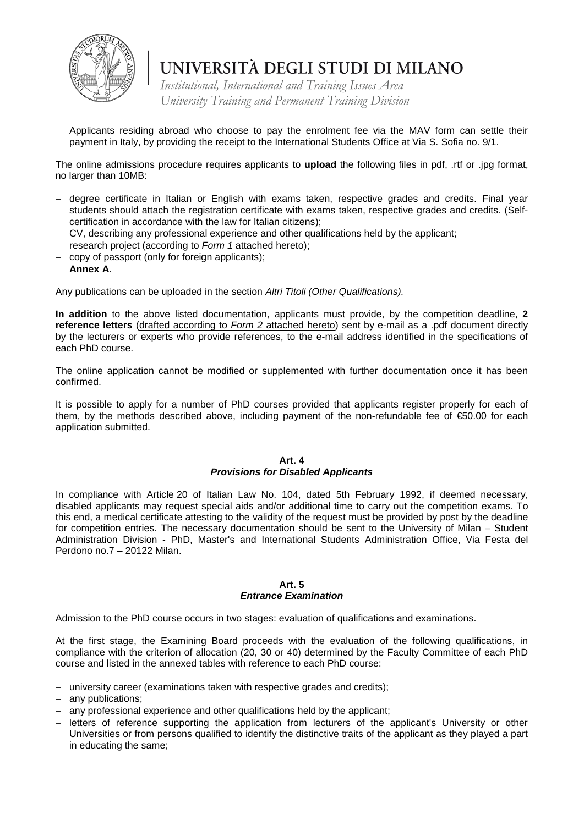

*Institutional, International and Training Issues Area University Training and Permanent Training Division*

Applicants residing abroad who choose to pay the enrolment fee via the MAV form can settle their payment in Italy, by providing the receipt to the International Students Office at Via S. Sofia no. 9/1.

The online admissions procedure requires applicants to **upload** the following files in pdf, .rtf or .jpg format, no larger than 10MB:

- − degree certificate in Italian or English with exams taken, respective grades and credits. Final year students should attach the registration certificate with exams taken, respective grades and credits. (Selfcertification in accordance with the law for Italian citizens);
- − CV, describing any professional experience and other qualifications held by the applicant;
- − research project (according to *Form 1* attached hereto);
- − copy of passport (only for foreign applicants);
- − **Annex A**.

Any publications can be uploaded in the section *Altri Titoli (Other Qualifications).*

**In addition** to the above listed documentation, applicants must provide, by the competition deadline, **2 reference letters** (drafted according to *Form 2* attached hereto) sent by e-mail as a .pdf document directly by the lecturers or experts who provide references, to the e-mail address identified in the specifications of each PhD course.

The online application cannot be modified or supplemented with further documentation once it has been confirmed.

It is possible to apply for a number of PhD courses provided that applicants register properly for each of them, by the methods described above, including payment of the non-refundable fee of €50.00 for each application submitted.

### **Art. 4**

### *Provisions for Disabled Applicants*

In compliance with Article 20 of Italian Law No. 104, dated 5th February 1992, if deemed necessary, disabled applicants may request special aids and/or additional time to carry out the competition exams. To this end, a medical certificate attesting to the validity of the request must be provided by post by the deadline for competition entries. The necessary documentation should be sent to the University of Milan – Student Administration Division - PhD, Master's and International Students Administration Office, Via Festa del Perdono no.7 – 20122 Milan.

#### **Art. 5** *Entrance Examination*

Admission to the PhD course occurs in two stages: evaluation of qualifications and examinations.

At the first stage, the Examining Board proceeds with the evaluation of the following qualifications, in compliance with the criterion of allocation (20, 30 or 40) determined by the Faculty Committee of each PhD course and listed in the annexed tables with reference to each PhD course:

- − university career (examinations taken with respective grades and credits);
- − any publications;
- − any professional experience and other qualifications held by the applicant;
- − letters of reference supporting the application from lecturers of the applicant's University or other Universities or from persons qualified to identify the distinctive traits of the applicant as they played a part in educating the same;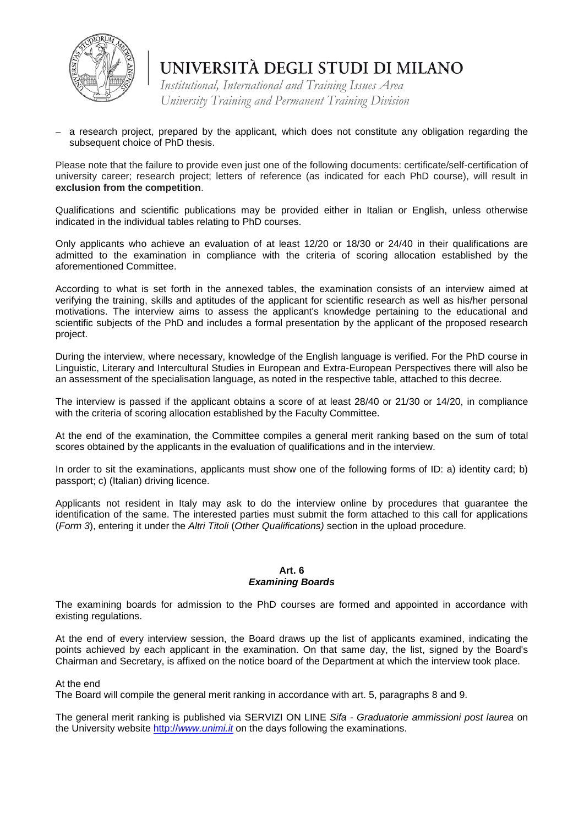

*Institutional, International and Training Issues Area University Training and Permanent Training Division*

a research project, prepared by the applicant, which does not constitute any obligation regarding the subsequent choice of PhD thesis.

Please note that the failure to provide even just one of the following documents: certificate/self-certification of university career; research project; letters of reference (as indicated for each PhD course), will result in **exclusion from the competition**.

Qualifications and scientific publications may be provided either in Italian or English, unless otherwise indicated in the individual tables relating to PhD courses.

Only applicants who achieve an evaluation of at least 12/20 or 18/30 or 24/40 in their qualifications are admitted to the examination in compliance with the criteria of scoring allocation established by the aforementioned Committee.

According to what is set forth in the annexed tables, the examination consists of an interview aimed at verifying the training, skills and aptitudes of the applicant for scientific research as well as his/her personal motivations. The interview aims to assess the applicant's knowledge pertaining to the educational and scientific subjects of the PhD and includes a formal presentation by the applicant of the proposed research project.

During the interview, where necessary, knowledge of the English language is verified. For the PhD course in Linguistic, Literary and Intercultural Studies in European and Extra-European Perspectives there will also be an assessment of the specialisation language, as noted in the respective table, attached to this decree.

The interview is passed if the applicant obtains a score of at least 28/40 or 21/30 or 14/20, in compliance with the criteria of scoring allocation established by the Faculty Committee.

At the end of the examination, the Committee compiles a general merit ranking based on the sum of total scores obtained by the applicants in the evaluation of qualifications and in the interview.

In order to sit the examinations, applicants must show one of the following forms of ID: a) identity card; b) passport; c) (Italian) driving licence.

Applicants not resident in Italy may ask to do the interview online by procedures that guarantee the identification of the same. The interested parties must submit the form attached to this call for applications (*Form 3*), entering it under the *Altri Titoli* (*Other Qualifications)* section in the upload procedure.

#### **Art. 6** *Examining Boards*

The examining boards for admission to the PhD courses are formed and appointed in accordance with existing regulations.

At the end of every interview session, the Board draws up the list of applicants examined, indicating the points achieved by each applicant in the examination. On that same day, the list, signed by the Board's Chairman and Secretary, is affixed on the notice board of the Department at which the interview took place.

At the end

The Board will compile the general merit ranking in accordance with art. 5, paragraphs 8 and 9.

The general merit ranking is published via SERVIZI ON LINE *Sifa - Graduatorie ammissioni post laurea* on the University website http://*[www.unimi.it](http://www.unimi.it/)* on the days following the examinations.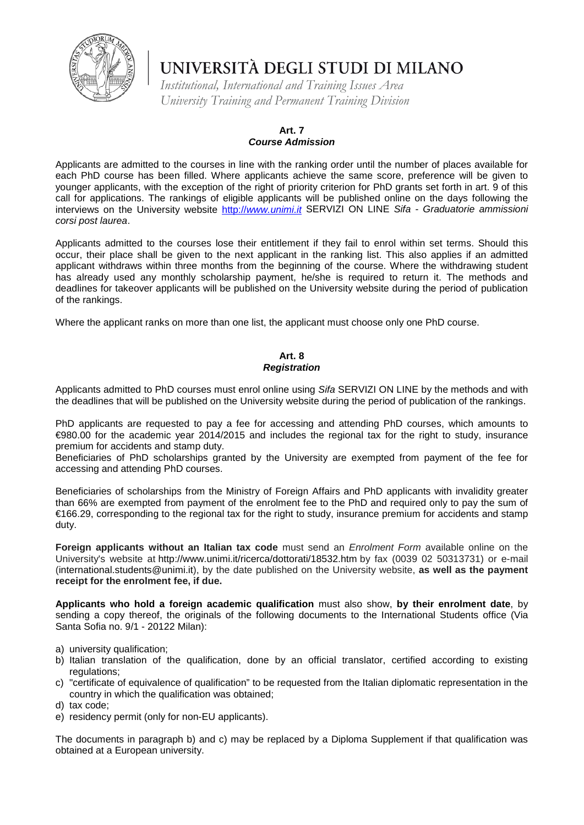

*Institutional, International and Training Issues Area University Training and Permanent Training Division*

### **Art. 7**

#### *Course Admission*

Applicants are admitted to the courses in line with the ranking order until the number of places available for each PhD course has been filled. Where applicants achieve the same score, preference will be given to younger applicants, with the exception of the right of priority criterion for PhD grants set forth in art. 9 of this call for applications. The rankings of eligible applicants will be published online on the days following the interviews on the University website http://*[www.unimi.it](http://www.unimi.it/)* SERVIZI ON LINE *Sifa - Graduatorie ammissioni corsi post laurea*.

Applicants admitted to the courses lose their entitlement if they fail to enrol within set terms. Should this occur, their place shall be given to the next applicant in the ranking list. This also applies if an admitted applicant withdraws within three months from the beginning of the course. Where the withdrawing student has already used any monthly scholarship payment, he/she is required to return it. The methods and deadlines for takeover applicants will be published on the University website during the period of publication of the rankings.

Where the applicant ranks on more than one list, the applicant must choose only one PhD course.

#### **Art. 8** *Registration*

Applicants admitted to PhD courses must enrol online using *Sifa* SERVIZI ON LINE by the methods and with the deadlines that will be published on the University website during the period of publication of the rankings.

PhD applicants are requested to pay a fee for accessing and attending PhD courses, which amounts to €980.00 for the academic year 2014/2015 and includes the regional tax for the right to study, insurance premium for accidents and stamp duty.

Beneficiaries of PhD scholarships granted by the University are exempted from payment of the fee for accessing and attending PhD courses.

Beneficiaries of scholarships from the Ministry of Foreign Affairs and PhD applicants with invalidity greater than 66% are exempted from payment of the enrolment fee to the PhD and required only to pay the sum of €166.29, corresponding to the regional tax for the right to study, insurance premium for accidents and stamp duty.

**Foreign applicants without an Italian tax code** must send an *Enrolment Form* available online on the University's website at http://www.unimi.it/ricerca/dottorati/18532.htm by fax (0039 02 50313731) or e-mail (international.students@unimi.it), by the date published on the University website, **as well as the payment receipt for the enrolment fee, if due.**

**Applicants who hold a foreign academic qualification** must also show, **by their enrolment date**, by sending a copy thereof, the originals of the following documents to the International Students office (Via Santa Sofia no. 9/1 - 20122 Milan):

- a) university qualification;
- b) Italian translation of the qualification, done by an official translator, certified according to existing regulations:
- c) "certificate of equivalence of qualification" to be requested from the Italian diplomatic representation in the country in which the qualification was obtained;
- d) tax code;
- e) residency permit (only for non-EU applicants).

The documents in paragraph b) and c) may be replaced by a Diploma Supplement if that qualification was obtained at a European university.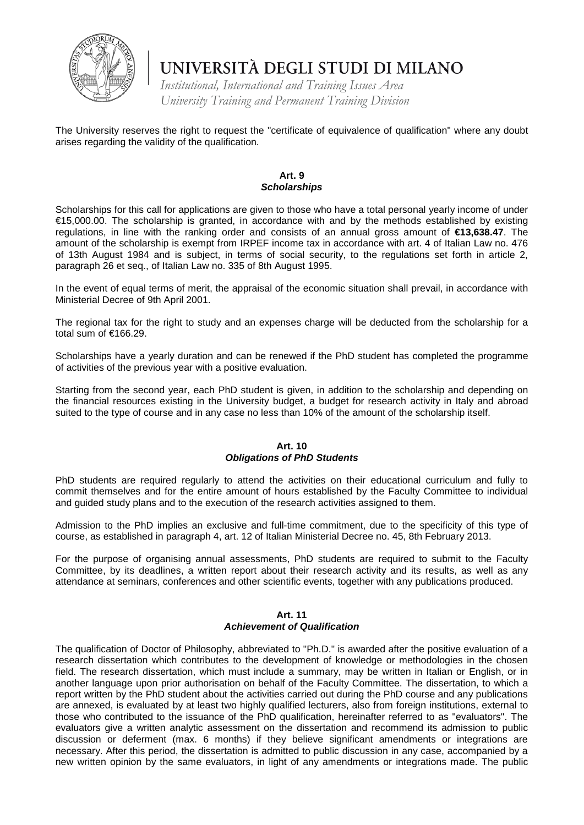

*Institutional, International and Training Issues Area University Training and Permanent Training Division*

The University reserves the right to request the "certificate of equivalence of qualification" where any doubt arises regarding the validity of the qualification.

#### **Art. 9**  *Scholarships*

Scholarships for this call for applications are given to those who have a total personal yearly income of under €15,000.00. The scholarship is granted, in accordance with and by the methods established by existing regulations, in line with the ranking order and consists of an annual gross amount of **€13,638.47**. The amount of the scholarship is exempt from IRPEF income tax in accordance with art. 4 of Italian Law no. 476 of 13th August 1984 and is subject, in terms of social security, to the regulations set forth in article 2, paragraph 26 et seq., of Italian Law no. 335 of 8th August 1995.

In the event of equal terms of merit, the appraisal of the economic situation shall prevail, in accordance with Ministerial Decree of 9th April 2001.

The regional tax for the right to study and an expenses charge will be deducted from the scholarship for a total sum of €166.29.

Scholarships have a yearly duration and can be renewed if the PhD student has completed the programme of activities of the previous year with a positive evaluation.

Starting from the second year, each PhD student is given, in addition to the scholarship and depending on the financial resources existing in the University budget, a budget for research activity in Italy and abroad suited to the type of course and in any case no less than 10% of the amount of the scholarship itself.

#### **Art. 10** *Obligations of PhD Students*

PhD students are required regularly to attend the activities on their educational curriculum and fully to commit themselves and for the entire amount of hours established by the Faculty Committee to individual and guided study plans and to the execution of the research activities assigned to them.

Admission to the PhD implies an exclusive and full-time commitment, due to the specificity of this type of course, as established in paragraph 4, art. 12 of Italian Ministerial Decree no. 45, 8th February 2013.

For the purpose of organising annual assessments, PhD students are required to submit to the Faculty Committee, by its deadlines, a written report about their research activity and its results, as well as any attendance at seminars, conferences and other scientific events, together with any publications produced.

### **Art. 11**

#### *Achievement of Qualification*

The qualification of Doctor of Philosophy, abbreviated to "Ph.D." is awarded after the positive evaluation of a research dissertation which contributes to the development of knowledge or methodologies in the chosen field. The research dissertation, which must include a summary, may be written in Italian or English, or in another language upon prior authorisation on behalf of the Faculty Committee. The dissertation, to which a report written by the PhD student about the activities carried out during the PhD course and any publications are annexed, is evaluated by at least two highly qualified lecturers, also from foreign institutions, external to those who contributed to the issuance of the PhD qualification, hereinafter referred to as "evaluators". The evaluators give a written analytic assessment on the dissertation and recommend its admission to public discussion or deferment (max. 6 months) if they believe significant amendments or integrations are necessary. After this period, the dissertation is admitted to public discussion in any case, accompanied by a new written opinion by the same evaluators, in light of any amendments or integrations made. The public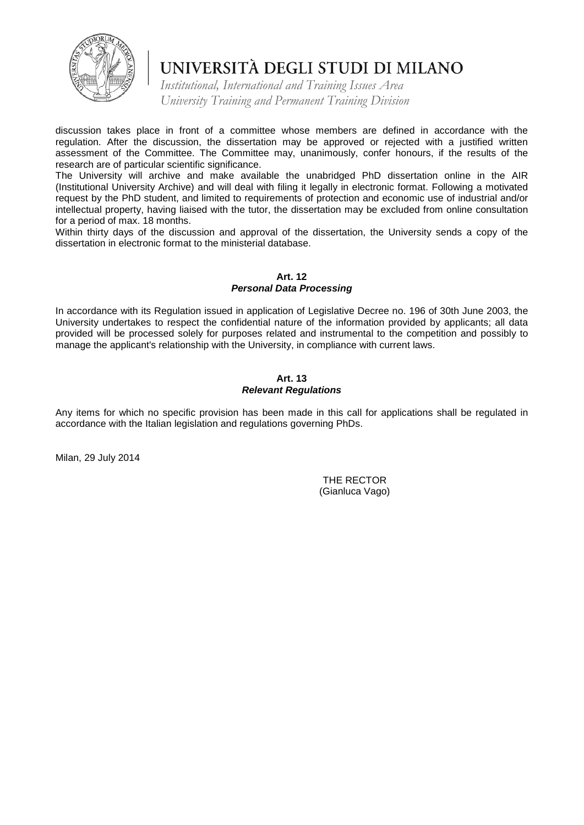

*Institutional, International and Training Issues Area University Training and Permanent Training Division*

discussion takes place in front of a committee whose members are defined in accordance with the regulation. After the discussion, the dissertation may be approved or rejected with a justified written assessment of the Committee. The Committee may, unanimously, confer honours, if the results of the research are of particular scientific significance.

The University will archive and make available the unabridged PhD dissertation online in the AIR (Institutional University Archive) and will deal with filing it legally in electronic format. Following a motivated request by the PhD student, and limited to requirements of protection and economic use of industrial and/or intellectual property, having liaised with the tutor, the dissertation may be excluded from online consultation for a period of max. 18 months.

Within thirty days of the discussion and approval of the dissertation, the University sends a copy of the dissertation in electronic format to the ministerial database.

#### **Art. 12** *Personal Data Processing*

In accordance with its Regulation issued in application of Legislative Decree no. 196 of 30th June 2003, the University undertakes to respect the confidential nature of the information provided by applicants; all data provided will be processed solely for purposes related and instrumental to the competition and possibly to manage the applicant's relationship with the University, in compliance with current laws.

#### **Art. 13** *Relevant Regulations*

Any items for which no specific provision has been made in this call for applications shall be regulated in accordance with the Italian legislation and regulations governing PhDs.

Milan, 29 July 2014

THE RECTOR (Gianluca Vago)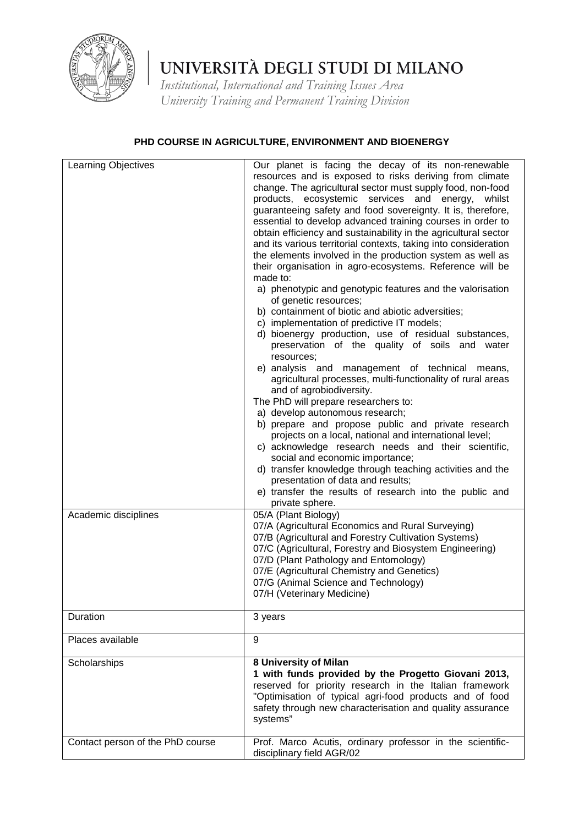

*Institutional, International and Training Issues Area University Training and Permanent Training Division*

### **PHD COURSE IN AGRICULTURE, ENVIRONMENT AND BIOENERGY**

| Learning Objectives              | Our planet is facing the decay of its non-renewable<br>resources and is exposed to risks deriving from climate<br>change. The agricultural sector must supply food, non-food<br>products, ecosystemic services and energy,<br>whilst<br>guaranteeing safety and food sovereignty. It is, therefore,<br>essential to develop advanced training courses in order to<br>obtain efficiency and sustainability in the agricultural sector<br>and its various territorial contexts, taking into consideration<br>the elements involved in the production system as well as<br>their organisation in agro-ecosystems. Reference will be<br>made to:<br>a) phenotypic and genotypic features and the valorisation<br>of genetic resources;<br>b) containment of biotic and abiotic adversities;<br>c) implementation of predictive IT models;<br>d) bioenergy production, use of residual substances,<br>preservation of the quality of soils and water<br>resources;<br>e) analysis and management of technical means,<br>agricultural processes, multi-functionality of rural areas<br>and of agrobiodiversity.<br>The PhD will prepare researchers to:<br>a) develop autonomous research;<br>b) prepare and propose public and private research<br>projects on a local, national and international level;<br>c) acknowledge research needs and their scientific,<br>social and economic importance;<br>d) transfer knowledge through teaching activities and the |
|----------------------------------|-------------------------------------------------------------------------------------------------------------------------------------------------------------------------------------------------------------------------------------------------------------------------------------------------------------------------------------------------------------------------------------------------------------------------------------------------------------------------------------------------------------------------------------------------------------------------------------------------------------------------------------------------------------------------------------------------------------------------------------------------------------------------------------------------------------------------------------------------------------------------------------------------------------------------------------------------------------------------------------------------------------------------------------------------------------------------------------------------------------------------------------------------------------------------------------------------------------------------------------------------------------------------------------------------------------------------------------------------------------------------------------------------------------------------------------------------------------|
| Academic disciplines             | presentation of data and results;<br>e) transfer the results of research into the public and<br>private sphere.<br>05/A (Plant Biology)<br>07/A (Agricultural Economics and Rural Surveying)<br>07/B (Agricultural and Forestry Cultivation Systems)<br>07/C (Agricultural, Forestry and Biosystem Engineering)<br>07/D (Plant Pathology and Entomology)<br>07/E (Agricultural Chemistry and Genetics)<br>07/G (Animal Science and Technology)<br>07/H (Veterinary Medicine)                                                                                                                                                                                                                                                                                                                                                                                                                                                                                                                                                                                                                                                                                                                                                                                                                                                                                                                                                                                |
| Duration                         | 3 years                                                                                                                                                                                                                                                                                                                                                                                                                                                                                                                                                                                                                                                                                                                                                                                                                                                                                                                                                                                                                                                                                                                                                                                                                                                                                                                                                                                                                                                     |
| Places available                 | 9                                                                                                                                                                                                                                                                                                                                                                                                                                                                                                                                                                                                                                                                                                                                                                                                                                                                                                                                                                                                                                                                                                                                                                                                                                                                                                                                                                                                                                                           |
| Scholarships                     | 8 University of Milan<br>1 with funds provided by the Progetto Giovani 2013,<br>reserved for priority research in the Italian framework<br>"Optimisation of typical agri-food products and of food<br>safety through new characterisation and quality assurance<br>systems"                                                                                                                                                                                                                                                                                                                                                                                                                                                                                                                                                                                                                                                                                                                                                                                                                                                                                                                                                                                                                                                                                                                                                                                 |
| Contact person of the PhD course | Prof. Marco Acutis, ordinary professor in the scientific-<br>disciplinary field AGR/02                                                                                                                                                                                                                                                                                                                                                                                                                                                                                                                                                                                                                                                                                                                                                                                                                                                                                                                                                                                                                                                                                                                                                                                                                                                                                                                                                                      |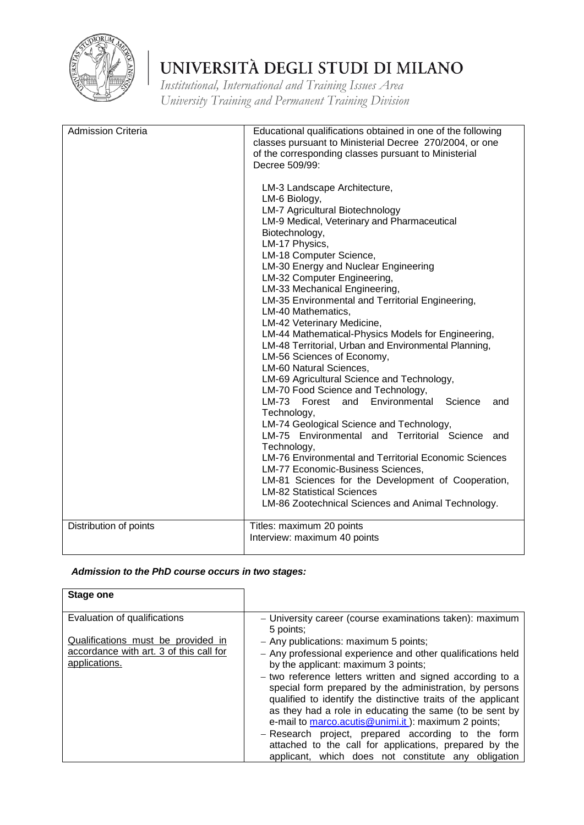

*Institutional, International and Training Issues Area University Training and Permanent Training Division*

| <b>Admission Criteria</b> | Educational qualifications obtained in one of the following<br>classes pursuant to Ministerial Decree 270/2004, or one<br>of the corresponding classes pursuant to Ministerial<br>Decree 509/99:<br>LM-3 Landscape Architecture,<br>LM-6 Biology,<br><b>LM-7 Agricultural Biotechnology</b><br>LM-9 Medical, Veterinary and Pharmaceutical<br>Biotechnology,<br>LM-17 Physics,<br>LM-18 Computer Science,<br>LM-30 Energy and Nuclear Engineering<br>LM-32 Computer Engineering,<br>LM-33 Mechanical Engineering,<br>LM-35 Environmental and Territorial Engineering,<br>LM-40 Mathematics,<br>LM-42 Veterinary Medicine,<br>LM-44 Mathematical-Physics Models for Engineering,<br>LM-48 Territorial, Urban and Environmental Planning,<br>LM-56 Sciences of Economy,<br>LM-60 Natural Sciences,<br>LM-69 Agricultural Science and Technology,<br>LM-70 Food Science and Technology,<br>LM-73 Forest and Environmental<br>Science<br>and<br>Technology,<br>LM-74 Geological Science and Technology,<br>LM-75 Environmental and Territorial Science and<br>Technology,<br>LM-76 Environmental and Territorial Economic Sciences<br>LM-77 Economic-Business Sciences,<br>LM-81 Sciences for the Development of Cooperation,<br><b>LM-82 Statistical Sciences</b><br>LM-86 Zootechnical Sciences and Animal Technology. |
|---------------------------|----------------------------------------------------------------------------------------------------------------------------------------------------------------------------------------------------------------------------------------------------------------------------------------------------------------------------------------------------------------------------------------------------------------------------------------------------------------------------------------------------------------------------------------------------------------------------------------------------------------------------------------------------------------------------------------------------------------------------------------------------------------------------------------------------------------------------------------------------------------------------------------------------------------------------------------------------------------------------------------------------------------------------------------------------------------------------------------------------------------------------------------------------------------------------------------------------------------------------------------------------------------------------------------------------------------------|
| Distribution of points    | Titles: maximum 20 points<br>Interview: maximum 40 points                                                                                                                                                                                                                                                                                                                                                                                                                                                                                                                                                                                                                                                                                                                                                                                                                                                                                                                                                                                                                                                                                                                                                                                                                                                            |

### *Admission to the PhD course occurs in two stages:*

| <b>Stage one</b>                                                   |                                                                                                                                                                                       |
|--------------------------------------------------------------------|---------------------------------------------------------------------------------------------------------------------------------------------------------------------------------------|
| Evaluation of qualifications<br>Qualifications must be provided in | - University career (course examinations taken): maximum<br>5 points;<br>- Any publications: maximum 5 points;                                                                        |
| accordance with art. 3 of this call for<br>applications.           | - Any professional experience and other qualifications held<br>by the applicant: maximum 3 points;                                                                                    |
|                                                                    | - two reference letters written and signed according to a<br>special form prepared by the administration, by persons<br>qualified to identify the distinctive traits of the applicant |
|                                                                    | as they had a role in educating the same (to be sent by<br>e-mail to marco.acutis@unimi.it): maximum 2 points;                                                                        |
|                                                                    | - Research project, prepared according to the<br>form<br>attached to the call for applications, prepared by the                                                                       |
|                                                                    | applicant, which does not constitute any obligation                                                                                                                                   |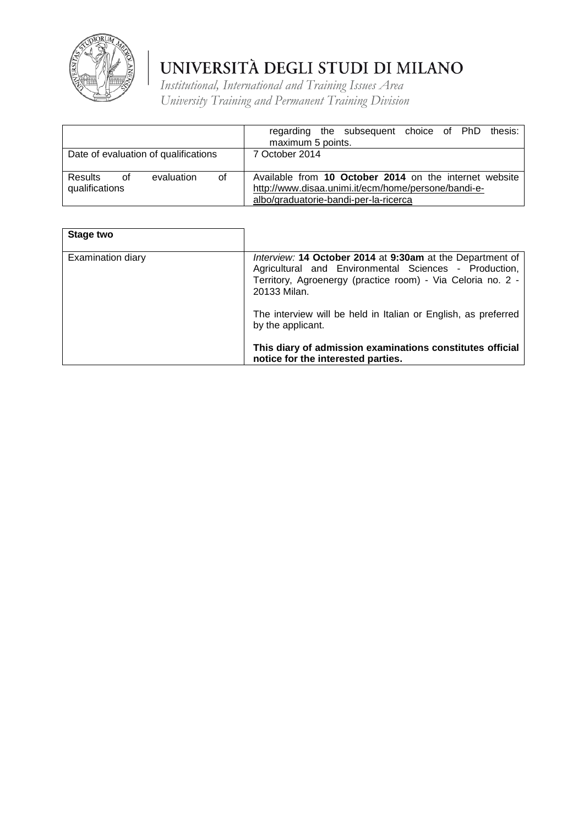

|                                                     | regarding the subsequent choice of PhD<br>thesis:<br>maximum 5 points.                                                                                 |
|-----------------------------------------------------|--------------------------------------------------------------------------------------------------------------------------------------------------------|
| Date of evaluation of qualifications                | 7 October 2014                                                                                                                                         |
| οf<br>Results<br>0f<br>evaluation<br>qualifications | Available from 10 October 2014 on the internet website<br>http://www.disaa.unimi.it/ecm/home/persone/bandi-e-<br>albo/graduatorie-bandi-per-la-ricerca |

| Stage two         |                                                                                                                                                                                                   |
|-------------------|---------------------------------------------------------------------------------------------------------------------------------------------------------------------------------------------------|
| Examination diary | Interview: 14 October 2014 at 9:30am at the Department of<br>Agricultural and Environmental Sciences - Production,<br>Territory, Agroenergy (practice room) - Via Celoria no. 2 -<br>20133 Milan. |
|                   | The interview will be held in Italian or English, as preferred<br>by the applicant.                                                                                                               |
|                   | This diary of admission examinations constitutes official<br>notice for the interested parties.                                                                                                   |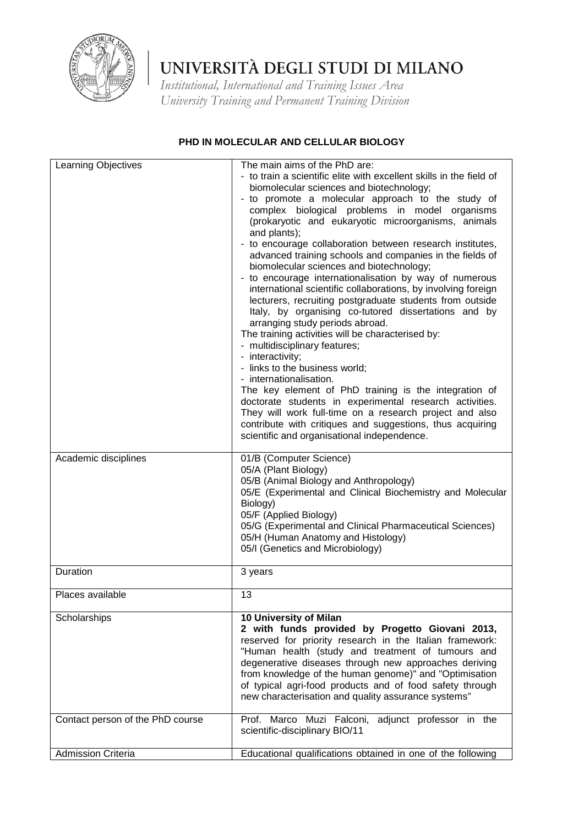

*Institutional, International and Training Issues Area University Training and Permanent Training Division*

### Learning Objectives The main aims of the PhD are: - to train a scientific elite with excellent skills in the field of biomolecular sciences and biotechnology; - to promote a molecular approach to the study of complex biological problems in model organisms (prokaryotic and eukaryotic microorganisms, animals and plants); - to encourage collaboration between research institutes, advanced training schools and companies in the fields of biomolecular sciences and biotechnology; - to encourage internationalisation by way of numerous international scientific collaborations, by involving foreign lecturers, recruiting postgraduate students from outside Italy, by organising co-tutored dissertations and by arranging study periods abroad. The training activities will be characterised by: - multidisciplinary features; - interactivity; - links to the business world; - internationalisation. The key element of PhD training is the integration of doctorate students in experimental research activities. They will work full-time on a research project and also contribute with critiques and suggestions, thus acquiring scientific and organisational independence. Academic disciplines 101/B (Computer Science) 05/A (Plant Biology) 05/B (Animal Biology and Anthropology) 05/E (Experimental and Clinical Biochemistry and Molecular Biology) 05/F (Applied Biology) 05/G (Experimental and Clinical Pharmaceutical Sciences) 05/H (Human Anatomy and Histology) 05/I (Genetics and Microbiology) Duration 3 years Places available 13 **10 University of Milan 2 with funds provided by Progetto Giovani 2013,** reserved for priority research in the Italian framework: "Human health (study and treatment of tumours and degenerative diseases through new approaches deriving from knowledge of the human genome)" and "Optimisation of typical agri-food products and of food safety through new characterisation and quality assurance systems" Contact person of the PhD course Frof. Marco Muzi Falconi, adjunct professor in the scientific-disciplinary BIO/11 Admission Criteria **Educational qualifications obtained in one of the following**

#### **PHD IN MOLECULAR AND CELLULAR BIOLOGY**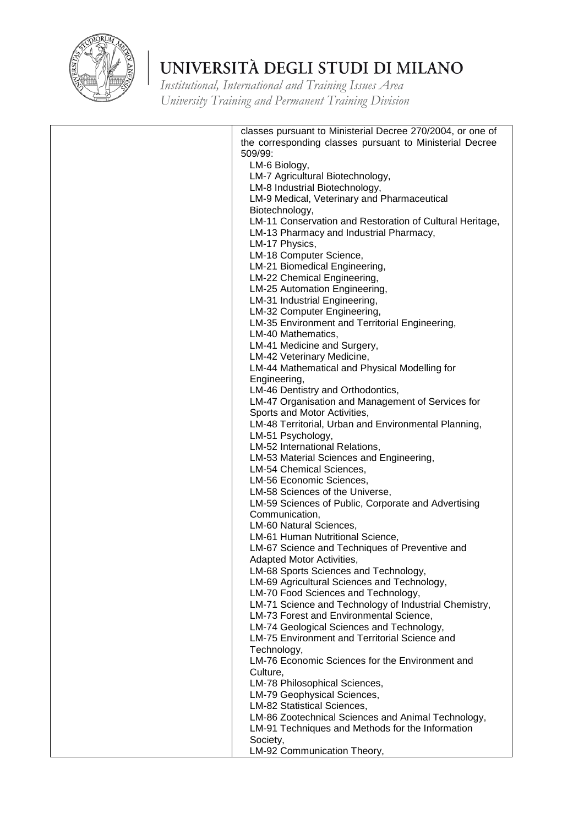

| classes pursuant to Ministerial Decree 270/2004, or one of<br>the corresponding classes pursuant to Ministerial Decree |
|------------------------------------------------------------------------------------------------------------------------|
| 509/99:                                                                                                                |
| LM-6 Biology,                                                                                                          |
| LM-7 Agricultural Biotechnology,                                                                                       |
| LM-8 Industrial Biotechnology,                                                                                         |
| LM-9 Medical, Veterinary and Pharmaceutical                                                                            |
| Biotechnology,                                                                                                         |
| LM-11 Conservation and Restoration of Cultural Heritage,                                                               |
| LM-13 Pharmacy and Industrial Pharmacy,                                                                                |
| LM-17 Physics,                                                                                                         |
| LM-18 Computer Science,<br>LM-21 Biomedical Engineering,                                                               |
| LM-22 Chemical Engineering,                                                                                            |
| LM-25 Automation Engineering,                                                                                          |
| LM-31 Industrial Engineering,                                                                                          |
| LM-32 Computer Engineering,                                                                                            |
| LM-35 Environment and Territorial Engineering,                                                                         |
| LM-40 Mathematics,                                                                                                     |
| LM-41 Medicine and Surgery,                                                                                            |
| LM-42 Veterinary Medicine,                                                                                             |
| LM-44 Mathematical and Physical Modelling for                                                                          |
| Engineering,                                                                                                           |
| LM-46 Dentistry and Orthodontics,                                                                                      |
| LM-47 Organisation and Management of Services for                                                                      |
| Sports and Motor Activities,                                                                                           |
| LM-48 Territorial, Urban and Environmental Planning,                                                                   |
| LM-51 Psychology,                                                                                                      |
| LM-52 International Relations,                                                                                         |
| LM-53 Material Sciences and Engineering,                                                                               |
| LM-54 Chemical Sciences,                                                                                               |
| LM-56 Economic Sciences,                                                                                               |
| LM-58 Sciences of the Universe,                                                                                        |
| LM-59 Sciences of Public, Corporate and Advertising                                                                    |
| Communication,<br>LM-60 Natural Sciences,                                                                              |
| LM-61 Human Nutritional Science,                                                                                       |
| LM-67 Science and Techniques of Preventive and                                                                         |
| Adapted Motor Activities,                                                                                              |
| LM-68 Sports Sciences and Technology,                                                                                  |
| LM-69 Agricultural Sciences and Technology,                                                                            |
| LM-70 Food Sciences and Technology,                                                                                    |
| LM-71 Science and Technology of Industrial Chemistry,                                                                  |
| LM-73 Forest and Environmental Science,                                                                                |
| LM-74 Geological Sciences and Technology,                                                                              |
| LM-75 Environment and Territorial Science and                                                                          |
| Technology,                                                                                                            |
| LM-76 Economic Sciences for the Environment and                                                                        |
| Culture,                                                                                                               |
| LM-78 Philosophical Sciences,                                                                                          |
| LM-79 Geophysical Sciences,                                                                                            |
| LM-82 Statistical Sciences,                                                                                            |
| LM-86 Zootechnical Sciences and Animal Technology,                                                                     |
| LM-91 Techniques and Methods for the Information<br>Society,                                                           |
| LM-92 Communication Theory,                                                                                            |
|                                                                                                                        |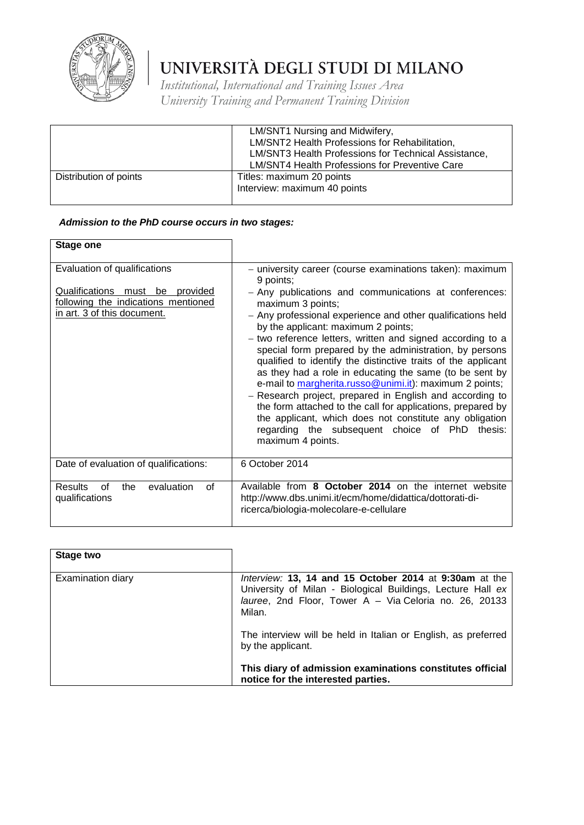

*Institutional, International and Training Issues Area University Training and Permanent Training Division*

|                        | LM/SNT1 Nursing and Midwifery,<br>LM/SNT2 Health Professions for Rehabilitation,<br>LM/SNT3 Health Professions for Technical Assistance,<br><b>LM/SNT4 Health Professions for Preventive Care</b> |
|------------------------|---------------------------------------------------------------------------------------------------------------------------------------------------------------------------------------------------|
| Distribution of points | Titles: maximum 20 points<br>Interview: maximum 40 points                                                                                                                                         |

### *Admission to the PhD course occurs in two stages:*

| <b>Stage one</b>                                                                                                                      |                                                                                                                                                                                                                                                                                                                                                                                                                                                                                                                                                                                                                                                                                                                                                                                                                                           |
|---------------------------------------------------------------------------------------------------------------------------------------|-------------------------------------------------------------------------------------------------------------------------------------------------------------------------------------------------------------------------------------------------------------------------------------------------------------------------------------------------------------------------------------------------------------------------------------------------------------------------------------------------------------------------------------------------------------------------------------------------------------------------------------------------------------------------------------------------------------------------------------------------------------------------------------------------------------------------------------------|
| Evaluation of qualifications<br>Qualifications must be provided<br>following the indications mentioned<br>in art. 3 of this document. | - university career (course examinations taken): maximum<br>9 points;<br>- Any publications and communications at conferences:<br>maximum 3 points;<br>- Any professional experience and other qualifications held<br>by the applicant: maximum 2 points;<br>- two reference letters, written and signed according to a<br>special form prepared by the administration, by persons<br>qualified to identify the distinctive traits of the applicant<br>as they had a role in educating the same (to be sent by<br>e-mail to margherita.russo@unimi.it): maximum 2 points;<br>- Research project, prepared in English and according to<br>the form attached to the call for applications, prepared by<br>the applicant, which does not constitute any obligation<br>regarding the subsequent choice of PhD<br>thesis:<br>maximum 4 points. |
| Date of evaluation of qualifications:                                                                                                 | 6 October 2014                                                                                                                                                                                                                                                                                                                                                                                                                                                                                                                                                                                                                                                                                                                                                                                                                            |
| evaluation<br><b>Results</b><br>Ωf<br>οf<br>the<br>qualifications                                                                     | Available from 8 October 2014 on the internet website<br>http://www.dbs.unimi.it/ecm/home/didattica/dottorati-di-<br>ricerca/biologia-molecolare-e-cellulare                                                                                                                                                                                                                                                                                                                                                                                                                                                                                                                                                                                                                                                                              |

| Stage two         |                                                                                                                                                                                           |
|-------------------|-------------------------------------------------------------------------------------------------------------------------------------------------------------------------------------------|
| Examination diary | Interview: 13, 14 and 15 October 2014 at 9:30am at the<br>University of Milan - Biological Buildings, Lecture Hall ex<br>lauree, 2nd Floor, Tower A - Via Celoria no. 26, 20133<br>Milan. |
|                   | The interview will be held in Italian or English, as preferred<br>by the applicant.                                                                                                       |
|                   | This diary of admission examinations constitutes official<br>notice for the interested parties.                                                                                           |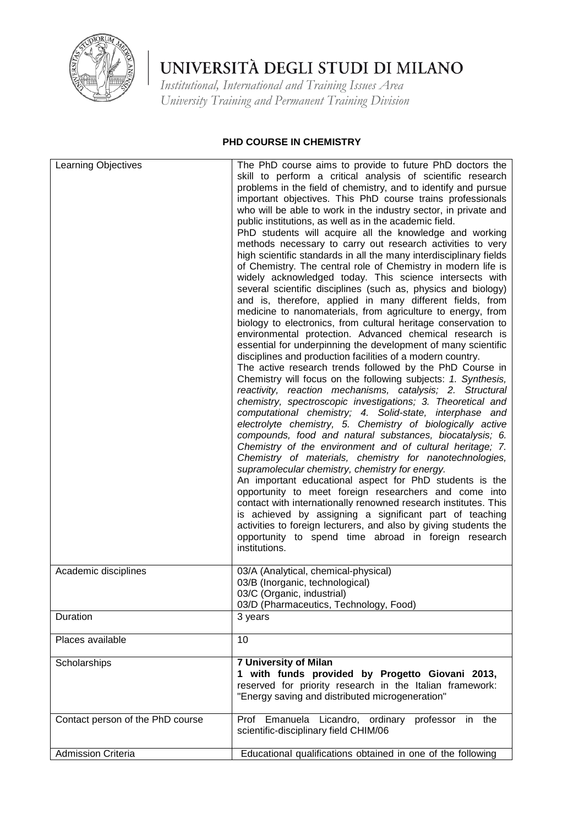

*Institutional, International and Training Issues Area University Training and Permanent Training Division*

### **PHD COURSE IN CHEMISTRY**

| Learning Objectives              | The PhD course aims to provide to future PhD doctors the                                                                                                                                                                                                                                                                                                                                                                                                                                                                                                                                                                                                                                                                                                                                                                                                                                                                                                                                                                                                                                                                                                                                                                                                                                                                                                                                                                                                                                                                                                                                                                                                                                                                                                                                                                                                                                                                                                                                                                                                                                                            |
|----------------------------------|---------------------------------------------------------------------------------------------------------------------------------------------------------------------------------------------------------------------------------------------------------------------------------------------------------------------------------------------------------------------------------------------------------------------------------------------------------------------------------------------------------------------------------------------------------------------------------------------------------------------------------------------------------------------------------------------------------------------------------------------------------------------------------------------------------------------------------------------------------------------------------------------------------------------------------------------------------------------------------------------------------------------------------------------------------------------------------------------------------------------------------------------------------------------------------------------------------------------------------------------------------------------------------------------------------------------------------------------------------------------------------------------------------------------------------------------------------------------------------------------------------------------------------------------------------------------------------------------------------------------------------------------------------------------------------------------------------------------------------------------------------------------------------------------------------------------------------------------------------------------------------------------------------------------------------------------------------------------------------------------------------------------------------------------------------------------------------------------------------------------|
|                                  | skill to perform a critical analysis of scientific research<br>problems in the field of chemistry, and to identify and pursue<br>important objectives. This PhD course trains professionals<br>who will be able to work in the industry sector, in private and<br>public institutions, as well as in the academic field.<br>PhD students will acquire all the knowledge and working<br>methods necessary to carry out research activities to very<br>high scientific standards in all the many interdisciplinary fields<br>of Chemistry. The central role of Chemistry in modern life is<br>widely acknowledged today. This science intersects with<br>several scientific disciplines (such as, physics and biology)<br>and is, therefore, applied in many different fields, from<br>medicine to nanomaterials, from agriculture to energy, from<br>biology to electronics, from cultural heritage conservation to<br>environmental protection. Advanced chemical research is<br>essential for underpinning the development of many scientific<br>disciplines and production facilities of a modern country.<br>The active research trends followed by the PhD Course in<br>Chemistry will focus on the following subjects: 1. Synthesis,<br>reactivity, reaction mechanisms, catalysis; 2. Structural<br>chemistry, spectroscopic investigations; 3. Theoretical and<br>computational chemistry; 4. Solid-state, interphase and<br>electrolyte chemistry, 5. Chemistry of biologically active<br>compounds, food and natural substances, biocatalysis; 6.<br>Chemistry of the environment and of cultural heritage; 7.<br>Chemistry of materials, chemistry for nanotechnologies,<br>supramolecular chemistry, chemistry for energy.<br>An important educational aspect for PhD students is the<br>opportunity to meet foreign researchers and come into<br>contact with internationally renowned research institutes. This<br>is achieved by assigning a significant part of teaching<br>activities to foreign lecturers, and also by giving students the<br>opportunity to spend time abroad in foreign research |
|                                  | institutions.                                                                                                                                                                                                                                                                                                                                                                                                                                                                                                                                                                                                                                                                                                                                                                                                                                                                                                                                                                                                                                                                                                                                                                                                                                                                                                                                                                                                                                                                                                                                                                                                                                                                                                                                                                                                                                                                                                                                                                                                                                                                                                       |
| Academic disciplines             | 03/A (Analytical, chemical-physical)<br>03/B (Inorganic, technological)<br>03/C (Organic, industrial)<br>03/D (Pharmaceutics, Technology, Food)                                                                                                                                                                                                                                                                                                                                                                                                                                                                                                                                                                                                                                                                                                                                                                                                                                                                                                                                                                                                                                                                                                                                                                                                                                                                                                                                                                                                                                                                                                                                                                                                                                                                                                                                                                                                                                                                                                                                                                     |
| Duration                         | 3 years                                                                                                                                                                                                                                                                                                                                                                                                                                                                                                                                                                                                                                                                                                                                                                                                                                                                                                                                                                                                                                                                                                                                                                                                                                                                                                                                                                                                                                                                                                                                                                                                                                                                                                                                                                                                                                                                                                                                                                                                                                                                                                             |
| Places available                 | 10                                                                                                                                                                                                                                                                                                                                                                                                                                                                                                                                                                                                                                                                                                                                                                                                                                                                                                                                                                                                                                                                                                                                                                                                                                                                                                                                                                                                                                                                                                                                                                                                                                                                                                                                                                                                                                                                                                                                                                                                                                                                                                                  |
| Scholarships                     | 7 University of Milan<br>1 with funds provided by Progetto Giovani 2013,<br>reserved for priority research in the Italian framework:<br>"Energy saving and distributed microgeneration"                                                                                                                                                                                                                                                                                                                                                                                                                                                                                                                                                                                                                                                                                                                                                                                                                                                                                                                                                                                                                                                                                                                                                                                                                                                                                                                                                                                                                                                                                                                                                                                                                                                                                                                                                                                                                                                                                                                             |
| Contact person of the PhD course | Prof Emanuela Licandro, ordinary professor in the<br>scientific-disciplinary field CHIM/06                                                                                                                                                                                                                                                                                                                                                                                                                                                                                                                                                                                                                                                                                                                                                                                                                                                                                                                                                                                                                                                                                                                                                                                                                                                                                                                                                                                                                                                                                                                                                                                                                                                                                                                                                                                                                                                                                                                                                                                                                          |
| <b>Admission Criteria</b>        | Educational qualifications obtained in one of the following                                                                                                                                                                                                                                                                                                                                                                                                                                                                                                                                                                                                                                                                                                                                                                                                                                                                                                                                                                                                                                                                                                                                                                                                                                                                                                                                                                                                                                                                                                                                                                                                                                                                                                                                                                                                                                                                                                                                                                                                                                                         |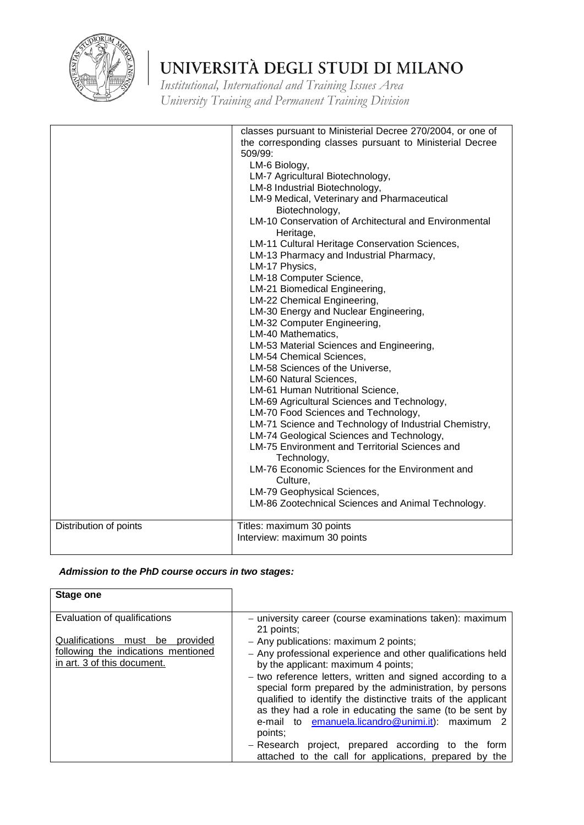

*Institutional, International and Training Issues Area University Training and Permanent Training Division*

| Distribution of points | classes pursuant to Ministerial Decree 270/2004, or one of<br>the corresponding classes pursuant to Ministerial Decree<br>509/99:<br>LM-6 Biology,<br>LM-7 Agricultural Biotechnology,<br>LM-8 Industrial Biotechnology,<br>LM-9 Medical, Veterinary and Pharmaceutical<br>Biotechnology,<br>LM-10 Conservation of Architectural and Environmental<br>Heritage,<br>LM-11 Cultural Heritage Conservation Sciences,<br>LM-13 Pharmacy and Industrial Pharmacy,<br>LM-17 Physics,<br>LM-18 Computer Science,<br>LM-21 Biomedical Engineering,<br>LM-22 Chemical Engineering,<br>LM-30 Energy and Nuclear Engineering,<br>LM-32 Computer Engineering,<br>LM-40 Mathematics,<br>LM-53 Material Sciences and Engineering,<br>LM-54 Chemical Sciences,<br>LM-58 Sciences of the Universe,<br>LM-60 Natural Sciences,<br>LM-61 Human Nutritional Science,<br>LM-69 Agricultural Sciences and Technology,<br>LM-70 Food Sciences and Technology,<br>LM-71 Science and Technology of Industrial Chemistry,<br>LM-74 Geological Sciences and Technology,<br>LM-75 Environment and Territorial Sciences and<br>Technology,<br>LM-76 Economic Sciences for the Environment and<br>Culture,<br>LM-79 Geophysical Sciences,<br>LM-86 Zootechnical Sciences and Animal Technology.<br>Titles: maximum 30 points |
|------------------------|-------------------------------------------------------------------------------------------------------------------------------------------------------------------------------------------------------------------------------------------------------------------------------------------------------------------------------------------------------------------------------------------------------------------------------------------------------------------------------------------------------------------------------------------------------------------------------------------------------------------------------------------------------------------------------------------------------------------------------------------------------------------------------------------------------------------------------------------------------------------------------------------------------------------------------------------------------------------------------------------------------------------------------------------------------------------------------------------------------------------------------------------------------------------------------------------------------------------------------------------------------------------------------------------------|
|                        | Interview: maximum 30 points                                                                                                                                                                                                                                                                                                                                                                                                                                                                                                                                                                                                                                                                                                                                                                                                                                                                                                                                                                                                                                                                                                                                                                                                                                                                    |

### *Admission to the PhD course occurs in two stages:*

| <b>Stage one</b>                                                   |                                                                                                                                                                                                                                                                                                                     |
|--------------------------------------------------------------------|---------------------------------------------------------------------------------------------------------------------------------------------------------------------------------------------------------------------------------------------------------------------------------------------------------------------|
| Evaluation of qualifications                                       | - university career (course examinations taken): maximum<br>21 points;                                                                                                                                                                                                                                              |
| Qualifications<br>must be<br>provided                              | - Any publications: maximum 2 points;                                                                                                                                                                                                                                                                               |
| following the indications mentioned<br>in art. 3 of this document. | - Any professional experience and other qualifications held<br>by the applicant: maximum 4 points;                                                                                                                                                                                                                  |
|                                                                    | - two reference letters, written and signed according to a<br>special form prepared by the administration, by persons<br>qualified to identify the distinctive traits of the applicant<br>as they had a role in educating the same (to be sent by<br>e-mail to emanuela.licandro@unimi.it):<br>maximum 2<br>points: |
|                                                                    | project, prepared according to the<br>– Research<br>torm<br>attached to the call for applications, prepared by the                                                                                                                                                                                                  |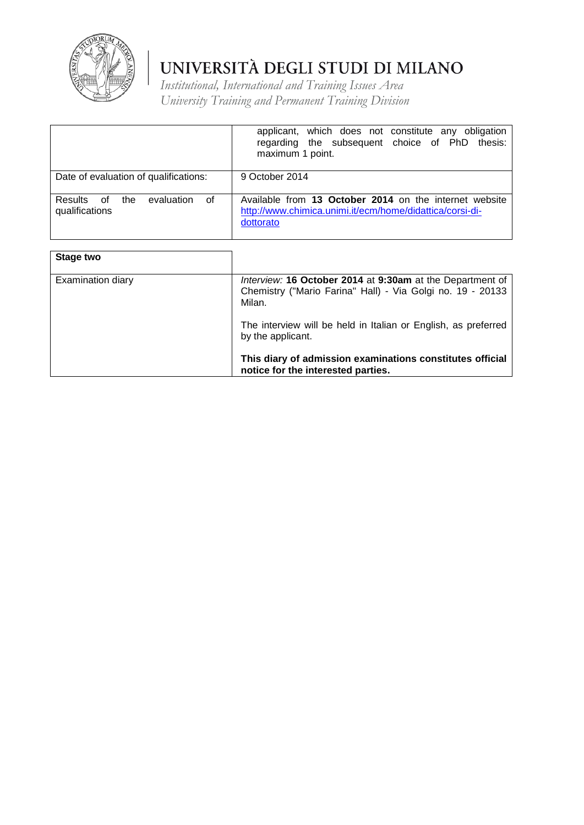

|                                                            | applicant, which does not constitute any obligation<br>regarding the subsequent choice of PhD thesis:<br>maximum 1 point.         |
|------------------------------------------------------------|-----------------------------------------------------------------------------------------------------------------------------------|
| Date of evaluation of qualifications:                      | 9 October 2014                                                                                                                    |
| evaluation<br>of<br>Results<br>of<br>the<br>qualifications | Available from 13 October 2014 on the internet website<br>http://www.chimica.unimi.it/ecm/home/didattica/corsi-di-<br>dottorato   |
| Stage two                                                  |                                                                                                                                   |
| Examination diary                                          | Interview: 16 October 2014 at 9:30am at the Department of<br>Chemistry ("Mario Farina" Hall) - Via Golgi no. 19 - 20133<br>Milan. |
|                                                            | The interview will be held in Italian or English, as preferred<br>by the applicant.                                               |
|                                                            | This diary of admission examinations constitutes official<br>notice for the interested parties.                                   |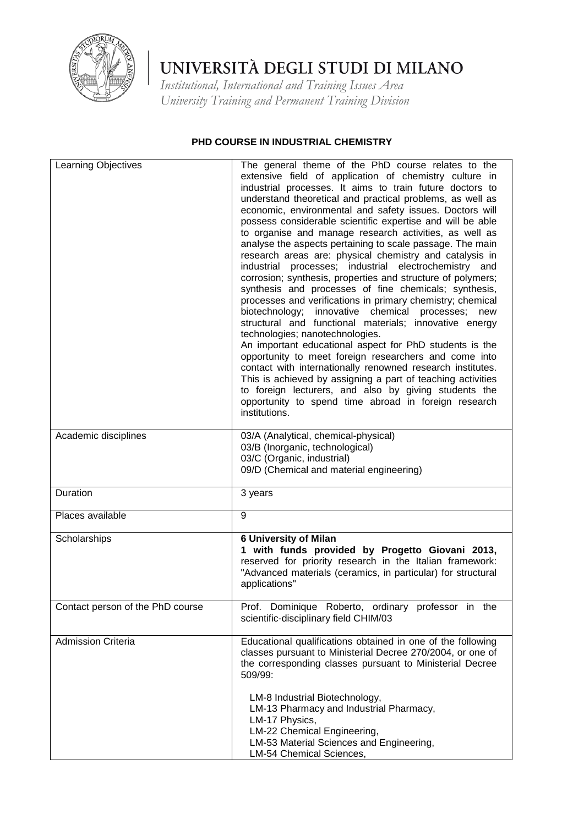

*Institutional, International and Training Issues Area University Training and Permanent Training Division*

### **PHD COURSE IN INDUSTRIAL CHEMISTRY**

| <b>Learning Objectives</b>       | The general theme of the PhD course relates to the<br>extensive field of application of chemistry culture in<br>industrial processes. It aims to train future doctors to<br>understand theoretical and practical problems, as well as<br>economic, environmental and safety issues. Doctors will<br>possess considerable scientific expertise and will be able<br>to organise and manage research activities, as well as<br>analyse the aspects pertaining to scale passage. The main<br>research areas are: physical chemistry and catalysis in<br>industrial processes; industrial electrochemistry and<br>corrosion; synthesis, properties and structure of polymers;<br>synthesis and processes of fine chemicals; synthesis,<br>processes and verifications in primary chemistry; chemical<br>biotechnology; innovative<br>chemical processes;<br>new<br>structural and functional materials; innovative energy<br>technologies; nanotechnologies.<br>An important educational aspect for PhD students is the<br>opportunity to meet foreign researchers and come into<br>contact with internationally renowned research institutes.<br>This is achieved by assigning a part of teaching activities<br>to foreign lecturers, and also by giving students the<br>opportunity to spend time abroad in foreign research<br>institutions. |
|----------------------------------|--------------------------------------------------------------------------------------------------------------------------------------------------------------------------------------------------------------------------------------------------------------------------------------------------------------------------------------------------------------------------------------------------------------------------------------------------------------------------------------------------------------------------------------------------------------------------------------------------------------------------------------------------------------------------------------------------------------------------------------------------------------------------------------------------------------------------------------------------------------------------------------------------------------------------------------------------------------------------------------------------------------------------------------------------------------------------------------------------------------------------------------------------------------------------------------------------------------------------------------------------------------------------------------------------------------------------------------------|
| Academic disciplines             | 03/A (Analytical, chemical-physical)<br>03/B (Inorganic, technological)<br>03/C (Organic, industrial)<br>09/D (Chemical and material engineering)                                                                                                                                                                                                                                                                                                                                                                                                                                                                                                                                                                                                                                                                                                                                                                                                                                                                                                                                                                                                                                                                                                                                                                                          |
| Duration                         | 3 years                                                                                                                                                                                                                                                                                                                                                                                                                                                                                                                                                                                                                                                                                                                                                                                                                                                                                                                                                                                                                                                                                                                                                                                                                                                                                                                                    |
| Places available                 | 9                                                                                                                                                                                                                                                                                                                                                                                                                                                                                                                                                                                                                                                                                                                                                                                                                                                                                                                                                                                                                                                                                                                                                                                                                                                                                                                                          |
| Scholarships                     | <b>6 University of Milan</b><br>1 with funds provided by Progetto Giovani 2013,<br>reserved for priority research in the Italian framework:<br>"Advanced materials (ceramics, in particular) for structural<br>applications"                                                                                                                                                                                                                                                                                                                                                                                                                                                                                                                                                                                                                                                                                                                                                                                                                                                                                                                                                                                                                                                                                                               |
| Contact person of the PhD course | Prof. Dominique Roberto, ordinary professor in the<br>scientific-disciplinary field CHIM/03                                                                                                                                                                                                                                                                                                                                                                                                                                                                                                                                                                                                                                                                                                                                                                                                                                                                                                                                                                                                                                                                                                                                                                                                                                                |
| <b>Admission Criteria</b>        | Educational qualifications obtained in one of the following<br>classes pursuant to Ministerial Decree 270/2004, or one of<br>the corresponding classes pursuant to Ministerial Decree<br>509/99:<br>LM-8 Industrial Biotechnology,<br>LM-13 Pharmacy and Industrial Pharmacy,<br>LM-17 Physics,<br>LM-22 Chemical Engineering,<br>LM-53 Material Sciences and Engineering,<br>LM-54 Chemical Sciences,                                                                                                                                                                                                                                                                                                                                                                                                                                                                                                                                                                                                                                                                                                                                                                                                                                                                                                                                     |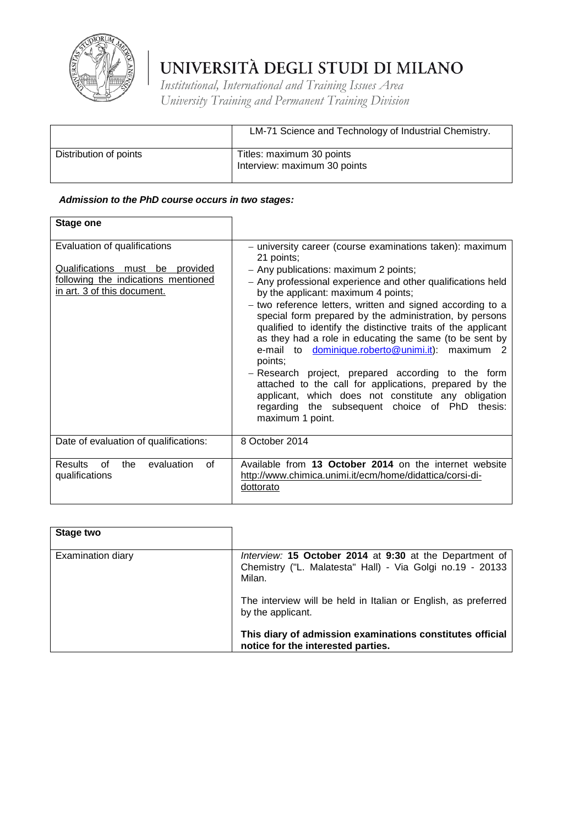

*Institutional, International and Training Issues Area University Training and Permanent Training Division*

|                        | LM-71 Science and Technology of Industrial Chemistry.     |
|------------------------|-----------------------------------------------------------|
| Distribution of points | Titles: maximum 30 points<br>Interview: maximum 30 points |

### *Admission to the PhD course occurs in two stages:*

| <b>Stage one</b>                                                                                                                      |                                                                                                                                                                                                                                                                                                                                                                                                                                                                                                                                                                                                                                                                                                                                                                                        |
|---------------------------------------------------------------------------------------------------------------------------------------|----------------------------------------------------------------------------------------------------------------------------------------------------------------------------------------------------------------------------------------------------------------------------------------------------------------------------------------------------------------------------------------------------------------------------------------------------------------------------------------------------------------------------------------------------------------------------------------------------------------------------------------------------------------------------------------------------------------------------------------------------------------------------------------|
| Evaluation of qualifications<br>Qualifications must be provided<br>following the indications mentioned<br>in art. 3 of this document. | - university career (course examinations taken): maximum<br>21 points;<br>- Any publications: maximum 2 points;<br>- Any professional experience and other qualifications held<br>by the applicant: maximum 4 points;<br>- two reference letters, written and signed according to a<br>special form prepared by the administration, by persons<br>qualified to identify the distinctive traits of the applicant<br>as they had a role in educating the same (to be sent by<br>e-mail to dominique.roberto@unimi.it): maximum 2<br>points;<br>- Research project, prepared according to the form<br>attached to the call for applications, prepared by the<br>applicant, which does not constitute any obligation<br>regarding the subsequent choice of PhD thesis:<br>maximum 1 point. |
| Date of evaluation of qualifications:                                                                                                 | 8 October 2014                                                                                                                                                                                                                                                                                                                                                                                                                                                                                                                                                                                                                                                                                                                                                                         |
| <b>Results</b><br>evaluation<br>0f<br>the<br><sub>of</sub><br>qualifications                                                          | Available from 13 October 2014 on the internet website<br>http://www.chimica.unimi.it/ecm/home/didattica/corsi-di-<br>dottorato                                                                                                                                                                                                                                                                                                                                                                                                                                                                                                                                                                                                                                                        |

| Stage two         |                                                                                                                                |
|-------------------|--------------------------------------------------------------------------------------------------------------------------------|
| Examination diary | Interview: 15 October 2014 at 9:30 at the Department of<br>Chemistry ("L. Malatesta" Hall) - Via Golgi no.19 - 20133<br>Milan. |
|                   | The interview will be held in Italian or English, as preferred<br>by the applicant.                                            |
|                   | This diary of admission examinations constitutes official<br>notice for the interested parties.                                |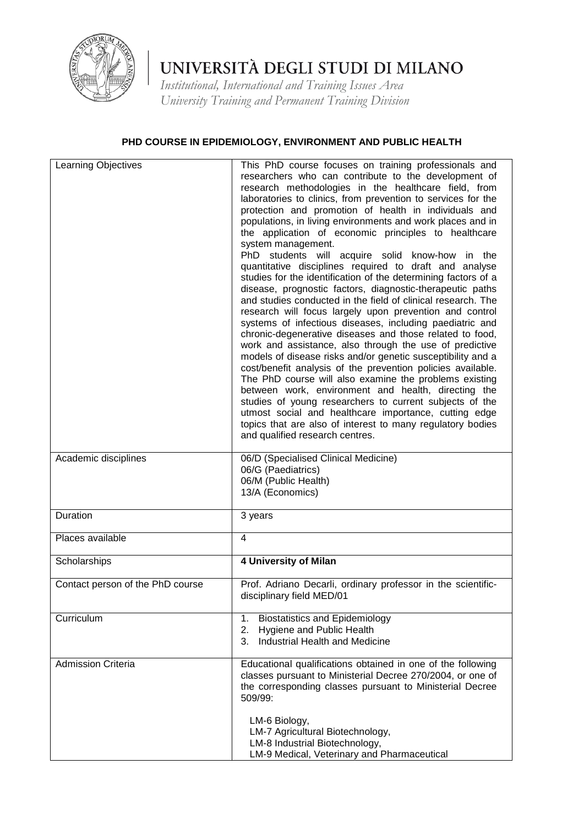

*Institutional, International and Training Issues Area University Training and Permanent Training Division*

### **PHD COURSE IN EPIDEMIOLOGY, ENVIRONMENT AND PUBLIC HEALTH**

| Learning Objectives              | This PhD course focuses on training professionals and<br>researchers who can contribute to the development of<br>research methodologies in the healthcare field, from<br>laboratories to clinics, from prevention to services for the<br>protection and promotion of health in individuals and<br>populations, in living environments and work places and in<br>the application of economic principles to healthcare<br>system management.<br>PhD students will acquire solid know-how in the<br>quantitative disciplines required to draft and analyse<br>studies for the identification of the determining factors of a<br>disease, prognostic factors, diagnostic-therapeutic paths<br>and studies conducted in the field of clinical research. The<br>research will focus largely upon prevention and control<br>systems of infectious diseases, including paediatric and<br>chronic-degenerative diseases and those related to food,<br>work and assistance, also through the use of predictive<br>models of disease risks and/or genetic susceptibility and a<br>cost/benefit analysis of the prevention policies available.<br>The PhD course will also examine the problems existing<br>between work, environment and health, directing the<br>studies of young researchers to current subjects of the<br>utmost social and healthcare importance, cutting edge<br>topics that are also of interest to many regulatory bodies<br>and qualified research centres. |
|----------------------------------|--------------------------------------------------------------------------------------------------------------------------------------------------------------------------------------------------------------------------------------------------------------------------------------------------------------------------------------------------------------------------------------------------------------------------------------------------------------------------------------------------------------------------------------------------------------------------------------------------------------------------------------------------------------------------------------------------------------------------------------------------------------------------------------------------------------------------------------------------------------------------------------------------------------------------------------------------------------------------------------------------------------------------------------------------------------------------------------------------------------------------------------------------------------------------------------------------------------------------------------------------------------------------------------------------------------------------------------------------------------------------------------------------------------------------------------------------------------------------|
| Academic disciplines             | 06/D (Specialised Clinical Medicine)<br>06/G (Paediatrics)<br>06/M (Public Health)<br>13/A (Economics)                                                                                                                                                                                                                                                                                                                                                                                                                                                                                                                                                                                                                                                                                                                                                                                                                                                                                                                                                                                                                                                                                                                                                                                                                                                                                                                                                                   |
| Duration                         | 3 years                                                                                                                                                                                                                                                                                                                                                                                                                                                                                                                                                                                                                                                                                                                                                                                                                                                                                                                                                                                                                                                                                                                                                                                                                                                                                                                                                                                                                                                                  |
| Places available                 | 4                                                                                                                                                                                                                                                                                                                                                                                                                                                                                                                                                                                                                                                                                                                                                                                                                                                                                                                                                                                                                                                                                                                                                                                                                                                                                                                                                                                                                                                                        |
| Scholarships                     | 4 University of Milan                                                                                                                                                                                                                                                                                                                                                                                                                                                                                                                                                                                                                                                                                                                                                                                                                                                                                                                                                                                                                                                                                                                                                                                                                                                                                                                                                                                                                                                    |
| Contact person of the PhD course | Prof. Adriano Decarli, ordinary professor in the scientific-<br>disciplinary field MED/01                                                                                                                                                                                                                                                                                                                                                                                                                                                                                                                                                                                                                                                                                                                                                                                                                                                                                                                                                                                                                                                                                                                                                                                                                                                                                                                                                                                |
| Curriculum                       | <b>Biostatistics and Epidemiology</b><br>1.<br>Hygiene and Public Health<br>2.<br>Industrial Health and Medicine<br>3.                                                                                                                                                                                                                                                                                                                                                                                                                                                                                                                                                                                                                                                                                                                                                                                                                                                                                                                                                                                                                                                                                                                                                                                                                                                                                                                                                   |
| <b>Admission Criteria</b>        | Educational qualifications obtained in one of the following<br>classes pursuant to Ministerial Decree 270/2004, or one of<br>the corresponding classes pursuant to Ministerial Decree<br>509/99:<br>LM-6 Biology,<br>LM-7 Agricultural Biotechnology,<br>LM-8 Industrial Biotechnology,                                                                                                                                                                                                                                                                                                                                                                                                                                                                                                                                                                                                                                                                                                                                                                                                                                                                                                                                                                                                                                                                                                                                                                                  |
|                                  | LM-9 Medical, Veterinary and Pharmaceutical                                                                                                                                                                                                                                                                                                                                                                                                                                                                                                                                                                                                                                                                                                                                                                                                                                                                                                                                                                                                                                                                                                                                                                                                                                                                                                                                                                                                                              |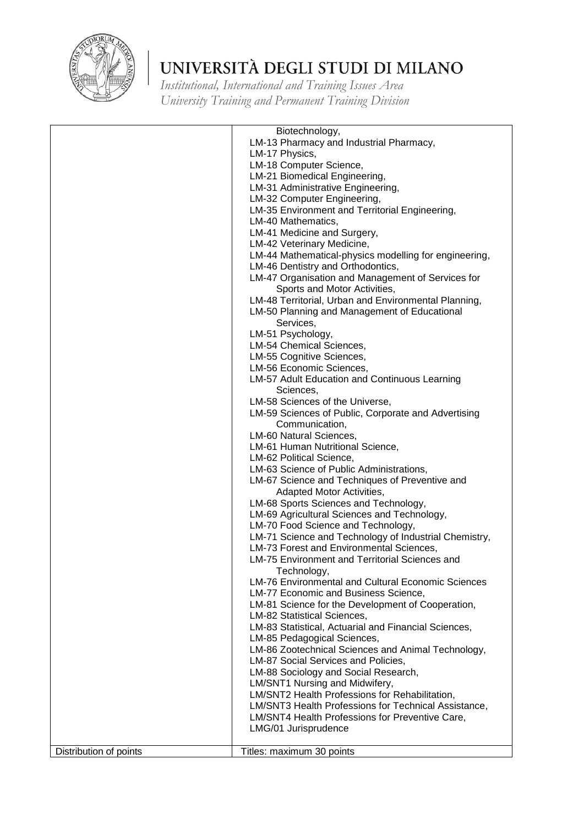

|                        | Biotechnology,                                            |
|------------------------|-----------------------------------------------------------|
|                        | LM-13 Pharmacy and Industrial Pharmacy,                   |
|                        | LM-17 Physics,                                            |
|                        | LM-18 Computer Science,                                   |
|                        | LM-21 Biomedical Engineering,                             |
|                        | LM-31 Administrative Engineering,                         |
|                        | LM-32 Computer Engineering,                               |
|                        | LM-35 Environment and Territorial Engineering,            |
|                        | LM-40 Mathematics,                                        |
|                        | LM-41 Medicine and Surgery,                               |
|                        | LM-42 Veterinary Medicine,                                |
|                        | LM-44 Mathematical-physics modelling for engineering,     |
|                        | LM-46 Dentistry and Orthodontics,                         |
|                        | LM-47 Organisation and Management of Services for         |
|                        | Sports and Motor Activities,                              |
|                        | LM-48 Territorial, Urban and Environmental Planning,      |
|                        | LM-50 Planning and Management of Educational              |
|                        | Services,                                                 |
|                        | LM-51 Psychology,                                         |
|                        | LM-54 Chemical Sciences,                                  |
|                        | LM-55 Cognitive Sciences,                                 |
|                        | LM-56 Economic Sciences,                                  |
|                        | LM-57 Adult Education and Continuous Learning             |
|                        | Sciences,                                                 |
|                        | LM-58 Sciences of the Universe,                           |
|                        | LM-59 Sciences of Public, Corporate and Advertising       |
|                        | Communication,                                            |
|                        | LM-60 Natural Sciences,                                   |
|                        | LM-61 Human Nutritional Science,                          |
|                        | LM-62 Political Science,                                  |
|                        | LM-63 Science of Public Administrations,                  |
|                        | LM-67 Science and Techniques of Preventive and            |
|                        | Adapted Motor Activities,                                 |
|                        | LM-68 Sports Sciences and Technology,                     |
|                        | LM-69 Agricultural Sciences and Technology,               |
|                        | LM-70 Food Science and Technology,                        |
|                        | LM-71 Science and Technology of Industrial Chemistry,     |
|                        | LM-73 Forest and Environmental Sciences,                  |
|                        | <b>LM-75 Environment and Territorial Sciences and</b>     |
|                        | Technology,                                               |
|                        | <b>LM-76 Environmental and Cultural Economic Sciences</b> |
|                        | LM-77 Economic and Business Science,                      |
|                        | LM-81 Science for the Development of Cooperation,         |
|                        | LM-82 Statistical Sciences,                               |
|                        | LM-83 Statistical, Actuarial and Financial Sciences,      |
|                        | LM-85 Pedagogical Sciences,                               |
|                        | LM-86 Zootechnical Sciences and Animal Technology,        |
|                        | LM-87 Social Services and Policies,                       |
|                        | LM-88 Sociology and Social Research,                      |
|                        | LM/SNT1 Nursing and Midwifery,                            |
|                        | LM/SNT2 Health Professions for Rehabilitation,            |
|                        | LM/SNT3 Health Professions for Technical Assistance,      |
|                        | LM/SNT4 Health Professions for Preventive Care,           |
|                        | LMG/01 Jurisprudence                                      |
|                        |                                                           |
| Distribution of points | Titles: maximum 30 points                                 |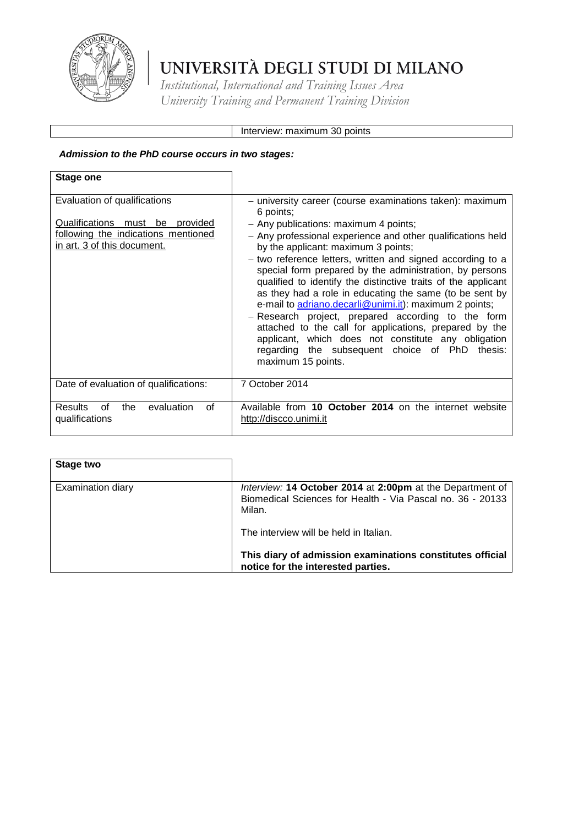

*Institutional, International and Training Issues Area University Training and Permanent Training Division*

### Interview: maximum 30 points

### *Admission to the PhD course occurs in two stages:*

| <b>Stage one</b>                                                                                                                      |                                                                                                                                                                                                                                                                                                                                                                                                                                                                                                                                                                                                                                                                                                                                                                                    |
|---------------------------------------------------------------------------------------------------------------------------------------|------------------------------------------------------------------------------------------------------------------------------------------------------------------------------------------------------------------------------------------------------------------------------------------------------------------------------------------------------------------------------------------------------------------------------------------------------------------------------------------------------------------------------------------------------------------------------------------------------------------------------------------------------------------------------------------------------------------------------------------------------------------------------------|
| Evaluation of qualifications<br>Qualifications must be provided<br>following the indications mentioned<br>in art. 3 of this document. | - university career (course examinations taken): maximum<br>6 points;<br>- Any publications: maximum 4 points;<br>- Any professional experience and other qualifications held<br>by the applicant: maximum 3 points;<br>- two reference letters, written and signed according to a<br>special form prepared by the administration, by persons<br>qualified to identify the distinctive traits of the applicant<br>as they had a role in educating the same (to be sent by<br>e-mail to adriano.decarli@unimi.it): maximum 2 points;<br>- Research project, prepared according to the form<br>attached to the call for applications, prepared by the<br>applicant, which does not constitute any obligation<br>regarding the subsequent choice of PhD thesis:<br>maximum 15 points. |
| Date of evaluation of qualifications:                                                                                                 | 7 October 2014                                                                                                                                                                                                                                                                                                                                                                                                                                                                                                                                                                                                                                                                                                                                                                     |
| evaluation<br><b>Results</b><br>0f<br>the<br>Ωf<br>qualifications                                                                     | Available from 10 October 2014 on the internet website<br>http://discco.unimi.it                                                                                                                                                                                                                                                                                                                                                                                                                                                                                                                                                                                                                                                                                                   |

| Stage two                |                                                                                                                                   |
|--------------------------|-----------------------------------------------------------------------------------------------------------------------------------|
| <b>Examination diary</b> | Interview: 14 October 2014 at 2:00pm at the Department of<br>Biomedical Sciences for Health - Via Pascal no. 36 - 20133<br>Milan. |
|                          | The interview will be held in Italian.                                                                                            |
|                          | This diary of admission examinations constitutes official<br>notice for the interested parties.                                   |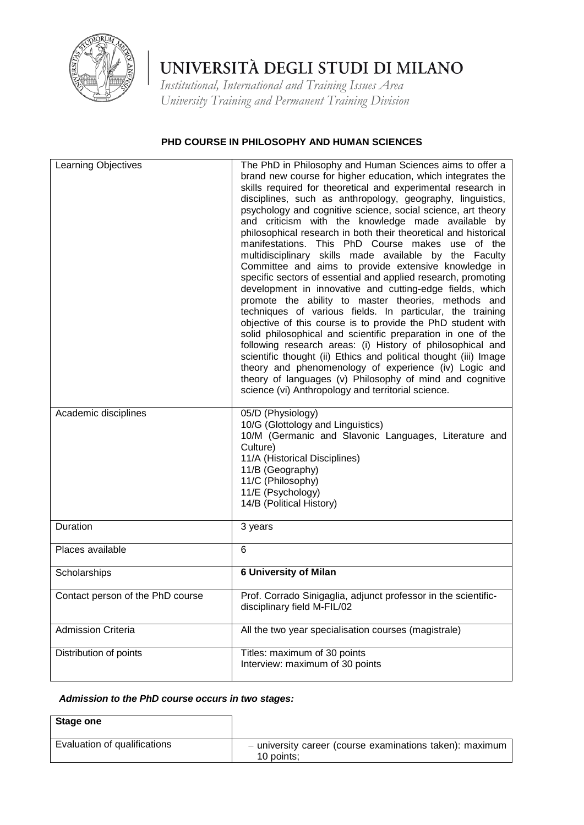

*Institutional, International and Training Issues Area University Training and Permanent Training Division*

### **PHD COURSE IN PHILOSOPHY AND HUMAN SCIENCES**

| Learning Objectives              | The PhD in Philosophy and Human Sciences aims to offer a<br>brand new course for higher education, which integrates the<br>skills required for theoretical and experimental research in<br>disciplines, such as anthropology, geography, linguistics,<br>psychology and cognitive science, social science, art theory<br>and criticism with the knowledge made available by<br>philosophical research in both their theoretical and historical<br>manifestations. This PhD Course makes<br>use<br>of the<br>multidisciplinary skills made available by the Faculty<br>Committee and aims to provide extensive knowledge in<br>specific sectors of essential and applied research, promoting<br>development in innovative and cutting-edge fields, which<br>promote the ability to master theories, methods and<br>techniques of various fields. In particular, the training<br>objective of this course is to provide the PhD student with<br>solid philosophical and scientific preparation in one of the<br>following research areas: (i) History of philosophical and<br>scientific thought (ii) Ethics and political thought (iii) Image<br>theory and phenomenology of experience (iv) Logic and<br>theory of languages (v) Philosophy of mind and cognitive<br>science (vi) Anthropology and territorial science. |
|----------------------------------|-------------------------------------------------------------------------------------------------------------------------------------------------------------------------------------------------------------------------------------------------------------------------------------------------------------------------------------------------------------------------------------------------------------------------------------------------------------------------------------------------------------------------------------------------------------------------------------------------------------------------------------------------------------------------------------------------------------------------------------------------------------------------------------------------------------------------------------------------------------------------------------------------------------------------------------------------------------------------------------------------------------------------------------------------------------------------------------------------------------------------------------------------------------------------------------------------------------------------------------------------------------------------------------------------------------------------|
| Academic disciplines             | 05/D (Physiology)<br>10/G (Glottology and Linguistics)<br>10/M (Germanic and Slavonic Languages, Literature and<br>Culture)<br>11/A (Historical Disciplines)<br>11/B (Geography)<br>11/C (Philosophy)<br>11/E (Psychology)<br>14/B (Political History)                                                                                                                                                                                                                                                                                                                                                                                                                                                                                                                                                                                                                                                                                                                                                                                                                                                                                                                                                                                                                                                                  |
| Duration                         | 3 years                                                                                                                                                                                                                                                                                                                                                                                                                                                                                                                                                                                                                                                                                                                                                                                                                                                                                                                                                                                                                                                                                                                                                                                                                                                                                                                 |
| Places available                 | 6                                                                                                                                                                                                                                                                                                                                                                                                                                                                                                                                                                                                                                                                                                                                                                                                                                                                                                                                                                                                                                                                                                                                                                                                                                                                                                                       |
| Scholarships                     | <b>6 University of Milan</b>                                                                                                                                                                                                                                                                                                                                                                                                                                                                                                                                                                                                                                                                                                                                                                                                                                                                                                                                                                                                                                                                                                                                                                                                                                                                                            |
| Contact person of the PhD course | Prof. Corrado Sinigaglia, adjunct professor in the scientific-<br>disciplinary field M-FIL/02                                                                                                                                                                                                                                                                                                                                                                                                                                                                                                                                                                                                                                                                                                                                                                                                                                                                                                                                                                                                                                                                                                                                                                                                                           |
| <b>Admission Criteria</b>        | All the two year specialisation courses (magistrale)                                                                                                                                                                                                                                                                                                                                                                                                                                                                                                                                                                                                                                                                                                                                                                                                                                                                                                                                                                                                                                                                                                                                                                                                                                                                    |
| Distribution of points           | Titles: maximum of 30 points<br>Interview: maximum of 30 points                                                                                                                                                                                                                                                                                                                                                                                                                                                                                                                                                                                                                                                                                                                                                                                                                                                                                                                                                                                                                                                                                                                                                                                                                                                         |

### *Admission to the PhD course occurs in two stages:*

| Stage one                    |                                                                        |
|------------------------------|------------------------------------------------------------------------|
| Evaluation of qualifications | - university career (course examinations taken): maximum<br>10 points: |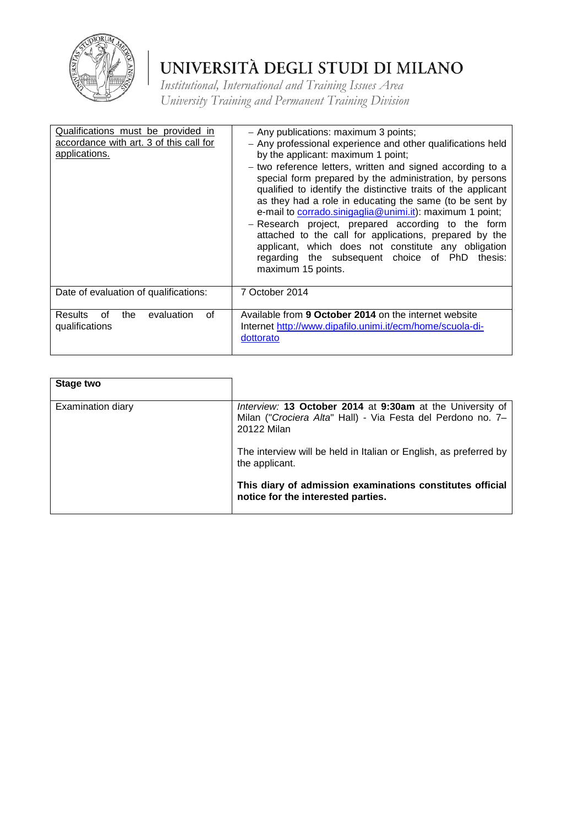

| Qualifications must be provided in<br>accordance with art. 3 of this call for<br>applications. | - Any publications: maximum 3 points;<br>- Any professional experience and other qualifications held<br>by the applicant: maximum 1 point;<br>- two reference letters, written and signed according to a<br>special form prepared by the administration, by persons<br>qualified to identify the distinctive traits of the applicant<br>as they had a role in educating the same (to be sent by<br>e-mail to corrado.sinigaglia@unimi.it): maximum 1 point;<br>- Research project, prepared according to the form<br>attached to the call for applications, prepared by the<br>applicant, which does not constitute any obligation<br>regarding the subsequent choice of PhD<br>thesis:<br>maximum 15 points. |
|------------------------------------------------------------------------------------------------|---------------------------------------------------------------------------------------------------------------------------------------------------------------------------------------------------------------------------------------------------------------------------------------------------------------------------------------------------------------------------------------------------------------------------------------------------------------------------------------------------------------------------------------------------------------------------------------------------------------------------------------------------------------------------------------------------------------|
| Date of evaluation of qualifications:                                                          | 7 October 2014                                                                                                                                                                                                                                                                                                                                                                                                                                                                                                                                                                                                                                                                                                |
| evaluation<br><b>Results</b><br>0f<br>οf<br>the<br>qualifications                              | Available from 9 October 2014 on the internet website<br>Internet http://www.dipafilo.unimi.it/ecm/home/scuola-di-<br>dottorato                                                                                                                                                                                                                                                                                                                                                                                                                                                                                                                                                                               |

| Stage two         |                                                                                                                                         |
|-------------------|-----------------------------------------------------------------------------------------------------------------------------------------|
| Examination diary | Interview: 13 October 2014 at 9:30am at the University of<br>Milan ("Crociera Alta" Hall) - Via Festa del Perdono no. 7-<br>20122 Milan |
|                   | The interview will be held in Italian or English, as preferred by<br>the applicant.                                                     |
|                   | This diary of admission examinations constitutes official<br>notice for the interested parties.                                         |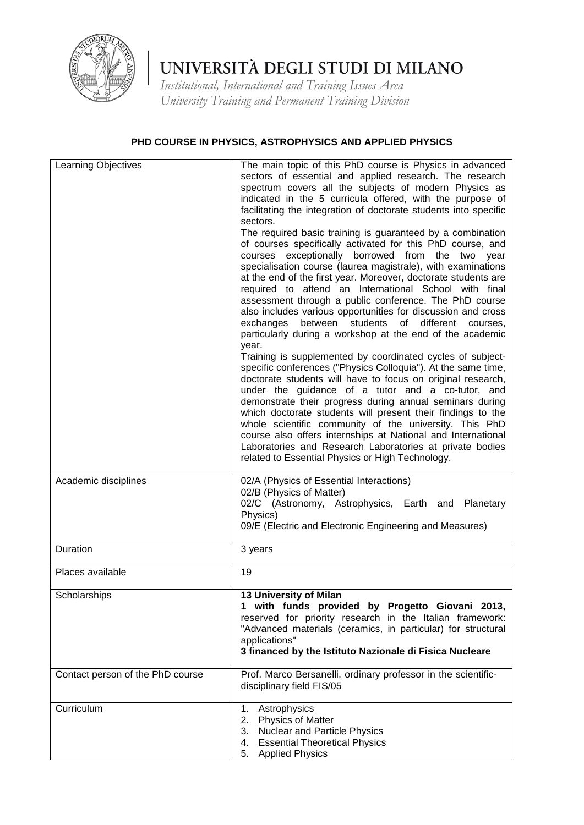

*Institutional, International and Training Issues Area University Training and Permanent Training Division*

## **PHD COURSE IN PHYSICS, ASTROPHYSICS AND APPLIED PHYSICS**

| Learning Objectives              | The main topic of this PhD course is Physics in advanced<br>sectors of essential and applied research. The research<br>spectrum covers all the subjects of modern Physics as<br>indicated in the 5 curricula offered, with the purpose of<br>facilitating the integration of doctorate students into specific<br>sectors.<br>The required basic training is guaranteed by a combination<br>of courses specifically activated for this PhD course, and<br>courses exceptionally borrowed from the two<br>year<br>specialisation course (laurea magistrale), with examinations<br>at the end of the first year. Moreover, doctorate students are<br>required to attend an International School with final<br>assessment through a public conference. The PhD course<br>also includes various opportunities for discussion and cross<br>different<br>exchanges<br>between<br>students<br>of<br>courses.<br>particularly during a workshop at the end of the academic<br>year.<br>Training is supplemented by coordinated cycles of subject-<br>specific conferences ("Physics Colloquia"). At the same time,<br>doctorate students will have to focus on original research,<br>under the guidance of a tutor and a co-tutor, and<br>demonstrate their progress during annual seminars during<br>which doctorate students will present their findings to the<br>whole scientific community of the university. This PhD<br>course also offers internships at National and International<br>Laboratories and Research Laboratories at private bodies<br>related to Essential Physics or High Technology. |
|----------------------------------|----------------------------------------------------------------------------------------------------------------------------------------------------------------------------------------------------------------------------------------------------------------------------------------------------------------------------------------------------------------------------------------------------------------------------------------------------------------------------------------------------------------------------------------------------------------------------------------------------------------------------------------------------------------------------------------------------------------------------------------------------------------------------------------------------------------------------------------------------------------------------------------------------------------------------------------------------------------------------------------------------------------------------------------------------------------------------------------------------------------------------------------------------------------------------------------------------------------------------------------------------------------------------------------------------------------------------------------------------------------------------------------------------------------------------------------------------------------------------------------------------------------------------------------------------------------------------------------------------|
| Academic disciplines             | 02/A (Physics of Essential Interactions)<br>02/B (Physics of Matter)<br>02/C (Astronomy, Astrophysics, Earth and Planetary<br>Physics)<br>09/E (Electric and Electronic Engineering and Measures)                                                                                                                                                                                                                                                                                                                                                                                                                                                                                                                                                                                                                                                                                                                                                                                                                                                                                                                                                                                                                                                                                                                                                                                                                                                                                                                                                                                                  |
| Duration                         | 3 years                                                                                                                                                                                                                                                                                                                                                                                                                                                                                                                                                                                                                                                                                                                                                                                                                                                                                                                                                                                                                                                                                                                                                                                                                                                                                                                                                                                                                                                                                                                                                                                            |
| Places available                 | 19                                                                                                                                                                                                                                                                                                                                                                                                                                                                                                                                                                                                                                                                                                                                                                                                                                                                                                                                                                                                                                                                                                                                                                                                                                                                                                                                                                                                                                                                                                                                                                                                 |
| Scholarships                     | 13 University of Milan<br>1 with funds provided by Progetto Giovani 2013,<br>reserved for priority research in the Italian framework:<br>"Advanced materials (ceramics, in particular) for structural<br>applications"<br>3 financed by the Istituto Nazionale di Fisica Nucleare                                                                                                                                                                                                                                                                                                                                                                                                                                                                                                                                                                                                                                                                                                                                                                                                                                                                                                                                                                                                                                                                                                                                                                                                                                                                                                                  |
| Contact person of the PhD course | Prof. Marco Bersanelli, ordinary professor in the scientific-<br>disciplinary field FIS/05                                                                                                                                                                                                                                                                                                                                                                                                                                                                                                                                                                                                                                                                                                                                                                                                                                                                                                                                                                                                                                                                                                                                                                                                                                                                                                                                                                                                                                                                                                         |
| Curriculum                       | 1.<br>Astrophysics<br><b>Physics of Matter</b><br>2.<br>3.<br>Nuclear and Particle Physics<br><b>Essential Theoretical Physics</b><br>4.<br><b>Applied Physics</b><br>5.                                                                                                                                                                                                                                                                                                                                                                                                                                                                                                                                                                                                                                                                                                                                                                                                                                                                                                                                                                                                                                                                                                                                                                                                                                                                                                                                                                                                                           |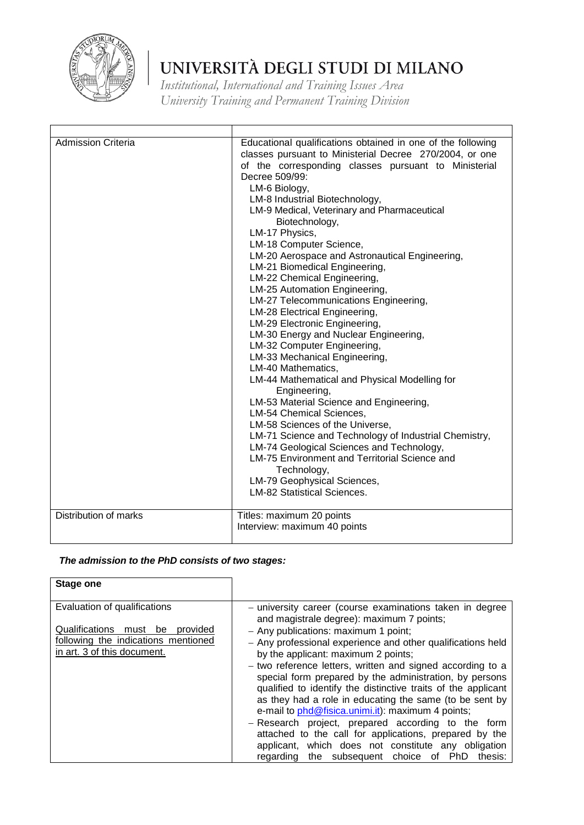

*Institutional, International and Training Issues Area University Training and Permanent Training Division*

| <b>Admission Criteria</b> | Educational qualifications obtained in one of the following<br>classes pursuant to Ministerial Decree 270/2004, or one<br>of the corresponding classes pursuant to Ministerial<br>Decree 509/99:<br>LM-6 Biology,<br>LM-8 Industrial Biotechnology,<br>LM-9 Medical, Veterinary and Pharmaceutical<br>Biotechnology,<br>LM-17 Physics,<br>LM-18 Computer Science,<br>LM-20 Aerospace and Astronautical Engineering,<br>LM-21 Biomedical Engineering,<br>LM-22 Chemical Engineering,<br>LM-25 Automation Engineering,<br>LM-27 Telecommunications Engineering,<br>LM-28 Electrical Engineering,<br>LM-29 Electronic Engineering,<br>LM-30 Energy and Nuclear Engineering,<br>LM-32 Computer Engineering,<br>LM-33 Mechanical Engineering,<br>LM-40 Mathematics,<br>LM-44 Mathematical and Physical Modelling for<br>Engineering,<br>LM-53 Material Science and Engineering,<br>LM-54 Chemical Sciences,<br>LM-58 Sciences of the Universe,<br>LM-71 Science and Technology of Industrial Chemistry,<br>LM-74 Geological Sciences and Technology,<br><b>LM-75 Environment and Territorial Science and</b><br>Technology,<br>LM-79 Geophysical Sciences,<br><b>LM-82 Statistical Sciences.</b> |
|---------------------------|---------------------------------------------------------------------------------------------------------------------------------------------------------------------------------------------------------------------------------------------------------------------------------------------------------------------------------------------------------------------------------------------------------------------------------------------------------------------------------------------------------------------------------------------------------------------------------------------------------------------------------------------------------------------------------------------------------------------------------------------------------------------------------------------------------------------------------------------------------------------------------------------------------------------------------------------------------------------------------------------------------------------------------------------------------------------------------------------------------------------------------------------------------------------------------------------|
| Distribution of marks     | Titles: maximum 20 points<br>Interview: maximum 40 points                                                                                                                                                                                                                                                                                                                                                                                                                                                                                                                                                                                                                                                                                                                                                                                                                                                                                                                                                                                                                                                                                                                                   |

## *The admission to the PhD consists of two stages:*

| <b>Stage one</b>                                                                                                                         |                                                                                                                                                                                                                                                                                                                                                                                                                                                                                                                                                                                                                                                                                                                                      |
|------------------------------------------------------------------------------------------------------------------------------------------|--------------------------------------------------------------------------------------------------------------------------------------------------------------------------------------------------------------------------------------------------------------------------------------------------------------------------------------------------------------------------------------------------------------------------------------------------------------------------------------------------------------------------------------------------------------------------------------------------------------------------------------------------------------------------------------------------------------------------------------|
| Evaluation of qualifications<br>Qualifications must be<br>provided<br>following the indications mentioned<br>in art. 3 of this document. | - university career (course examinations taken in degree<br>and magistrale degree): maximum 7 points;<br>- Any publications: maximum 1 point;<br>- Any professional experience and other qualifications held<br>by the applicant: maximum 2 points;<br>- two reference letters, written and signed according to a<br>special form prepared by the administration, by persons<br>qualified to identify the distinctive traits of the applicant<br>as they had a role in educating the same (to be sent by<br>e-mail to phd@fisica.unimi.it): maximum 4 points;<br>- Research project, prepared according to the form<br>attached to the call for applications, prepared by the<br>applicant, which does not constitute any obligation |
|                                                                                                                                          | the subsequent choice<br>PhD<br>thesis:<br>of<br>regarding                                                                                                                                                                                                                                                                                                                                                                                                                                                                                                                                                                                                                                                                           |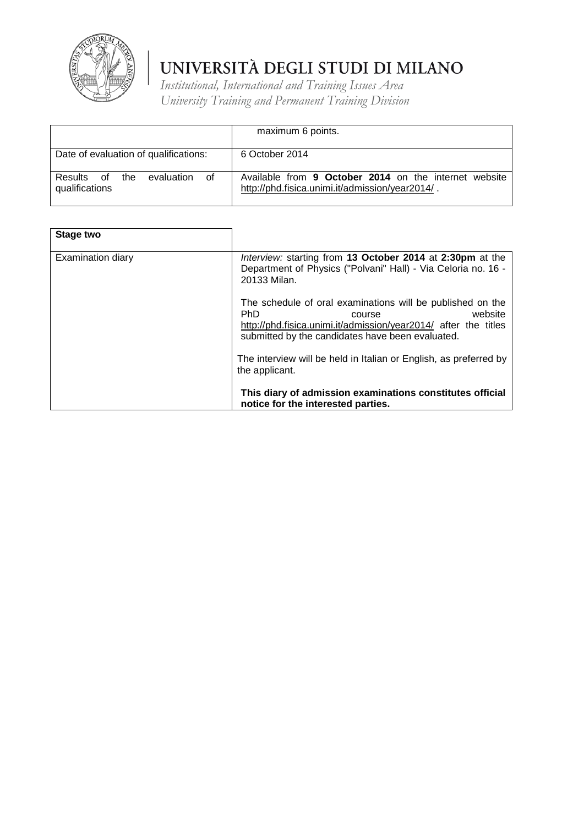

|                                                      | maximum 6 points.                                                                                        |
|------------------------------------------------------|----------------------------------------------------------------------------------------------------------|
| Date of evaluation of qualifications:                | 6 October 2014                                                                                           |
| Results of the<br>evaluation<br>of<br>qualifications | Available from 9 October 2014 on the internet website<br>http://phd.fisica.unimi.it/admission/year2014/. |

| <b>Stage two</b>         |                                                                                                                                                                                                                      |
|--------------------------|----------------------------------------------------------------------------------------------------------------------------------------------------------------------------------------------------------------------|
| <b>Examination diary</b> | Interview: starting from 13 October 2014 at 2:30pm at the<br>Department of Physics ("Polvani" Hall) - Via Celoria no. 16 -<br>20133 Milan.                                                                           |
|                          | The schedule of oral examinations will be published on the<br><b>PhD</b><br>website<br>course<br>http://phd.fisica.unimi.it/admission/year2014/ after the titles<br>submitted by the candidates have been evaluated. |
|                          | The interview will be held in Italian or English, as preferred by<br>the applicant.                                                                                                                                  |
|                          | This diary of admission examinations constitutes official<br>notice for the interested parties.                                                                                                                      |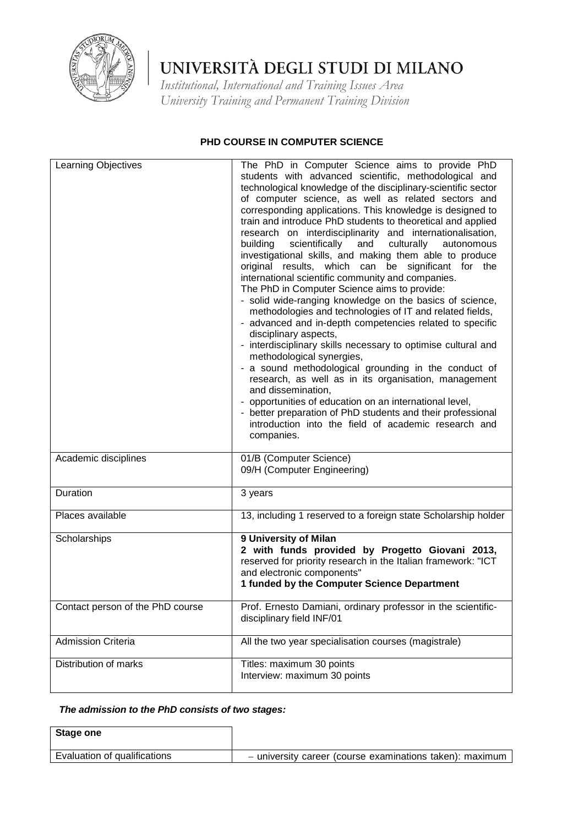

*Institutional, International and Training Issues Area University Training and Permanent Training Division*

### **PHD COURSE IN COMPUTER SCIENCE**

| <b>Learning Objectives</b>       | The PhD in Computer Science aims to provide PhD<br>students with advanced scientific, methodological and<br>technological knowledge of the disciplinary-scientific sector<br>of computer science, as well as related sectors and<br>corresponding applications. This knowledge is designed to<br>train and introduce PhD students to theoretical and applied<br>research on interdisciplinarity and internationalisation,<br>scientifically<br>building<br>culturally<br>and<br>autonomous<br>investigational skills, and making them able to produce<br>original results, which can be significant for the<br>international scientific community and companies.<br>The PhD in Computer Science aims to provide:<br>- solid wide-ranging knowledge on the basics of science,<br>methodologies and technologies of IT and related fields,<br>- advanced and in-depth competencies related to specific<br>disciplinary aspects,<br>- interdisciplinary skills necessary to optimise cultural and<br>methodological synergies,<br>- a sound methodological grounding in the conduct of<br>research, as well as in its organisation, management<br>and dissemination,<br>- opportunities of education on an international level,<br>- better preparation of PhD students and their professional<br>introduction into the field of academic research and<br>companies. |
|----------------------------------|-------------------------------------------------------------------------------------------------------------------------------------------------------------------------------------------------------------------------------------------------------------------------------------------------------------------------------------------------------------------------------------------------------------------------------------------------------------------------------------------------------------------------------------------------------------------------------------------------------------------------------------------------------------------------------------------------------------------------------------------------------------------------------------------------------------------------------------------------------------------------------------------------------------------------------------------------------------------------------------------------------------------------------------------------------------------------------------------------------------------------------------------------------------------------------------------------------------------------------------------------------------------------------------------------------------------------------------------------------------------|
| Academic disciplines             | 01/B (Computer Science)<br>09/H (Computer Engineering)                                                                                                                                                                                                                                                                                                                                                                                                                                                                                                                                                                                                                                                                                                                                                                                                                                                                                                                                                                                                                                                                                                                                                                                                                                                                                                            |
| Duration                         | 3 years                                                                                                                                                                                                                                                                                                                                                                                                                                                                                                                                                                                                                                                                                                                                                                                                                                                                                                                                                                                                                                                                                                                                                                                                                                                                                                                                                           |
| Places available                 | 13, including 1 reserved to a foreign state Scholarship holder                                                                                                                                                                                                                                                                                                                                                                                                                                                                                                                                                                                                                                                                                                                                                                                                                                                                                                                                                                                                                                                                                                                                                                                                                                                                                                    |
| Scholarships                     | 9 University of Milan<br>2 with funds provided by Progetto Giovani 2013,<br>reserved for priority research in the Italian framework: "ICT<br>and electronic components"<br>1 funded by the Computer Science Department                                                                                                                                                                                                                                                                                                                                                                                                                                                                                                                                                                                                                                                                                                                                                                                                                                                                                                                                                                                                                                                                                                                                            |
| Contact person of the PhD course | Prof. Ernesto Damiani, ordinary professor in the scientific-<br>disciplinary field INF/01                                                                                                                                                                                                                                                                                                                                                                                                                                                                                                                                                                                                                                                                                                                                                                                                                                                                                                                                                                                                                                                                                                                                                                                                                                                                         |
| <b>Admission Criteria</b>        | All the two year specialisation courses (magistrale)                                                                                                                                                                                                                                                                                                                                                                                                                                                                                                                                                                                                                                                                                                                                                                                                                                                                                                                                                                                                                                                                                                                                                                                                                                                                                                              |
| Distribution of marks            | Titles: maximum 30 points<br>Interview: maximum 30 points                                                                                                                                                                                                                                                                                                                                                                                                                                                                                                                                                                                                                                                                                                                                                                                                                                                                                                                                                                                                                                                                                                                                                                                                                                                                                                         |

### *The admission to the PhD consists of two stages:*

**Stage one** Evaluation of qualifications – university career (course examinations taken): maximum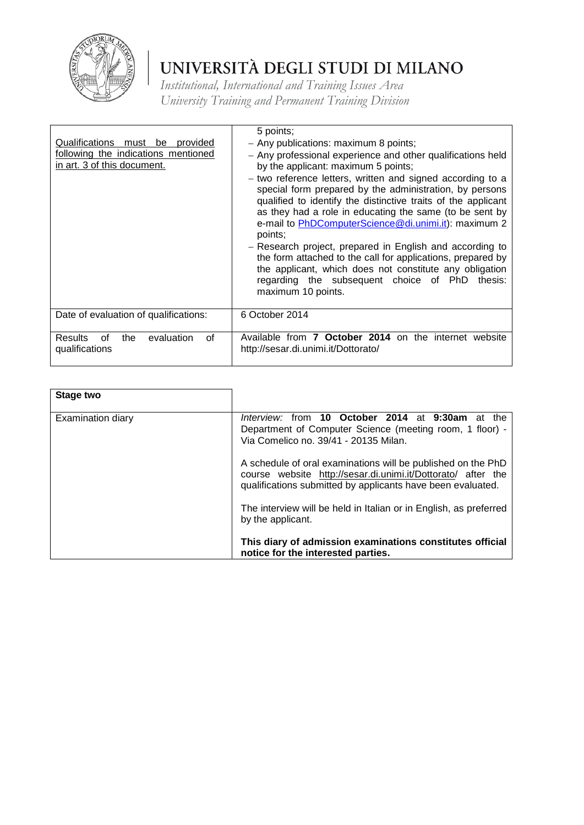

| Qualifications must be provided<br>following the indications mentioned<br>in art. 3 of this document. | 5 points;<br>- Any publications: maximum 8 points;<br>- Any professional experience and other qualifications held<br>by the applicant: maximum 5 points;<br>- two reference letters, written and signed according to a<br>special form prepared by the administration, by persons<br>qualified to identify the distinctive traits of the applicant<br>as they had a role in educating the same (to be sent by<br>e-mail to PhDComputerScience@di.unimi.it): maximum 2<br>points;<br>- Research project, prepared in English and according to<br>the form attached to the call for applications, prepared by<br>the applicant, which does not constitute any obligation<br>regarding the subsequent choice of PhD thesis:<br>maximum 10 points. |
|-------------------------------------------------------------------------------------------------------|------------------------------------------------------------------------------------------------------------------------------------------------------------------------------------------------------------------------------------------------------------------------------------------------------------------------------------------------------------------------------------------------------------------------------------------------------------------------------------------------------------------------------------------------------------------------------------------------------------------------------------------------------------------------------------------------------------------------------------------------|
| Date of evaluation of qualifications:                                                                 | 6 October 2014                                                                                                                                                                                                                                                                                                                                                                                                                                                                                                                                                                                                                                                                                                                                 |
| <b>Results</b><br>evaluation<br>the<br>0f<br>οf<br>qualifications                                     | Available from 7 October 2014 on the internet website<br>http://sesar.di.unimi.it/Dottorato/                                                                                                                                                                                                                                                                                                                                                                                                                                                                                                                                                                                                                                                   |

| Stage two                |                                                                                                                                                                                             |
|--------------------------|---------------------------------------------------------------------------------------------------------------------------------------------------------------------------------------------|
| <b>Examination diary</b> | Interview: from 10 October 2014 at 9:30am<br>at the<br>Department of Computer Science (meeting room, 1 floor) -<br>Via Comelico no. 39/41 - 20135 Milan.                                    |
|                          | A schedule of oral examinations will be published on the PhD<br>course website http://sesar.di.unimi.it/Dottorato/ after the<br>qualifications submitted by applicants have been evaluated. |
|                          | The interview will be held in Italian or in English, as preferred<br>by the applicant.                                                                                                      |
|                          | This diary of admission examinations constitutes official<br>notice for the interested parties.                                                                                             |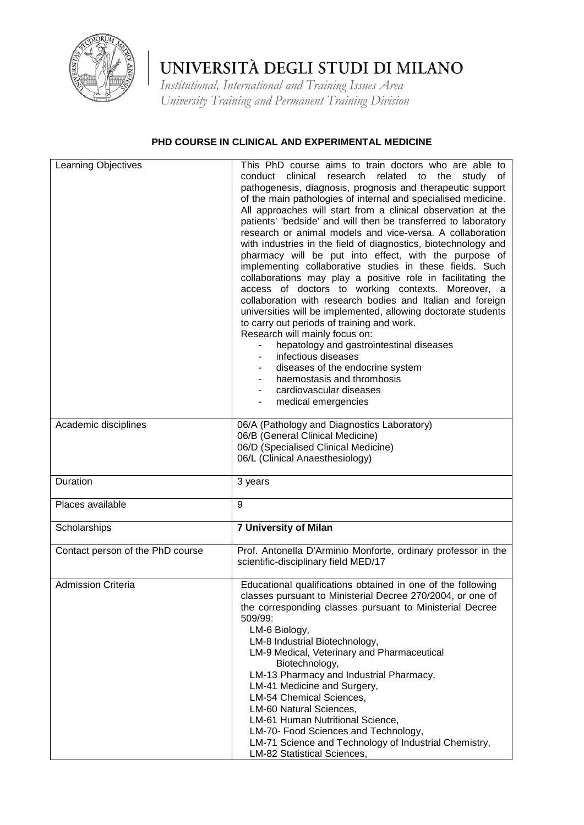

*Institutional, International and Training Issues Area University Training and Permanent Training Division*

### **PHD COURSE IN CLINICAL AND EXPERIMENTAL MEDICINE**

| Learning Objectives              | This PhD course aims to train doctors who are able to<br>clinical<br>conduct<br>research<br>related to the<br>study of<br>pathogenesis, diagnosis, prognosis and therapeutic support<br>of the main pathologies of internal and specialised medicine.<br>All approaches will start from a clinical observation at the<br>patients' 'bedside' and will then be transferred to laboratory<br>research or animal models and vice-versa. A collaboration<br>with industries in the field of diagnostics, biotechnology and<br>pharmacy will be put into effect, with the purpose of<br>implementing collaborative studies in these fields. Such<br>collaborations may play a positive role in facilitating the<br>access of doctors to working contexts. Moreover, a<br>collaboration with research bodies and Italian and foreign<br>universities will be implemented, allowing doctorate students<br>to carry out periods of training and work.<br>Research will mainly focus on:<br>hepatology and gastrointestinal diseases<br>infectious diseases<br>diseases of the endocrine system<br>haemostasis and thrombosis<br>cardiovascular diseases<br>medical emergencies |
|----------------------------------|------------------------------------------------------------------------------------------------------------------------------------------------------------------------------------------------------------------------------------------------------------------------------------------------------------------------------------------------------------------------------------------------------------------------------------------------------------------------------------------------------------------------------------------------------------------------------------------------------------------------------------------------------------------------------------------------------------------------------------------------------------------------------------------------------------------------------------------------------------------------------------------------------------------------------------------------------------------------------------------------------------------------------------------------------------------------------------------------------------------------------------------------------------------------|
| Academic disciplines             | 06/A (Pathology and Diagnostics Laboratory)<br>06/B (General Clinical Medicine)<br>06/D (Specialised Clinical Medicine)<br>06/L (Clinical Anaesthesiology)                                                                                                                                                                                                                                                                                                                                                                                                                                                                                                                                                                                                                                                                                                                                                                                                                                                                                                                                                                                                             |
| Duration                         | 3 years                                                                                                                                                                                                                                                                                                                                                                                                                                                                                                                                                                                                                                                                                                                                                                                                                                                                                                                                                                                                                                                                                                                                                                |
| Places available                 | 9                                                                                                                                                                                                                                                                                                                                                                                                                                                                                                                                                                                                                                                                                                                                                                                                                                                                                                                                                                                                                                                                                                                                                                      |
| Scholarships                     | <b>7 University of Milan</b>                                                                                                                                                                                                                                                                                                                                                                                                                                                                                                                                                                                                                                                                                                                                                                                                                                                                                                                                                                                                                                                                                                                                           |
| Contact person of the PhD course | Prof. Antonella D'Arminio Monforte, ordinary professor in the<br>scientific-disciplinary field MED/17                                                                                                                                                                                                                                                                                                                                                                                                                                                                                                                                                                                                                                                                                                                                                                                                                                                                                                                                                                                                                                                                  |
| <b>Admission Criteria</b>        | Educational qualifications obtained in one of the following<br>classes pursuant to Ministerial Decree 270/2004, or one of<br>the corresponding classes pursuant to Ministerial Decree<br>509/99:<br>LM-6 Biology,<br>LM-8 Industrial Biotechnology,<br>LM-9 Medical, Veterinary and Pharmaceutical<br>Biotechnology,<br>LM-13 Pharmacy and Industrial Pharmacy,<br>LM-41 Medicine and Surgery,<br>LM-54 Chemical Sciences,<br>LM-60 Natural Sciences,<br>LM-61 Human Nutritional Science,<br>LM-70- Food Sciences and Technology,<br>LM-71 Science and Technology of Industrial Chemistry,<br>LM-82 Statistical Sciences,                                                                                                                                                                                                                                                                                                                                                                                                                                                                                                                                              |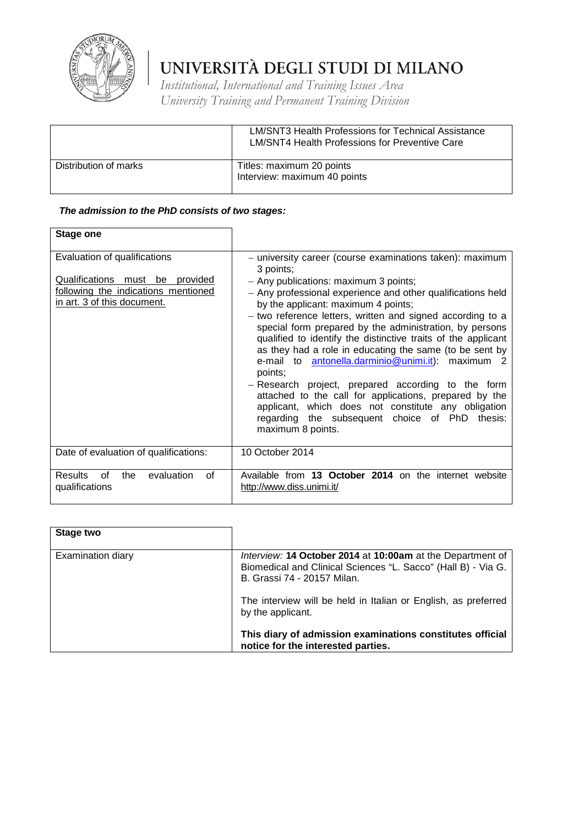

*Institutional, International and Training Issues Area University Training and Permanent Training Division*

|                       | <b>LM/SNT3 Health Professions for Technical Assistance</b><br>LM/SNT4 Health Professions for Preventive Care |
|-----------------------|--------------------------------------------------------------------------------------------------------------|
| Distribution of marks | Titles: maximum 20 points<br>Interview: maximum 40 points                                                    |

### *The admission to the PhD consists of two stages:*

| Stage one                                                                                                                                    |                                                                                                                                                                                                                                                                                                                                                                                                                                                                                                                                                                                                                                                                                                                                                                                         |
|----------------------------------------------------------------------------------------------------------------------------------------------|-----------------------------------------------------------------------------------------------------------------------------------------------------------------------------------------------------------------------------------------------------------------------------------------------------------------------------------------------------------------------------------------------------------------------------------------------------------------------------------------------------------------------------------------------------------------------------------------------------------------------------------------------------------------------------------------------------------------------------------------------------------------------------------------|
| Evaluation of qualifications<br><u>Qualifications must be provided</u><br>following the indications mentioned<br>in art. 3 of this document. | - university career (course examinations taken): maximum<br>3 points;<br>- Any publications: maximum 3 points;<br>- Any professional experience and other qualifications held<br>by the applicant: maximum 4 points;<br>- two reference letters, written and signed according to a<br>special form prepared by the administration, by persons<br>qualified to identify the distinctive traits of the applicant<br>as they had a role in educating the same (to be sent by<br>e-mail to antonella.darminio@unimi.it): maximum 2<br>points:<br>- Research project, prepared according to the form<br>attached to the call for applications, prepared by the<br>applicant, which does not constitute any obligation<br>regarding the subsequent choice of PhD thesis:<br>maximum 8 points. |
| Date of evaluation of qualifications:                                                                                                        | 10 October 2014                                                                                                                                                                                                                                                                                                                                                                                                                                                                                                                                                                                                                                                                                                                                                                         |
| <b>Results</b><br>evaluation<br>0f<br>the<br>Ωf<br>qualifications                                                                            | Available from 13 October 2014 on the internet website<br>http://www.diss.unimi.it/                                                                                                                                                                                                                                                                                                                                                                                                                                                                                                                                                                                                                                                                                                     |

| <b>Stage two</b>         |                                                                                                                                                            |
|--------------------------|------------------------------------------------------------------------------------------------------------------------------------------------------------|
| <b>Examination diary</b> | Interview: 14 October 2014 at 10:00am at the Department of<br>Biomedical and Clinical Sciences "L. Sacco" (Hall B) - Via G.<br>B. Grassi 74 - 20157 Milan. |
|                          | The interview will be held in Italian or English, as preferred<br>by the applicant.                                                                        |
|                          | This diary of admission examinations constitutes official<br>notice for the interested parties.                                                            |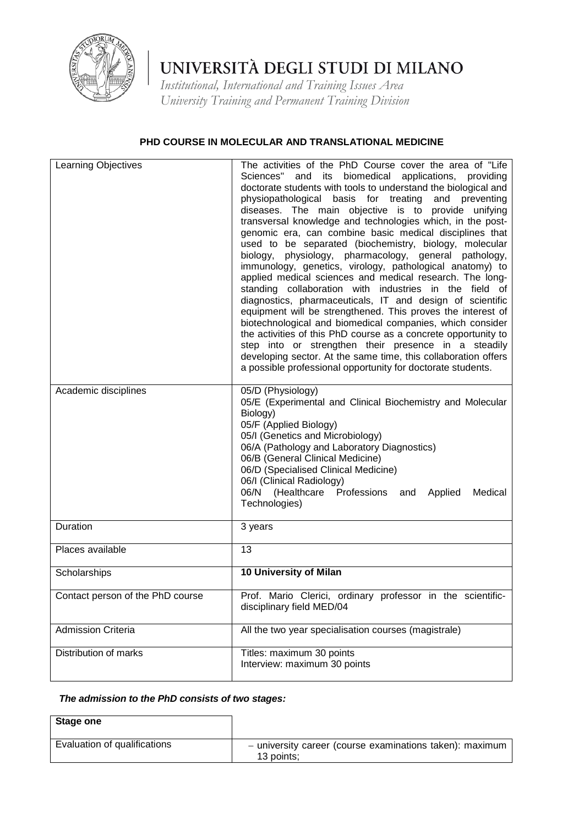

*Institutional, International and Training Issues Area University Training and Permanent Training Division*

### **PHD COURSE IN MOLECULAR AND TRANSLATIONAL MEDICINE**

| Learning Objectives              | The activities of the PhD Course cover the area of "Life<br>Sciences"<br>and its biomedical applications,<br>providing<br>doctorate students with tools to understand the biological and<br>physiopathological basis for treating and preventing<br>diseases. The main objective is to provide unifying<br>transversal knowledge and technologies which, in the post-<br>genomic era, can combine basic medical disciplines that<br>used to be separated (biochemistry, biology, molecular<br>physiology, pharmacology, general pathology,<br>biology,<br>immunology, genetics, virology, pathological anatomy) to<br>applied medical sciences and medical research. The long-<br>standing collaboration with industries in the field of<br>diagnostics, pharmaceuticals, IT and design of scientific<br>equipment will be strengthened. This proves the interest of<br>biotechnological and biomedical companies, which consider<br>the activities of this PhD course as a concrete opportunity to<br>step into or strengthen their presence in a steadily<br>developing sector. At the same time, this collaboration offers<br>a possible professional opportunity for doctorate students. |
|----------------------------------|----------------------------------------------------------------------------------------------------------------------------------------------------------------------------------------------------------------------------------------------------------------------------------------------------------------------------------------------------------------------------------------------------------------------------------------------------------------------------------------------------------------------------------------------------------------------------------------------------------------------------------------------------------------------------------------------------------------------------------------------------------------------------------------------------------------------------------------------------------------------------------------------------------------------------------------------------------------------------------------------------------------------------------------------------------------------------------------------------------------------------------------------------------------------------------------------|
| Academic disciplines             | 05/D (Physiology)<br>05/E (Experimental and Clinical Biochemistry and Molecular<br>Biology)<br>05/F (Applied Biology)<br>05/I (Genetics and Microbiology)<br>06/A (Pathology and Laboratory Diagnostics)<br>06/B (General Clinical Medicine)<br>06/D (Specialised Clinical Medicine)<br>06/I (Clinical Radiology)<br>06/N (Healthcare Professions and Applied<br>Medical<br>Technologies)                                                                                                                                                                                                                                                                                                                                                                                                                                                                                                                                                                                                                                                                                                                                                                                                    |
| Duration                         | 3 years                                                                                                                                                                                                                                                                                                                                                                                                                                                                                                                                                                                                                                                                                                                                                                                                                                                                                                                                                                                                                                                                                                                                                                                      |
| Places available                 | 13                                                                                                                                                                                                                                                                                                                                                                                                                                                                                                                                                                                                                                                                                                                                                                                                                                                                                                                                                                                                                                                                                                                                                                                           |
| Scholarships                     | 10 University of Milan                                                                                                                                                                                                                                                                                                                                                                                                                                                                                                                                                                                                                                                                                                                                                                                                                                                                                                                                                                                                                                                                                                                                                                       |
| Contact person of the PhD course | Prof. Mario Clerici, ordinary professor in the scientific-<br>disciplinary field MED/04                                                                                                                                                                                                                                                                                                                                                                                                                                                                                                                                                                                                                                                                                                                                                                                                                                                                                                                                                                                                                                                                                                      |
| <b>Admission Criteria</b>        | All the two year specialisation courses (magistrale)                                                                                                                                                                                                                                                                                                                                                                                                                                                                                                                                                                                                                                                                                                                                                                                                                                                                                                                                                                                                                                                                                                                                         |
| Distribution of marks            | Titles: maximum 30 points<br>Interview: maximum 30 points                                                                                                                                                                                                                                                                                                                                                                                                                                                                                                                                                                                                                                                                                                                                                                                                                                                                                                                                                                                                                                                                                                                                    |

## *The admission to the PhD consists of two stages:*

| Stage one                    |                                                                        |
|------------------------------|------------------------------------------------------------------------|
| Evaluation of qualifications | - university career (course examinations taken): maximum<br>13 points: |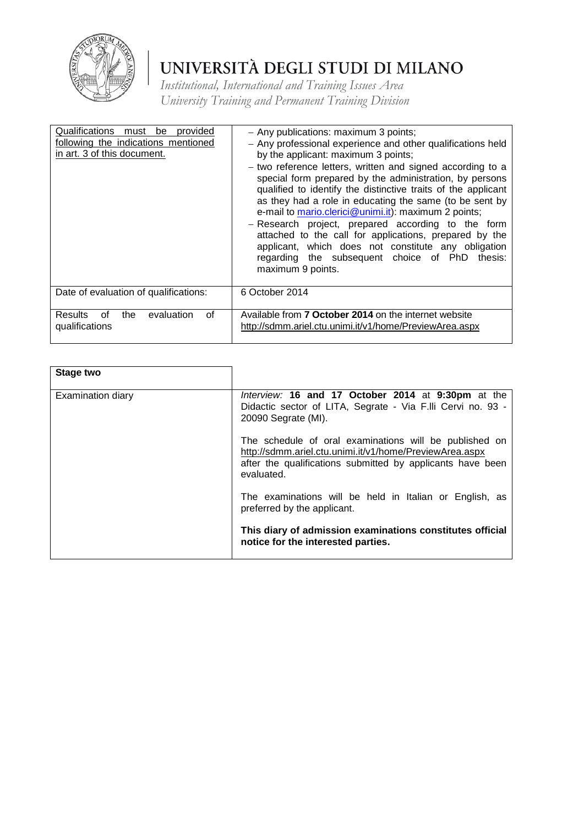

| Qualifications must be provided<br>following the indications mentioned<br>in art. 3 of this document. | - Any publications: maximum 3 points;<br>- Any professional experience and other qualifications held<br>by the applicant: maximum 3 points;<br>- two reference letters, written and signed according to a<br>special form prepared by the administration, by persons<br>qualified to identify the distinctive traits of the applicant<br>as they had a role in educating the same (to be sent by<br>e-mail to mario.clerici@unimi.it): maximum 2 points;<br>- Research project, prepared according to the form<br>attached to the call for applications, prepared by the<br>applicant, which does not constitute any obligation<br>regarding the subsequent choice of PhD<br>thesis:<br>maximum 9 points. |
|-------------------------------------------------------------------------------------------------------|-----------------------------------------------------------------------------------------------------------------------------------------------------------------------------------------------------------------------------------------------------------------------------------------------------------------------------------------------------------------------------------------------------------------------------------------------------------------------------------------------------------------------------------------------------------------------------------------------------------------------------------------------------------------------------------------------------------|
| Date of evaluation of qualifications:                                                                 | 6 October 2014                                                                                                                                                                                                                                                                                                                                                                                                                                                                                                                                                                                                                                                                                            |
| evaluation<br><b>Results</b><br>the<br>οf<br>of<br>qualifications                                     | Available from <b>7 October 2014</b> on the internet website<br>http://sdmm.ariel.ctu.unimi.it/v1/home/PreviewArea.aspx                                                                                                                                                                                                                                                                                                                                                                                                                                                                                                                                                                                   |

| Stage two                |                                                                                                                                                                                               |
|--------------------------|-----------------------------------------------------------------------------------------------------------------------------------------------------------------------------------------------|
| <b>Examination diary</b> | Interview: 16 and 17 October 2014 at 9:30pm at the<br>Didactic sector of LITA, Segrate - Via F.IIi Cervi no. 93 -<br>20090 Segrate (MI).                                                      |
|                          | The schedule of oral examinations will be published on<br>http://sdmm.ariel.ctu.unimi.it/v1/home/PreviewArea.aspx<br>after the qualifications submitted by applicants have been<br>evaluated. |
|                          | The examinations will be held in Italian or English, as<br>preferred by the applicant.                                                                                                        |
|                          | This diary of admission examinations constitutes official<br>notice for the interested parties.                                                                                               |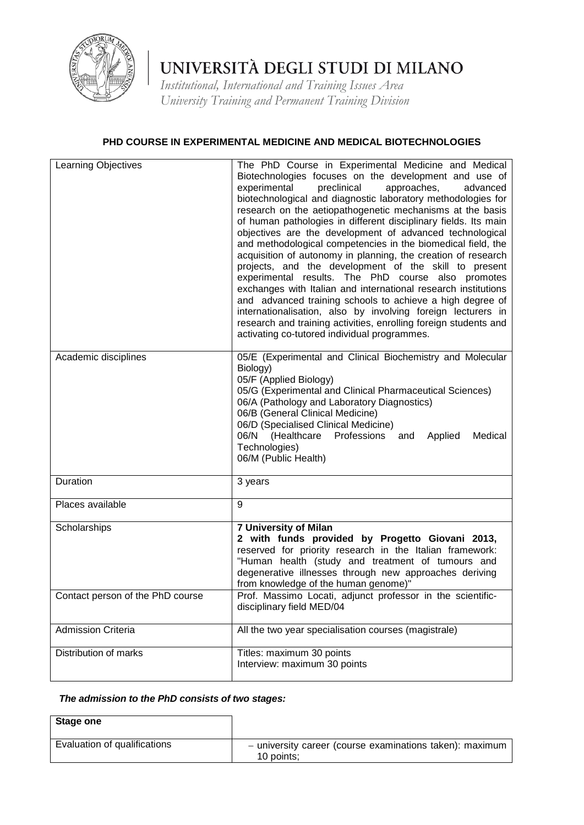

*Institutional, International and Training Issues Area University Training and Permanent Training Division*

### **PHD COURSE IN EXPERIMENTAL MEDICINE AND MEDICAL BIOTECHNOLOGIES**

| Learning Objectives              | The PhD Course in Experimental Medicine and Medical<br>Biotechnologies focuses on the development and use of<br>experimental<br>preclinical<br>approaches,<br>advanced<br>biotechnological and diagnostic laboratory methodologies for<br>research on the aetiopathogenetic mechanisms at the basis<br>of human pathologies in different disciplinary fields. Its main<br>objectives are the development of advanced technological<br>and methodological competencies in the biomedical field, the<br>acquisition of autonomy in planning, the creation of research<br>projects, and the development of the skill to present<br>experimental results. The PhD course also promotes<br>exchanges with Italian and international research institutions<br>and advanced training schools to achieve a high degree of<br>internationalisation, also by involving foreign lecturers in<br>research and training activities, enrolling foreign students and<br>activating co-tutored individual programmes. |
|----------------------------------|-------------------------------------------------------------------------------------------------------------------------------------------------------------------------------------------------------------------------------------------------------------------------------------------------------------------------------------------------------------------------------------------------------------------------------------------------------------------------------------------------------------------------------------------------------------------------------------------------------------------------------------------------------------------------------------------------------------------------------------------------------------------------------------------------------------------------------------------------------------------------------------------------------------------------------------------------------------------------------------------------------|
| Academic disciplines             | 05/E (Experimental and Clinical Biochemistry and Molecular<br>Biology)<br>05/F (Applied Biology)<br>05/G (Experimental and Clinical Pharmaceutical Sciences)<br>06/A (Pathology and Laboratory Diagnostics)<br>06/B (General Clinical Medicine)<br>06/D (Specialised Clinical Medicine)<br>Professions and<br>06/N (Healthcare<br>Applied<br>Medical<br>Technologies)<br>06/M (Public Health)                                                                                                                                                                                                                                                                                                                                                                                                                                                                                                                                                                                                         |
| Duration                         | 3 years                                                                                                                                                                                                                                                                                                                                                                                                                                                                                                                                                                                                                                                                                                                                                                                                                                                                                                                                                                                               |
| Places available                 | 9                                                                                                                                                                                                                                                                                                                                                                                                                                                                                                                                                                                                                                                                                                                                                                                                                                                                                                                                                                                                     |
| Scholarships                     | <b>7 University of Milan</b><br>2 with funds provided by Progetto Giovani 2013,<br>reserved for priority research in the Italian framework:<br>"Human health (study and treatment of tumours and<br>degenerative illnesses through new approaches deriving<br>from knowledge of the human genome)"                                                                                                                                                                                                                                                                                                                                                                                                                                                                                                                                                                                                                                                                                                    |
| Contact person of the PhD course | Prof. Massimo Locati, adjunct professor in the scientific-<br>disciplinary field MED/04                                                                                                                                                                                                                                                                                                                                                                                                                                                                                                                                                                                                                                                                                                                                                                                                                                                                                                               |
| <b>Admission Criteria</b>        | All the two year specialisation courses (magistrale)                                                                                                                                                                                                                                                                                                                                                                                                                                                                                                                                                                                                                                                                                                                                                                                                                                                                                                                                                  |
| Distribution of marks            | Titles: maximum 30 points<br>Interview: maximum 30 points                                                                                                                                                                                                                                                                                                                                                                                                                                                                                                                                                                                                                                                                                                                                                                                                                                                                                                                                             |

## *The admission to the PhD consists of two stages:*

| Stage one                    |                                                                        |
|------------------------------|------------------------------------------------------------------------|
| Evaluation of qualifications | - university career (course examinations taken): maximum<br>10 points: |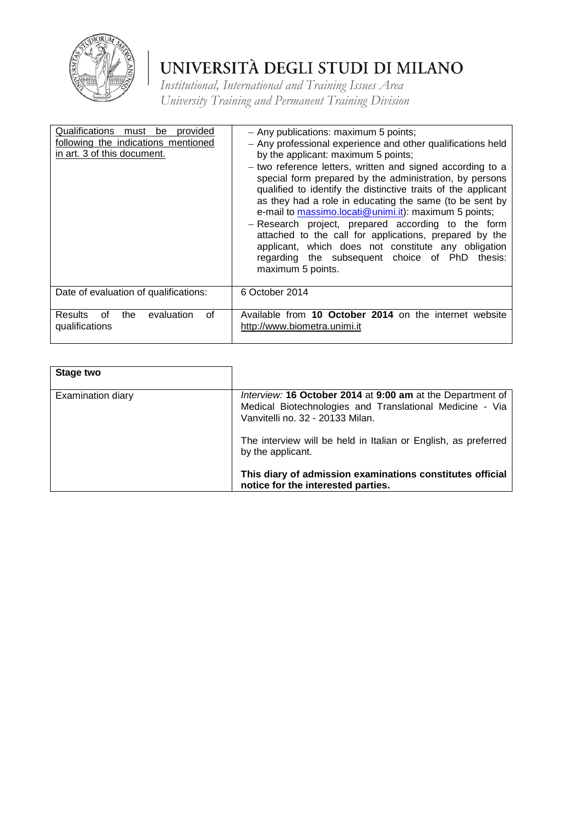

| Qualifications must be provided<br>following the indications mentioned<br>in art. 3 of this document. | - Any publications: maximum 5 points;<br>- Any professional experience and other qualifications held<br>by the applicant: maximum 5 points;<br>- two reference letters, written and signed according to a<br>special form prepared by the administration, by persons<br>qualified to identify the distinctive traits of the applicant<br>as they had a role in educating the same (to be sent by<br>e-mail to massimo.locati@unimi.it): maximum 5 points;<br>- Research project, prepared according to the form<br>attached to the call for applications, prepared by the<br>applicant, which does not constitute any obligation<br>regarding the subsequent choice of PhD<br>thesis:<br>maximum 5 points. |
|-------------------------------------------------------------------------------------------------------|------------------------------------------------------------------------------------------------------------------------------------------------------------------------------------------------------------------------------------------------------------------------------------------------------------------------------------------------------------------------------------------------------------------------------------------------------------------------------------------------------------------------------------------------------------------------------------------------------------------------------------------------------------------------------------------------------------|
| Date of evaluation of qualifications:                                                                 | 6 October 2014                                                                                                                                                                                                                                                                                                                                                                                                                                                                                                                                                                                                                                                                                             |
| evaluation<br>οf<br><b>Results</b><br>the<br>of<br>qualifications                                     | Available from 10 October 2014 on the internet website<br>http://www.biometra.unimi.it                                                                                                                                                                                                                                                                                                                                                                                                                                                                                                                                                                                                                     |

| <b>Stage two</b>         |                                                                                                                                                            |
|--------------------------|------------------------------------------------------------------------------------------------------------------------------------------------------------|
| <b>Examination diary</b> | Interview: 16 October 2014 at 9:00 am at the Department of<br>Medical Biotechnologies and Translational Medicine - Via<br>Vanvitelli no. 32 - 20133 Milan. |
|                          | The interview will be held in Italian or English, as preferred<br>by the applicant.                                                                        |
|                          | This diary of admission examinations constitutes official<br>notice for the interested parties.                                                            |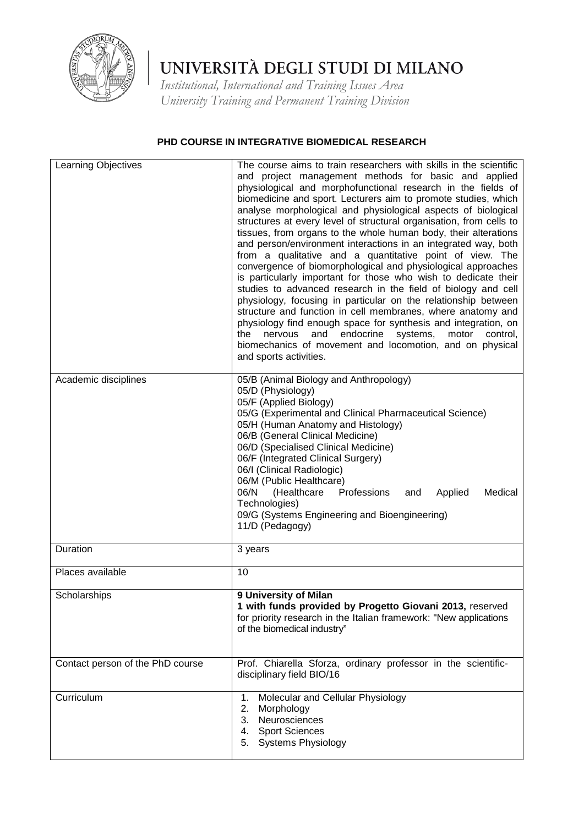

*Institutional, International and Training Issues Area University Training and Permanent Training Division*

### **PHD COURSE IN INTEGRATIVE BIOMEDICAL RESEARCH**

| Learning Objectives              | The course aims to train researchers with skills in the scientific<br>and project management methods for basic and applied<br>physiological and morphofunctional research in the fields of<br>biomedicine and sport. Lecturers aim to promote studies, which<br>analyse morphological and physiological aspects of biological<br>structures at every level of structural organisation, from cells to<br>tissues, from organs to the whole human body, their alterations<br>and person/environment interactions in an integrated way, both<br>from a qualitative and a quantitative point of view. The<br>convergence of biomorphological and physiological approaches<br>is particularly important for those who wish to dedicate their<br>studies to advanced research in the field of biology and cell<br>physiology, focusing in particular on the relationship between<br>structure and function in cell membranes, where anatomy and<br>physiology find enough space for synthesis and integration, on<br>and<br>endocrine<br>systems,<br>the<br>nervous<br>motor<br>control,<br>biomechanics of movement and locomotion, and on physical<br>and sports activities. |
|----------------------------------|--------------------------------------------------------------------------------------------------------------------------------------------------------------------------------------------------------------------------------------------------------------------------------------------------------------------------------------------------------------------------------------------------------------------------------------------------------------------------------------------------------------------------------------------------------------------------------------------------------------------------------------------------------------------------------------------------------------------------------------------------------------------------------------------------------------------------------------------------------------------------------------------------------------------------------------------------------------------------------------------------------------------------------------------------------------------------------------------------------------------------------------------------------------------------|
| Academic disciplines             | 05/B (Animal Biology and Anthropology)<br>05/D (Physiology)<br>05/F (Applied Biology)<br>05/G (Experimental and Clinical Pharmaceutical Science)<br>05/H (Human Anatomy and Histology)<br>06/B (General Clinical Medicine)<br>06/D (Specialised Clinical Medicine)<br>06/F (Integrated Clinical Surgery)<br>06/I (Clinical Radiologic)<br>06/M (Public Healthcare)<br>06/N<br>(Healthcare<br>Professions<br>Medical<br>and<br>Applied<br>Technologies)<br>09/G (Systems Engineering and Bioengineering)<br>11/D (Pedagogy)                                                                                                                                                                                                                                                                                                                                                                                                                                                                                                                                                                                                                                               |
| Duration                         | 3 years                                                                                                                                                                                                                                                                                                                                                                                                                                                                                                                                                                                                                                                                                                                                                                                                                                                                                                                                                                                                                                                                                                                                                                  |
| Places available                 | 10                                                                                                                                                                                                                                                                                                                                                                                                                                                                                                                                                                                                                                                                                                                                                                                                                                                                                                                                                                                                                                                                                                                                                                       |
| Scholarships                     | 9 University of Milan<br>1 with funds provided by Progetto Giovani 2013, reserved<br>for priority research in the Italian framework: "New applications<br>of the biomedical industry"                                                                                                                                                                                                                                                                                                                                                                                                                                                                                                                                                                                                                                                                                                                                                                                                                                                                                                                                                                                    |
| Contact person of the PhD course | Prof. Chiarella Sforza, ordinary professor in the scientific-<br>disciplinary field BIO/16                                                                                                                                                                                                                                                                                                                                                                                                                                                                                                                                                                                                                                                                                                                                                                                                                                                                                                                                                                                                                                                                               |
| Curriculum                       | Molecular and Cellular Physiology<br>1.<br>2.<br>Morphology<br>3. Neurosciences<br><b>Sport Sciences</b><br>4.<br><b>Systems Physiology</b><br>5.                                                                                                                                                                                                                                                                                                                                                                                                                                                                                                                                                                                                                                                                                                                                                                                                                                                                                                                                                                                                                        |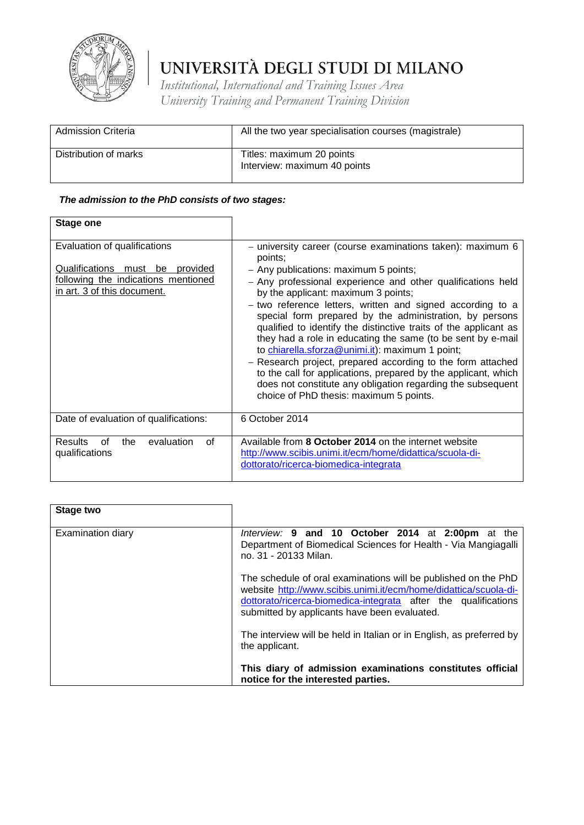

 $\mathbf{r}$ 

### UNIVERSITÀ DEGLI STUDI DI MILANO

*Institutional, International and Training Issues Area University Training and Permanent Training Division*

| <b>Admission Criteria</b> | All the two year specialisation courses (magistrale)      |
|---------------------------|-----------------------------------------------------------|
| Distribution of marks     | Titles: maximum 20 points<br>Interview: maximum 40 points |

| <b>Stage one</b>                                                                                                                            |                                                                                                                                                                                                                                                                                                                                                                                                                                                                                                                                                                                                                                                                                                                                                                                |
|---------------------------------------------------------------------------------------------------------------------------------------------|--------------------------------------------------------------------------------------------------------------------------------------------------------------------------------------------------------------------------------------------------------------------------------------------------------------------------------------------------------------------------------------------------------------------------------------------------------------------------------------------------------------------------------------------------------------------------------------------------------------------------------------------------------------------------------------------------------------------------------------------------------------------------------|
| Evaluation of qualifications<br>Qualifications<br>be provided<br>must<br>following the indications mentioned<br>in art. 3 of this document. | - university career (course examinations taken): maximum 6<br>points;<br>- Any publications: maximum 5 points;<br>- Any professional experience and other qualifications held<br>by the applicant: maximum 3 points;<br>- two reference letters, written and signed according to a<br>special form prepared by the administration, by persons<br>qualified to identify the distinctive traits of the applicant as<br>they had a role in educating the same (to be sent by e-mail<br>to chiarella.sforza@unimi.it): maximum 1 point;<br>- Research project, prepared according to the form attached<br>to the call for applications, prepared by the applicant, which<br>does not constitute any obligation regarding the subsequent<br>choice of PhD thesis: maximum 5 points. |
| Date of evaluation of qualifications:                                                                                                       | 6 October 2014                                                                                                                                                                                                                                                                                                                                                                                                                                                                                                                                                                                                                                                                                                                                                                 |
| <b>Results</b><br>of<br>the<br>evaluation<br>of<br>qualifications                                                                           | Available from 8 October 2014 on the internet website<br>http://www.scibis.unimi.it/ecm/home/didattica/scuola-di-<br>dottorato/ricerca-biomedica-integrata                                                                                                                                                                                                                                                                                                                                                                                                                                                                                                                                                                                                                     |

| Stage two         |                                                                                                                                                                                                                                                      |
|-------------------|------------------------------------------------------------------------------------------------------------------------------------------------------------------------------------------------------------------------------------------------------|
| Examination diary | Interview: 9 and 10 October 2014 at 2:00pm at the<br>Department of Biomedical Sciences for Health - Via Mangiagalli<br>no. 31 - 20133 Milan.                                                                                                         |
|                   | The schedule of oral examinations will be published on the PhD<br>website http://www.scibis.unimi.it/ecm/home/didattica/scuola-di-<br>dottorato/ricerca-biomedica-integrata after the qualifications<br>submitted by applicants have been evaluated. |
|                   | The interview will be held in Italian or in English, as preferred by<br>the applicant.                                                                                                                                                               |
|                   | This diary of admission examinations constitutes official<br>notice for the interested parties.                                                                                                                                                      |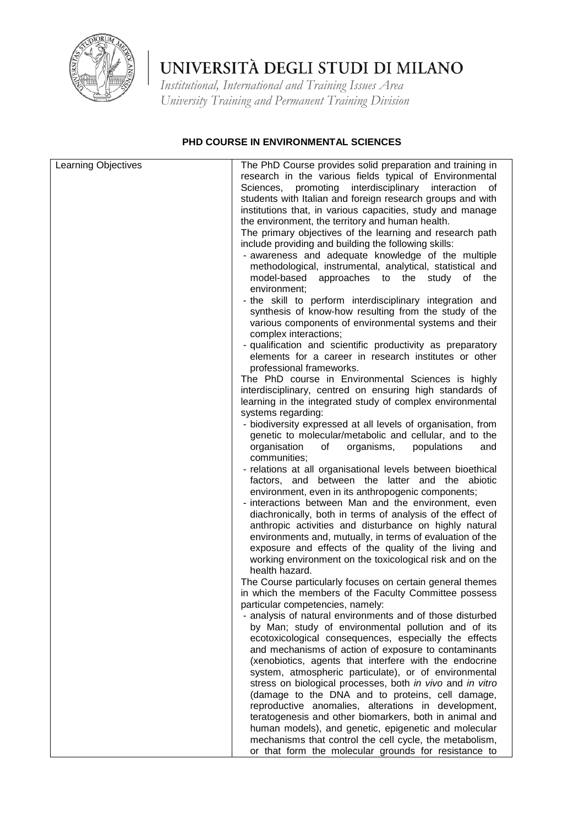

*Institutional, International and Training Issues Area University Training and Permanent Training Division*

### **PHD COURSE IN ENVIRONMENTAL SCIENCES**

| Learning Objectives | The PhD Course provides solid preparation and training in<br>research in the various fields typical of Environmental<br>Sciences, promoting interdisciplinary<br>interaction<br>οf<br>students with Italian and foreign research groups and with<br>institutions that, in various capacities, study and manage<br>the environment, the territory and human health.<br>The primary objectives of the learning and research path<br>include providing and building the following skills:<br>- awareness and adequate knowledge of the multiple<br>methodological, instrumental, analytical, statistical and<br>model-based<br>approaches to the<br>study<br>of<br>the<br>environment; |
|---------------------|-------------------------------------------------------------------------------------------------------------------------------------------------------------------------------------------------------------------------------------------------------------------------------------------------------------------------------------------------------------------------------------------------------------------------------------------------------------------------------------------------------------------------------------------------------------------------------------------------------------------------------------------------------------------------------------|
|                     | - the skill to perform interdisciplinary integration and<br>synthesis of know-how resulting from the study of the<br>various components of environmental systems and their<br>complex interactions;<br>- qualification and scientific productivity as preparatory                                                                                                                                                                                                                                                                                                                                                                                                                   |
|                     | elements for a career in research institutes or other                                                                                                                                                                                                                                                                                                                                                                                                                                                                                                                                                                                                                               |
|                     | professional frameworks.<br>The PhD course in Environmental Sciences is highly<br>interdisciplinary, centred on ensuring high standards of<br>learning in the integrated study of complex environmental                                                                                                                                                                                                                                                                                                                                                                                                                                                                             |
|                     | systems regarding:<br>- biodiversity expressed at all levels of organisation, from<br>genetic to molecular/metabolic and cellular, and to the<br>organisms,<br>populations<br>organisation<br>of<br>and<br>communities;                                                                                                                                                                                                                                                                                                                                                                                                                                                             |
|                     | - relations at all organisational levels between bioethical<br>factors, and between the latter and the abiotic<br>environment, even in its anthropogenic components;<br>- interactions between Man and the environment, even                                                                                                                                                                                                                                                                                                                                                                                                                                                        |
|                     | diachronically, both in terms of analysis of the effect of<br>anthropic activities and disturbance on highly natural<br>environments and, mutually, in terms of evaluation of the<br>exposure and effects of the quality of the living and<br>working environment on the toxicological risk and on the<br>health hazard.                                                                                                                                                                                                                                                                                                                                                            |
|                     | The Course particularly focuses on certain general themes<br>in which the members of the Faculty Committee possess                                                                                                                                                                                                                                                                                                                                                                                                                                                                                                                                                                  |
|                     | particular competencies, namely:                                                                                                                                                                                                                                                                                                                                                                                                                                                                                                                                                                                                                                                    |
|                     | - analysis of natural environments and of those disturbed<br>by Man; study of environmental pollution and of its<br>ecotoxicological consequences, especially the effects                                                                                                                                                                                                                                                                                                                                                                                                                                                                                                           |
|                     | and mechanisms of action of exposure to contaminants<br>(xenobiotics, agents that interfere with the endocrine<br>system, atmospheric particulate), or of environmental<br>stress on biological processes, both in vivo and in vitro                                                                                                                                                                                                                                                                                                                                                                                                                                                |
|                     | (damage to the DNA and to proteins, cell damage,                                                                                                                                                                                                                                                                                                                                                                                                                                                                                                                                                                                                                                    |
|                     | reproductive anomalies, alterations in development,<br>teratogenesis and other biomarkers, both in animal and<br>human models), and genetic, epigenetic and molecular                                                                                                                                                                                                                                                                                                                                                                                                                                                                                                               |
|                     | mechanisms that control the cell cycle, the metabolism,<br>or that form the molecular grounds for resistance to                                                                                                                                                                                                                                                                                                                                                                                                                                                                                                                                                                     |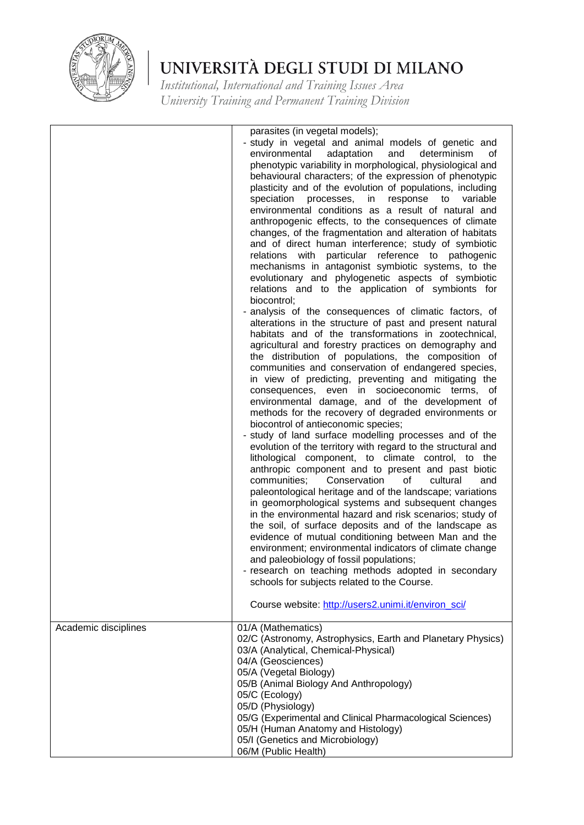

|                      | parasites (in vegetal models);<br>- study in vegetal and animal models of genetic and<br>environmental<br>adaptation<br>and<br>determinism<br>οf<br>phenotypic variability in morphological, physiological and<br>behavioural characters; of the expression of phenotypic<br>plasticity and of the evolution of populations, including<br>speciation processes, in<br>response<br>variable<br>to<br>environmental conditions as a result of natural and<br>anthropogenic effects, to the consequences of climate<br>changes, of the fragmentation and alteration of habitats<br>and of direct human interference; study of symbiotic<br>relations with particular reference to pathogenic<br>mechanisms in antagonist symbiotic systems, to the<br>evolutionary and phylogenetic aspects of symbiotic<br>relations and to the application of symbionts for<br>biocontrol;<br>- analysis of the consequences of climatic factors, of<br>alterations in the structure of past and present natural<br>habitats and of the transformations in zootechnical,<br>agricultural and forestry practices on demography and<br>the distribution of populations, the composition of<br>communities and conservation of endangered species,<br>in view of predicting, preventing and mitigating the<br>consequences, even in socioeconomic terms, of<br>environmental damage, and of the development of<br>methods for the recovery of degraded environments or<br>biocontrol of antieconomic species;<br>- study of land surface modelling processes and of the<br>evolution of the territory with regard to the structural and<br>lithological component, to climate control, to the<br>anthropic component and to present and past biotic<br>Conservation<br>communities;<br>0f<br>cultural<br>and<br>paleontological heritage and of the landscape; variations<br>in geomorphological systems and subsequent changes<br>in the environmental hazard and risk scenarios; study of<br>the soil, of surface deposits and of the landscape as<br>evidence of mutual conditioning between Man and the<br>environment; environmental indicators of climate change<br>and paleobiology of fossil populations;<br>- research on teaching methods adopted in secondary<br>schools for subjects related to the Course.<br>Course website: http://users2.unimi.it/environ_sci/ |
|----------------------|------------------------------------------------------------------------------------------------------------------------------------------------------------------------------------------------------------------------------------------------------------------------------------------------------------------------------------------------------------------------------------------------------------------------------------------------------------------------------------------------------------------------------------------------------------------------------------------------------------------------------------------------------------------------------------------------------------------------------------------------------------------------------------------------------------------------------------------------------------------------------------------------------------------------------------------------------------------------------------------------------------------------------------------------------------------------------------------------------------------------------------------------------------------------------------------------------------------------------------------------------------------------------------------------------------------------------------------------------------------------------------------------------------------------------------------------------------------------------------------------------------------------------------------------------------------------------------------------------------------------------------------------------------------------------------------------------------------------------------------------------------------------------------------------------------------------------------------------------------------------------------------------------------------------------------------------------------------------------------------------------------------------------------------------------------------------------------------------------------------------------------------------------------------------------------------------------------------------------------------------------------------------------------------------------------------------------------------------------------|
| Academic disciplines | 01/A (Mathematics)<br>02/C (Astronomy, Astrophysics, Earth and Planetary Physics)<br>03/A (Analytical, Chemical-Physical)<br>04/A (Geosciences)<br>05/A (Vegetal Biology)<br>05/B (Animal Biology And Anthropology)<br>05/C (Ecology)<br>05/D (Physiology)                                                                                                                                                                                                                                                                                                                                                                                                                                                                                                                                                                                                                                                                                                                                                                                                                                                                                                                                                                                                                                                                                                                                                                                                                                                                                                                                                                                                                                                                                                                                                                                                                                                                                                                                                                                                                                                                                                                                                                                                                                                                                                 |
|                      | 05/G (Experimental and Clinical Pharmacological Sciences)<br>05/H (Human Anatomy and Histology)<br>05/I (Genetics and Microbiology)<br>06/M (Public Health)                                                                                                                                                                                                                                                                                                                                                                                                                                                                                                                                                                                                                                                                                                                                                                                                                                                                                                                                                                                                                                                                                                                                                                                                                                                                                                                                                                                                                                                                                                                                                                                                                                                                                                                                                                                                                                                                                                                                                                                                                                                                                                                                                                                                |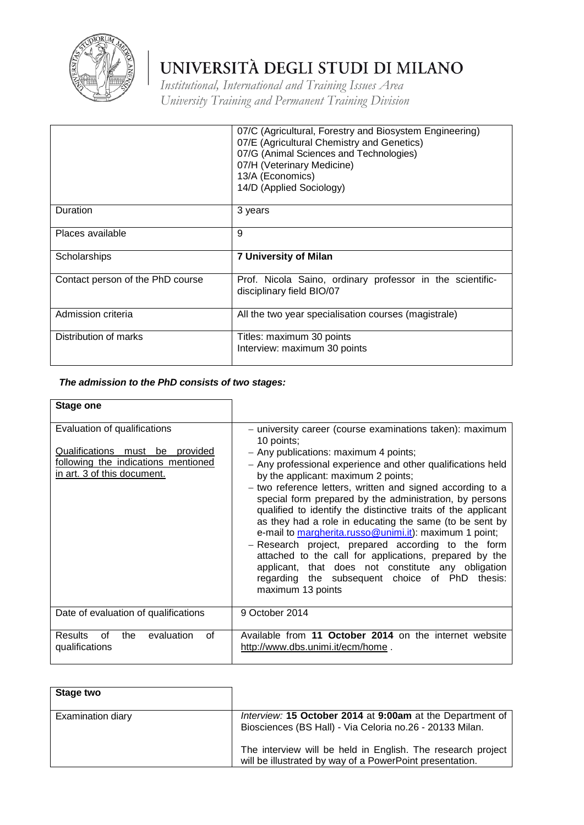

*Institutional, International and Training Issues Area University Training and Permanent Training Division*

|                                  | 07/C (Agricultural, Forestry and Biosystem Engineering)<br>07/E (Agricultural Chemistry and Genetics)<br>07/G (Animal Sciences and Technologies)<br>07/H (Veterinary Medicine)<br>13/A (Economics)<br>14/D (Applied Sociology) |
|----------------------------------|--------------------------------------------------------------------------------------------------------------------------------------------------------------------------------------------------------------------------------|
| Duration                         | 3 years                                                                                                                                                                                                                        |
| Places available                 | 9                                                                                                                                                                                                                              |
| Scholarships                     | <b>7 University of Milan</b>                                                                                                                                                                                                   |
| Contact person of the PhD course | Prof. Nicola Saino, ordinary professor in the scientific-<br>disciplinary field BIO/07                                                                                                                                         |
| Admission criteria               | All the two year specialisation courses (magistrale)                                                                                                                                                                           |
| Distribution of marks            | Titles: maximum 30 points<br>Interview: maximum 30 points                                                                                                                                                                      |

| <b>Stage one</b>                                                                                                                      |                                                                                                                                                                                                                                                                                                                                                                                                                                                                                                                                                                                                                                                                                                                                                                                      |
|---------------------------------------------------------------------------------------------------------------------------------------|--------------------------------------------------------------------------------------------------------------------------------------------------------------------------------------------------------------------------------------------------------------------------------------------------------------------------------------------------------------------------------------------------------------------------------------------------------------------------------------------------------------------------------------------------------------------------------------------------------------------------------------------------------------------------------------------------------------------------------------------------------------------------------------|
| Evaluation of qualifications<br>Qualifications must be provided<br>following the indications mentioned<br>in art. 3 of this document. | - university career (course examinations taken): maximum<br>10 points;<br>- Any publications: maximum 4 points;<br>- Any professional experience and other qualifications held<br>by the applicant: maximum 2 points;<br>- two reference letters, written and signed according to a<br>special form prepared by the administration, by persons<br>qualified to identify the distinctive traits of the applicant<br>as they had a role in educating the same (to be sent by<br>e-mail to margherita.russo@unimi.it): maximum 1 point;<br>- Research project, prepared according to the form<br>attached to the call for applications, prepared by the<br>applicant, that does not constitute any obligation<br>regarding the subsequent choice of PhD<br>thesis:<br>maximum 13 points |
| Date of evaluation of qualifications                                                                                                  | 9 October 2014                                                                                                                                                                                                                                                                                                                                                                                                                                                                                                                                                                                                                                                                                                                                                                       |
| <b>Results</b><br>evaluation<br>0f<br>of<br>the<br>qualifications                                                                     | Available from 11 October 2014 on the internet website<br>http://www.dbs.unimi.it/ecm/home.                                                                                                                                                                                                                                                                                                                                                                                                                                                                                                                                                                                                                                                                                          |

| Stage two         |                                                                                                                         |
|-------------------|-------------------------------------------------------------------------------------------------------------------------|
| Examination diary | Interview: 15 October 2014 at 9:00am at the Department of<br>Biosciences (BS Hall) - Via Celoria no.26 - 20133 Milan.   |
|                   | The interview will be held in English. The research project<br>will be illustrated by way of a PowerPoint presentation. |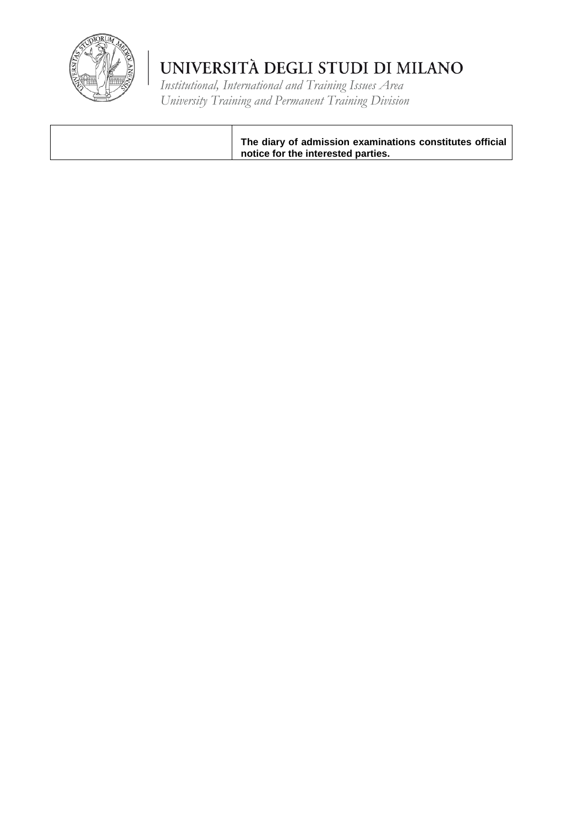

*Institutional, International and Training Issues Area University Training and Permanent Training Division*

**The diary of admission examinations constitutes official notice for the interested parties.**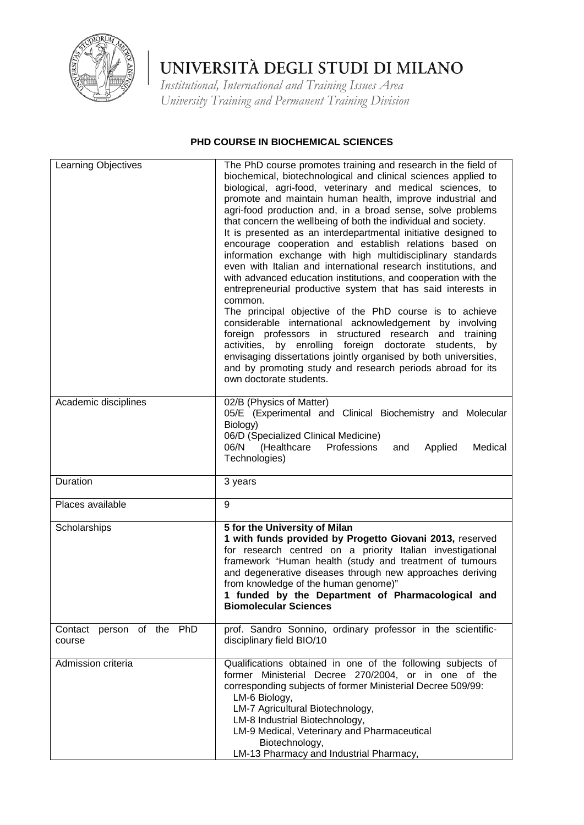

*Institutional, International and Training Issues Area University Training and Permanent Training Division*

#### **PHD COURSE IN BIOCHEMICAL SCIENCES**

| Learning Objectives                 | The PhD course promotes training and research in the field of<br>biochemical, biotechnological and clinical sciences applied to<br>biological, agri-food, veterinary and medical sciences, to<br>promote and maintain human health, improve industrial and<br>agri-food production and, in a broad sense, solve problems<br>that concern the wellbeing of both the individual and society.<br>It is presented as an interdepartmental initiative designed to<br>encourage cooperation and establish relations based on<br>information exchange with high multidisciplinary standards<br>even with Italian and international research institutions, and<br>with advanced education institutions, and cooperation with the<br>entrepreneurial productive system that has said interests in<br>common.<br>The principal objective of the PhD course is to achieve<br>considerable international acknowledgement by involving<br>foreign professors in structured research and training<br>activities, by enrolling foreign doctorate students, by<br>envisaging dissertations jointly organised by both universities,<br>and by promoting study and research periods abroad for its<br>own doctorate students. |
|-------------------------------------|-------------------------------------------------------------------------------------------------------------------------------------------------------------------------------------------------------------------------------------------------------------------------------------------------------------------------------------------------------------------------------------------------------------------------------------------------------------------------------------------------------------------------------------------------------------------------------------------------------------------------------------------------------------------------------------------------------------------------------------------------------------------------------------------------------------------------------------------------------------------------------------------------------------------------------------------------------------------------------------------------------------------------------------------------------------------------------------------------------------------------------------------------------------------------------------------------------------|
| Academic disciplines                | 02/B (Physics of Matter)<br>05/E (Experimental and Clinical Biochemistry and Molecular<br>Biology)<br>06/D (Specialized Clinical Medicine)<br>(Healthcare<br>06/N<br>Professions<br>Medical<br>Applied<br>and<br>Technologies)                                                                                                                                                                                                                                                                                                                                                                                                                                                                                                                                                                                                                                                                                                                                                                                                                                                                                                                                                                              |
| Duration                            | 3 years                                                                                                                                                                                                                                                                                                                                                                                                                                                                                                                                                                                                                                                                                                                                                                                                                                                                                                                                                                                                                                                                                                                                                                                                     |
| Places available                    | 9                                                                                                                                                                                                                                                                                                                                                                                                                                                                                                                                                                                                                                                                                                                                                                                                                                                                                                                                                                                                                                                                                                                                                                                                           |
| Scholarships                        | 5 for the University of Milan<br>1 with funds provided by Progetto Giovani 2013, reserved<br>for research centred on a priority Italian investigational<br>framework "Human health (study and treatment of tumours<br>and degenerative diseases through new approaches deriving<br>from knowledge of the human genome)"<br>1 funded by the Department of Pharmacological and<br><b>Biomolecular Sciences</b>                                                                                                                                                                                                                                                                                                                                                                                                                                                                                                                                                                                                                                                                                                                                                                                                |
| Contact person of the PhD<br>course | prof. Sandro Sonnino, ordinary professor in the scientific-<br>disciplinary field BIO/10                                                                                                                                                                                                                                                                                                                                                                                                                                                                                                                                                                                                                                                                                                                                                                                                                                                                                                                                                                                                                                                                                                                    |
| Admission criteria                  | Qualifications obtained in one of the following subjects of<br>former Ministerial Decree 270/2004, or in one of the<br>corresponding subjects of former Ministerial Decree 509/99:<br>LM-6 Biology,<br>LM-7 Agricultural Biotechnology,<br>LM-8 Industrial Biotechnology,<br>LM-9 Medical, Veterinary and Pharmaceutical<br>Biotechnology,<br>LM-13 Pharmacy and Industrial Pharmacy,                                                                                                                                                                                                                                                                                                                                                                                                                                                                                                                                                                                                                                                                                                                                                                                                                       |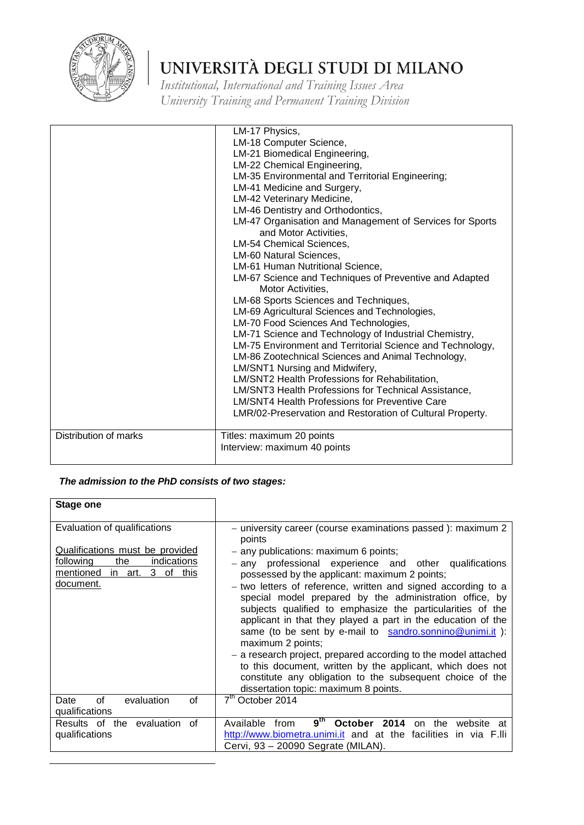

*Institutional, International and Training Issues Area University Training and Permanent Training Division*

|                       | LM-17 Physics,<br>LM-18 Computer Science,<br>LM-21 Biomedical Engineering,<br>LM-22 Chemical Engineering,<br>LM-35 Environmental and Territorial Engineering;<br>LM-41 Medicine and Surgery,<br>LM-42 Veterinary Medicine,<br>LM-46 Dentistry and Orthodontics,<br>LM-47 Organisation and Management of Services for Sports<br>and Motor Activities.<br><b>LM-54 Chemical Sciences,</b><br>LM-60 Natural Sciences,<br>LM-61 Human Nutritional Science,<br>LM-67 Science and Techniques of Preventive and Adapted<br>Motor Activities,<br>LM-68 Sports Sciences and Techniques,<br>LM-69 Agricultural Sciences and Technologies,<br>LM-70 Food Sciences And Technologies,<br>LM-71 Science and Technology of Industrial Chemistry, |
|-----------------------|-----------------------------------------------------------------------------------------------------------------------------------------------------------------------------------------------------------------------------------------------------------------------------------------------------------------------------------------------------------------------------------------------------------------------------------------------------------------------------------------------------------------------------------------------------------------------------------------------------------------------------------------------------------------------------------------------------------------------------------|
|                       |                                                                                                                                                                                                                                                                                                                                                                                                                                                                                                                                                                                                                                                                                                                                   |
|                       |                                                                                                                                                                                                                                                                                                                                                                                                                                                                                                                                                                                                                                                                                                                                   |
|                       |                                                                                                                                                                                                                                                                                                                                                                                                                                                                                                                                                                                                                                                                                                                                   |
|                       |                                                                                                                                                                                                                                                                                                                                                                                                                                                                                                                                                                                                                                                                                                                                   |
|                       |                                                                                                                                                                                                                                                                                                                                                                                                                                                                                                                                                                                                                                                                                                                                   |
|                       |                                                                                                                                                                                                                                                                                                                                                                                                                                                                                                                                                                                                                                                                                                                                   |
|                       |                                                                                                                                                                                                                                                                                                                                                                                                                                                                                                                                                                                                                                                                                                                                   |
|                       |                                                                                                                                                                                                                                                                                                                                                                                                                                                                                                                                                                                                                                                                                                                                   |
|                       |                                                                                                                                                                                                                                                                                                                                                                                                                                                                                                                                                                                                                                                                                                                                   |
|                       | LM-75 Environment and Territorial Science and Technology,                                                                                                                                                                                                                                                                                                                                                                                                                                                                                                                                                                                                                                                                         |
|                       | LM-86 Zootechnical Sciences and Animal Technology,                                                                                                                                                                                                                                                                                                                                                                                                                                                                                                                                                                                                                                                                                |
|                       | LM/SNT1 Nursing and Midwifery,<br>LM/SNT2 Health Professions for Rehabilitation,                                                                                                                                                                                                                                                                                                                                                                                                                                                                                                                                                                                                                                                  |
|                       | LM/SNT3 Health Professions for Technical Assistance,                                                                                                                                                                                                                                                                                                                                                                                                                                                                                                                                                                                                                                                                              |
|                       | <b>LM/SNT4 Health Professions for Preventive Care</b>                                                                                                                                                                                                                                                                                                                                                                                                                                                                                                                                                                                                                                                                             |
|                       | LMR/02-Preservation and Restoration of Cultural Property.                                                                                                                                                                                                                                                                                                                                                                                                                                                                                                                                                                                                                                                                         |
|                       |                                                                                                                                                                                                                                                                                                                                                                                                                                                                                                                                                                                                                                                                                                                                   |
| Distribution of marks | Titles: maximum 20 points                                                                                                                                                                                                                                                                                                                                                                                                                                                                                                                                                                                                                                                                                                         |
|                       | Interview: maximum 40 points                                                                                                                                                                                                                                                                                                                                                                                                                                                                                                                                                                                                                                                                                                      |
|                       |                                                                                                                                                                                                                                                                                                                                                                                                                                                                                                                                                                                                                                                                                                                                   |

| <b>Stage one</b>                                                                                                                                            |                                                                                                                                                                                                                                                                                                                                                                                                                                                                                                                                                                                                                                                                                                                                                                                                           |
|-------------------------------------------------------------------------------------------------------------------------------------------------------------|-----------------------------------------------------------------------------------------------------------------------------------------------------------------------------------------------------------------------------------------------------------------------------------------------------------------------------------------------------------------------------------------------------------------------------------------------------------------------------------------------------------------------------------------------------------------------------------------------------------------------------------------------------------------------------------------------------------------------------------------------------------------------------------------------------------|
| Evaluation of qualifications<br>Qualifications must be provided<br>the<br>following<br><u>indications</u><br>mentioned in art. 3<br>of<br>this<br>document. | - university career (course examinations passed): maximum 2<br>points<br>- any publications: maximum 6 points;<br>- any professional experience and other qualifications<br>possessed by the applicant: maximum 2 points;<br>- two letters of reference, written and signed according to a<br>special model prepared by the administration office, by<br>subjects qualified to emphasize the particularities of the<br>applicant in that they played a part in the education of the<br>same (to be sent by e-mail to sandro.sonnino@unimi.it):<br>maximum 2 points;<br>- a research project, prepared according to the model attached<br>to this document, written by the applicant, which does not<br>constitute any obligation to the subsequent choice of the<br>dissertation topic: maximum 8 points. |
| οf<br>evaluation<br>οf<br>Date<br>qualifications                                                                                                            | 7 <sup>th</sup> October 2014                                                                                                                                                                                                                                                                                                                                                                                                                                                                                                                                                                                                                                                                                                                                                                              |
| Results of the evaluation of<br>qualifications                                                                                                              | 9 <sup>th</sup><br>Available<br><b>October</b><br>2014<br>from<br>on the<br>website<br>at<br>http://www.biometra.unimi.it and at the facilities in via F.lli<br>Cervi, 93 - 20090 Segrate (MILAN).                                                                                                                                                                                                                                                                                                                                                                                                                                                                                                                                                                                                        |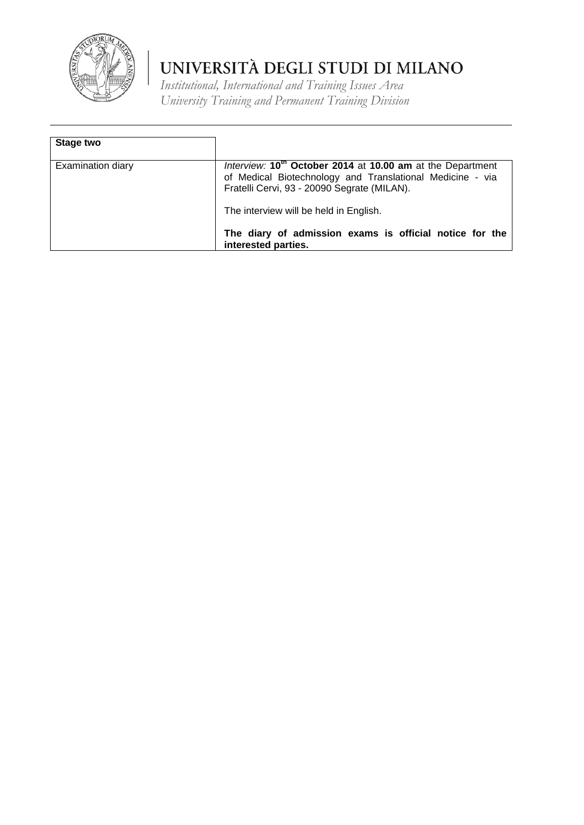

| Stage two                |                                                                                                                                                                                    |
|--------------------------|------------------------------------------------------------------------------------------------------------------------------------------------------------------------------------|
| <b>Examination diary</b> | Interview: 10 <sup>th</sup> October 2014 at 10.00 am at the Department<br>of Medical Biotechnology and Translational Medicine - via<br>Fratelli Cervi, 93 - 20090 Segrate (MILAN). |
|                          | The interview will be held in English.<br>The diary of admission exams is official notice for the<br>interested parties.                                                           |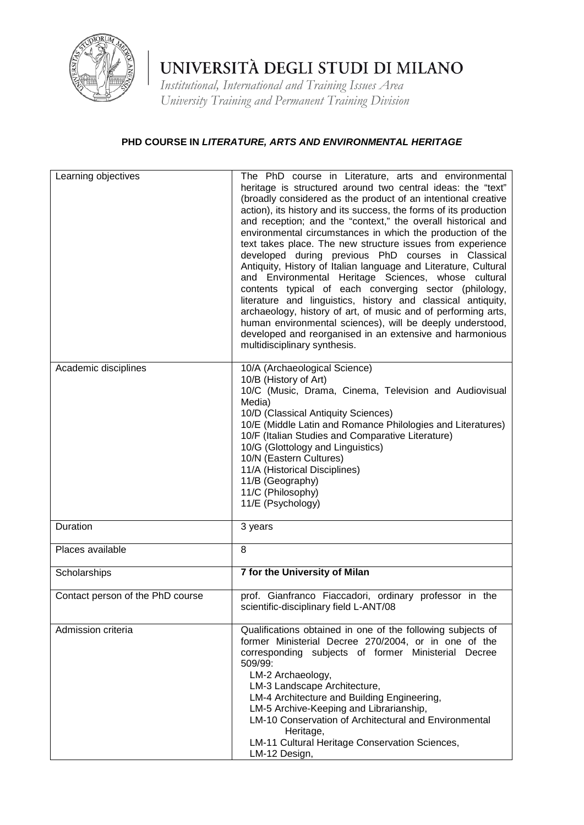

*Institutional, International and Training Issues Area University Training and Permanent Training Division*

### **PHD COURSE IN** *LITERATURE, ARTS AND ENVIRONMENTAL HERITAGE*

| Learning objectives              | The PhD course in Literature, arts and environmental<br>heritage is structured around two central ideas: the "text"<br>(broadly considered as the product of an intentional creative<br>action), its history and its success, the forms of its production<br>and reception; and the "context," the overall historical and<br>environmental circumstances in which the production of the<br>text takes place. The new structure issues from experience<br>developed during previous PhD courses in Classical<br>Antiquity, History of Italian language and Literature, Cultural<br>and Environmental Heritage Sciences, whose cultural<br>contents typical of each converging sector (philology,<br>literature and linguistics, history and classical antiquity,<br>archaeology, history of art, of music and of performing arts,<br>human environmental sciences), will be deeply understood,<br>developed and reorganised in an extensive and harmonious<br>multidisciplinary synthesis. |
|----------------------------------|-------------------------------------------------------------------------------------------------------------------------------------------------------------------------------------------------------------------------------------------------------------------------------------------------------------------------------------------------------------------------------------------------------------------------------------------------------------------------------------------------------------------------------------------------------------------------------------------------------------------------------------------------------------------------------------------------------------------------------------------------------------------------------------------------------------------------------------------------------------------------------------------------------------------------------------------------------------------------------------------|
| Academic disciplines             | 10/A (Archaeological Science)<br>10/B (History of Art)<br>10/C (Music, Drama, Cinema, Television and Audiovisual<br>Media)<br>10/D (Classical Antiquity Sciences)<br>10/E (Middle Latin and Romance Philologies and Literatures)<br>10/F (Italian Studies and Comparative Literature)<br>10/G (Glottology and Linguistics)<br>10/N (Eastern Cultures)<br>11/A (Historical Disciplines)<br>11/B (Geography)<br>11/C (Philosophy)<br>11/E (Psychology)                                                                                                                                                                                                                                                                                                                                                                                                                                                                                                                                      |
| Duration                         | 3 years                                                                                                                                                                                                                                                                                                                                                                                                                                                                                                                                                                                                                                                                                                                                                                                                                                                                                                                                                                                   |
| Places available                 | 8                                                                                                                                                                                                                                                                                                                                                                                                                                                                                                                                                                                                                                                                                                                                                                                                                                                                                                                                                                                         |
| Scholarships                     | 7 for the University of Milan                                                                                                                                                                                                                                                                                                                                                                                                                                                                                                                                                                                                                                                                                                                                                                                                                                                                                                                                                             |
| Contact person of the PhD course | prof. Gianfranco Fiaccadori, ordinary professor in the<br>scientific-disciplinary field L-ANT/08                                                                                                                                                                                                                                                                                                                                                                                                                                                                                                                                                                                                                                                                                                                                                                                                                                                                                          |
| Admission criteria               | Qualifications obtained in one of the following subjects of<br>former Ministerial Decree 270/2004, or in one of the<br>corresponding subjects of former Ministerial Decree<br>509/99:<br>LM-2 Archaeology,<br>LM-3 Landscape Architecture,<br>LM-4 Architecture and Building Engineering,<br>LM-5 Archive-Keeping and Librarianship,<br>LM-10 Conservation of Architectural and Environmental<br>Heritage,<br>LM-11 Cultural Heritage Conservation Sciences,<br>LM-12 Design,                                                                                                                                                                                                                                                                                                                                                                                                                                                                                                             |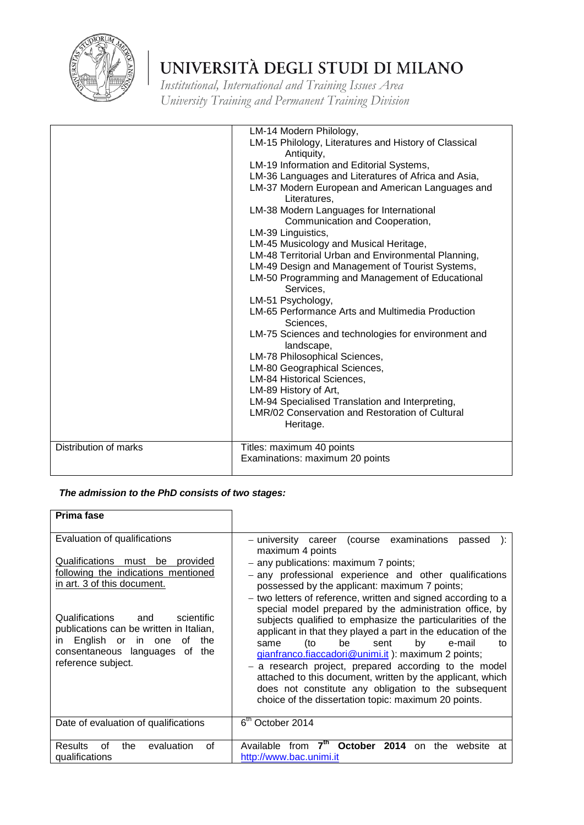

*Institutional, International and Training Issues Area University Training and Permanent Training Division*

|                       | LM-14 Modern Philology,<br>LM-15 Philology, Literatures and History of Classical<br>Antiquity,<br>LM-19 Information and Editorial Systems,<br>LM-36 Languages and Literatures of Africa and Asia,<br>LM-37 Modern European and American Languages and<br>Literatures,<br>LM-38 Modern Languages for International<br>Communication and Cooperation,<br>LM-39 Linguistics,<br>LM-45 Musicology and Musical Heritage,<br>LM-48 Territorial Urban and Environmental Planning,<br>LM-49 Design and Management of Tourist Systems,<br>LM-50 Programming and Management of Educational<br>Services,<br>LM-51 Psychology,<br>LM-65 Performance Arts and Multimedia Production<br>Sciences,<br>LM-75 Sciences and technologies for environment and<br>landscape,<br>LM-78 Philosophical Sciences,<br>LM-80 Geographical Sciences,<br>LM-84 Historical Sciences,<br>LM-89 History of Art,<br>LM-94 Specialised Translation and Interpreting, |
|-----------------------|-------------------------------------------------------------------------------------------------------------------------------------------------------------------------------------------------------------------------------------------------------------------------------------------------------------------------------------------------------------------------------------------------------------------------------------------------------------------------------------------------------------------------------------------------------------------------------------------------------------------------------------------------------------------------------------------------------------------------------------------------------------------------------------------------------------------------------------------------------------------------------------------------------------------------------------|
|                       | LMR/02 Conservation and Restoration of Cultural<br>Heritage.                                                                                                                                                                                                                                                                                                                                                                                                                                                                                                                                                                                                                                                                                                                                                                                                                                                                        |
| Distribution of marks | Titles: maximum 40 points<br>Examinations: maximum 20 points                                                                                                                                                                                                                                                                                                                                                                                                                                                                                                                                                                                                                                                                                                                                                                                                                                                                        |

| Prima fase                                                                                                                                                                                                                                                                                                                              |                                                                                                                                                                                                                                                                                                                                                                                                                                                                                                                                                                                                                                                                                                                                                                                                                                          |
|-----------------------------------------------------------------------------------------------------------------------------------------------------------------------------------------------------------------------------------------------------------------------------------------------------------------------------------------|------------------------------------------------------------------------------------------------------------------------------------------------------------------------------------------------------------------------------------------------------------------------------------------------------------------------------------------------------------------------------------------------------------------------------------------------------------------------------------------------------------------------------------------------------------------------------------------------------------------------------------------------------------------------------------------------------------------------------------------------------------------------------------------------------------------------------------------|
| Evaluation of qualifications<br>Qualifications must be provided<br>following the indications mentioned<br>in art. 3 of this document.<br>Qualifications<br>and<br>scientific<br>publications can be written in Italian,<br>English or<br>in one<br>the<br>of<br>$\mathsf{I}$<br>consentaneous languages of<br>the<br>reference subject. | (course examinations)<br>- university career<br>passed<br>maximum 4 points<br>- any publications: maximum 7 points;<br>- any professional experience and other qualifications<br>possessed by the applicant: maximum 7 points;<br>- two letters of reference, written and signed according to a<br>special model prepared by the administration office, by<br>subjects qualified to emphasize the particularities of the<br>applicant in that they played a part in the education of the<br>be<br>(to<br>sent<br>by<br>e-mail<br>same<br>tο<br>gianfranco.fiaccadori@unimi.it): maximum 2 points;<br>- a research project, prepared according to the model<br>attached to this document, written by the applicant, which<br>does not constitute any obligation to the subsequent<br>choice of the dissertation topic: maximum 20 points. |
| Date of evaluation of qualifications                                                                                                                                                                                                                                                                                                    | 6 <sup>th</sup> October 2014                                                                                                                                                                                                                                                                                                                                                                                                                                                                                                                                                                                                                                                                                                                                                                                                             |
| evaluation<br>Results<br>οf<br>the<br>Ωf<br>qualifications                                                                                                                                                                                                                                                                              | <b>October</b><br>2014<br>Available<br>from<br>the<br>website<br><sub>on</sub><br>at<br>http://www.bac.unimi.it                                                                                                                                                                                                                                                                                                                                                                                                                                                                                                                                                                                                                                                                                                                          |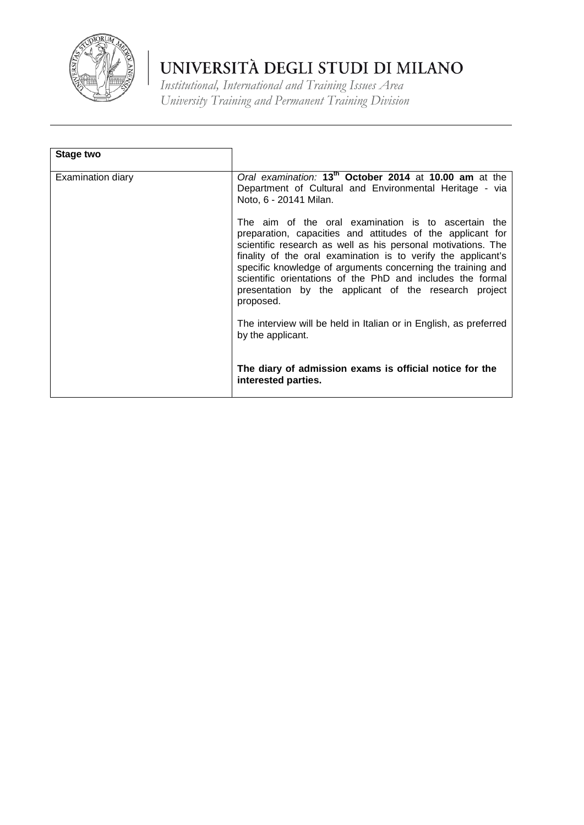

| Stage two         |                                                                                                                                                                                                                                                                                                                                                                                                                                                       |
|-------------------|-------------------------------------------------------------------------------------------------------------------------------------------------------------------------------------------------------------------------------------------------------------------------------------------------------------------------------------------------------------------------------------------------------------------------------------------------------|
|                   |                                                                                                                                                                                                                                                                                                                                                                                                                                                       |
| Examination diary | Oral examination: 13 <sup>th</sup> October 2014 at 10.00 am at the<br>Department of Cultural and Environmental Heritage - via<br>Noto, 6 - 20141 Milan.                                                                                                                                                                                                                                                                                               |
|                   | The aim of the oral examination is to ascertain the<br>preparation, capacities and attitudes of the applicant for<br>scientific research as well as his personal motivations. The<br>finality of the oral examination is to verify the applicant's<br>specific knowledge of arguments concerning the training and<br>scientific orientations of the PhD and includes the formal<br>presentation by the applicant of the research project<br>proposed. |
|                   | The interview will be held in Italian or in English, as preferred<br>by the applicant.                                                                                                                                                                                                                                                                                                                                                                |
|                   | The diary of admission exams is official notice for the<br>interested parties.                                                                                                                                                                                                                                                                                                                                                                        |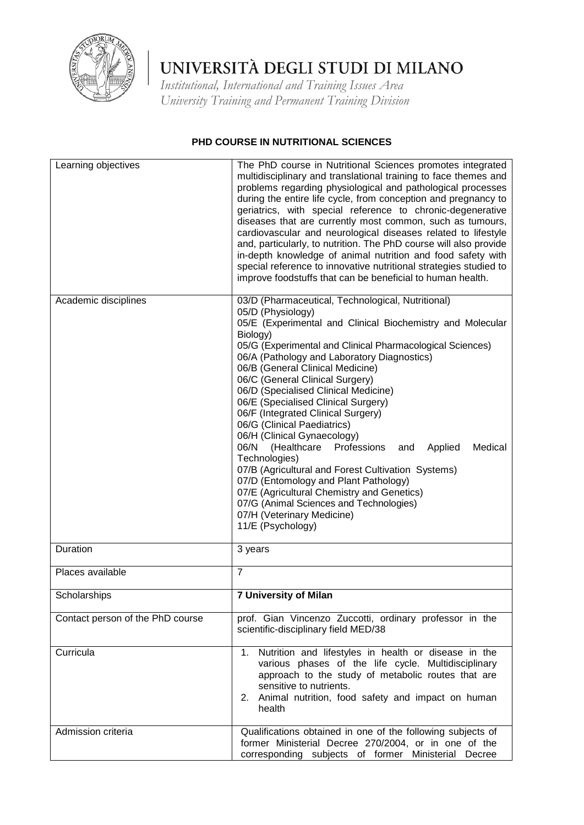

*Institutional, International and Training Issues Area University Training and Permanent Training Division*

#### **PHD COURSE IN NUTRITIONAL SCIENCES**

| Learning objectives              | The PhD course in Nutritional Sciences promotes integrated<br>multidisciplinary and translational training to face themes and<br>problems regarding physiological and pathological processes<br>during the entire life cycle, from conception and pregnancy to<br>geriatrics, with special reference to chronic-degenerative<br>diseases that are currently most common, such as tumours,<br>cardiovascular and neurological diseases related to lifestyle<br>and, particularly, to nutrition. The PhD course will also provide<br>in-depth knowledge of animal nutrition and food safety with<br>special reference to innovative nutritional strategies studied to<br>improve foodstuffs that can be beneficial to human health.                                                                                                                     |
|----------------------------------|-------------------------------------------------------------------------------------------------------------------------------------------------------------------------------------------------------------------------------------------------------------------------------------------------------------------------------------------------------------------------------------------------------------------------------------------------------------------------------------------------------------------------------------------------------------------------------------------------------------------------------------------------------------------------------------------------------------------------------------------------------------------------------------------------------------------------------------------------------|
| Academic disciplines             | 03/D (Pharmaceutical, Technological, Nutritional)<br>05/D (Physiology)<br>05/E (Experimental and Clinical Biochemistry and Molecular<br>Biology)<br>05/G (Experimental and Clinical Pharmacological Sciences)<br>06/A (Pathology and Laboratory Diagnostics)<br>06/B (General Clinical Medicine)<br>06/C (General Clinical Surgery)<br>06/D (Specialised Clinical Medicine)<br>06/E (Specialised Clinical Surgery)<br>06/F (Integrated Clinical Surgery)<br>06/G (Clinical Paediatrics)<br>06/H (Clinical Gynaecology)<br>(Healthcare<br>06/N<br>Professions<br>Applied<br>Medical<br>and<br>Technologies)<br>07/B (Agricultural and Forest Cultivation Systems)<br>07/D (Entomology and Plant Pathology)<br>07/E (Agricultural Chemistry and Genetics)<br>07/G (Animal Sciences and Technologies)<br>07/H (Veterinary Medicine)<br>11/E (Psychology) |
| Duration                         | 3 years                                                                                                                                                                                                                                                                                                                                                                                                                                                                                                                                                                                                                                                                                                                                                                                                                                               |
| Places available                 | $\overline{7}$                                                                                                                                                                                                                                                                                                                                                                                                                                                                                                                                                                                                                                                                                                                                                                                                                                        |
| Scholarships                     | <b>7 University of Milan</b>                                                                                                                                                                                                                                                                                                                                                                                                                                                                                                                                                                                                                                                                                                                                                                                                                          |
| Contact person of the PhD course | prof. Gian Vincenzo Zuccotti, ordinary professor in the<br>scientific-disciplinary field MED/38                                                                                                                                                                                                                                                                                                                                                                                                                                                                                                                                                                                                                                                                                                                                                       |
| Curricula                        | 1. Nutrition and lifestyles in health or disease in the<br>various phases of the life cycle. Multidisciplinary<br>approach to the study of metabolic routes that are<br>sensitive to nutrients.<br>2. Animal nutrition, food safety and impact on human<br>health                                                                                                                                                                                                                                                                                                                                                                                                                                                                                                                                                                                     |
| Admission criteria               | Qualifications obtained in one of the following subjects of<br>former Ministerial Decree 270/2004, or in one of the<br>corresponding subjects of former Ministerial Decree                                                                                                                                                                                                                                                                                                                                                                                                                                                                                                                                                                                                                                                                            |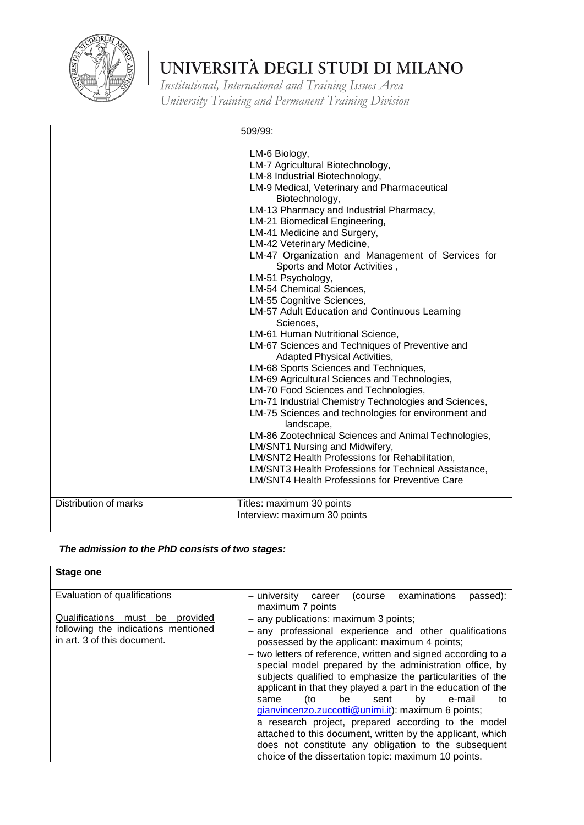

*Institutional, International and Training Issues Area University Training and Permanent Training Division*

|                       | 509/99:                                                                                                                                                                                                                                                                                                                                                                                                                                                                                                                                                                                                                                                                                                                                                                                                                                                                                                                                                                                                                                                                                                                                                                             |
|-----------------------|-------------------------------------------------------------------------------------------------------------------------------------------------------------------------------------------------------------------------------------------------------------------------------------------------------------------------------------------------------------------------------------------------------------------------------------------------------------------------------------------------------------------------------------------------------------------------------------------------------------------------------------------------------------------------------------------------------------------------------------------------------------------------------------------------------------------------------------------------------------------------------------------------------------------------------------------------------------------------------------------------------------------------------------------------------------------------------------------------------------------------------------------------------------------------------------|
|                       | LM-6 Biology,<br>LM-7 Agricultural Biotechnology,<br>LM-8 Industrial Biotechnology,<br>LM-9 Medical, Veterinary and Pharmaceutical<br>Biotechnology,<br>LM-13 Pharmacy and Industrial Pharmacy,<br>LM-21 Biomedical Engineering,<br>LM-41 Medicine and Surgery,<br>LM-42 Veterinary Medicine,<br>LM-47 Organization and Management of Services for<br>Sports and Motor Activities,<br>LM-51 Psychology,<br>LM-54 Chemical Sciences,<br>LM-55 Cognitive Sciences,<br>LM-57 Adult Education and Continuous Learning<br>Sciences,<br>LM-61 Human Nutritional Science,<br>LM-67 Sciences and Techniques of Preventive and<br>Adapted Physical Activities,<br>LM-68 Sports Sciences and Techniques,<br>LM-69 Agricultural Sciences and Technologies,<br>LM-70 Food Sciences and Technologies,<br>Lm-71 Industrial Chemistry Technologies and Sciences,<br>LM-75 Sciences and technologies for environment and<br>landscape,<br>LM-86 Zootechnical Sciences and Animal Technologies,<br>LM/SNT1 Nursing and Midwifery,<br>LM/SNT2 Health Professions for Rehabilitation,<br>LM/SNT3 Health Professions for Technical Assistance,<br><b>LM/SNT4 Health Professions for Preventive Care</b> |
| Distribution of marks | Titles: maximum 30 points<br>Interview: maximum 30 points                                                                                                                                                                                                                                                                                                                                                                                                                                                                                                                                                                                                                                                                                                                                                                                                                                                                                                                                                                                                                                                                                                                           |

| <b>Stage one</b>                                                                                                                         |                                                                                                                                                                                                                                                                                                                                                                                                                                                                                                                                                                                                                                                                                                                                 |
|------------------------------------------------------------------------------------------------------------------------------------------|---------------------------------------------------------------------------------------------------------------------------------------------------------------------------------------------------------------------------------------------------------------------------------------------------------------------------------------------------------------------------------------------------------------------------------------------------------------------------------------------------------------------------------------------------------------------------------------------------------------------------------------------------------------------------------------------------------------------------------|
| Evaluation of qualifications<br>Qualifications must be<br>provided<br>following the indications mentioned<br>in art. 3 of this document. | examinations<br>passed):<br>– university<br>(course<br>career<br>maximum 7 points<br>- any publications: maximum 3 points;<br>- any professional experience and other qualifications<br>possessed by the applicant: maximum 4 points;<br>- two letters of reference, written and signed according to a<br>special model prepared by the administration office, by<br>subjects qualified to emphasize the particularities of the<br>applicant in that they played a part in the education of the<br>(to<br>be<br>by<br>e-mail<br>sent<br>to<br>same<br>gianvincenzo.zuccotti@unimi.it): maximum 6 points;<br>- a research project, prepared according to the model<br>attached to this document, written by the applicant, which |
|                                                                                                                                          | does not constitute any obligation to the subsequent<br>choice of the dissertation topic: maximum 10 points.                                                                                                                                                                                                                                                                                                                                                                                                                                                                                                                                                                                                                    |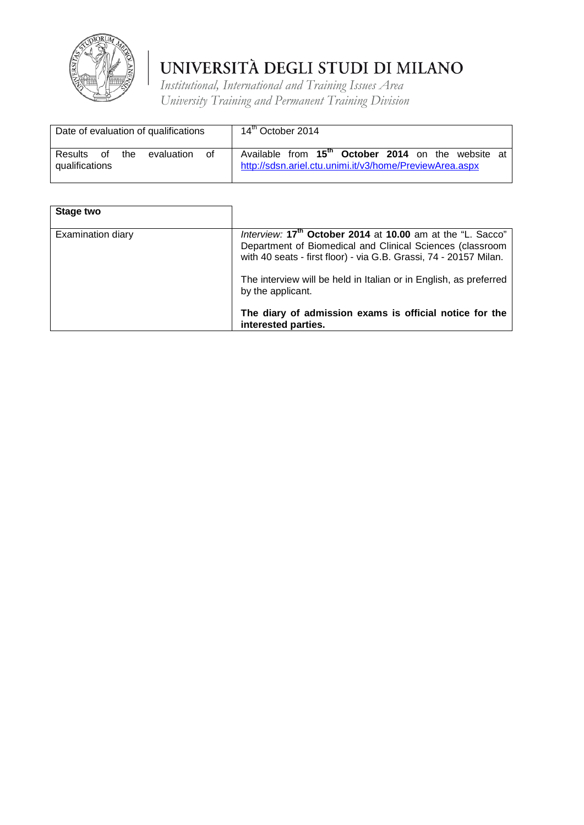

|                                  |    |     | Date of evaluation of qualifications |    | 14 <sup>th</sup> October 2014                                                                                             |  |  |  |  |
|----------------------------------|----|-----|--------------------------------------|----|---------------------------------------------------------------------------------------------------------------------------|--|--|--|--|
| <b>Results</b><br>qualifications | of | the | evaluation                           | 0f | Available from 15 <sup>th</sup> October 2014 on the website at<br>http://sdsn.ariel.ctu.unimi.it/v3/home/PreviewArea.aspx |  |  |  |  |

| Stage two         |                                                                                                                                                                                                          |
|-------------------|----------------------------------------------------------------------------------------------------------------------------------------------------------------------------------------------------------|
| Examination diary | Interview: 17 <sup>th</sup> October 2014 at 10.00 am at the "L. Sacco"<br>Department of Biomedical and Clinical Sciences (classroom<br>with 40 seats - first floor) - via G.B. Grassi, 74 - 20157 Milan. |
|                   | The interview will be held in Italian or in English, as preferred<br>by the applicant.                                                                                                                   |
|                   | The diary of admission exams is official notice for the<br>interested parties.                                                                                                                           |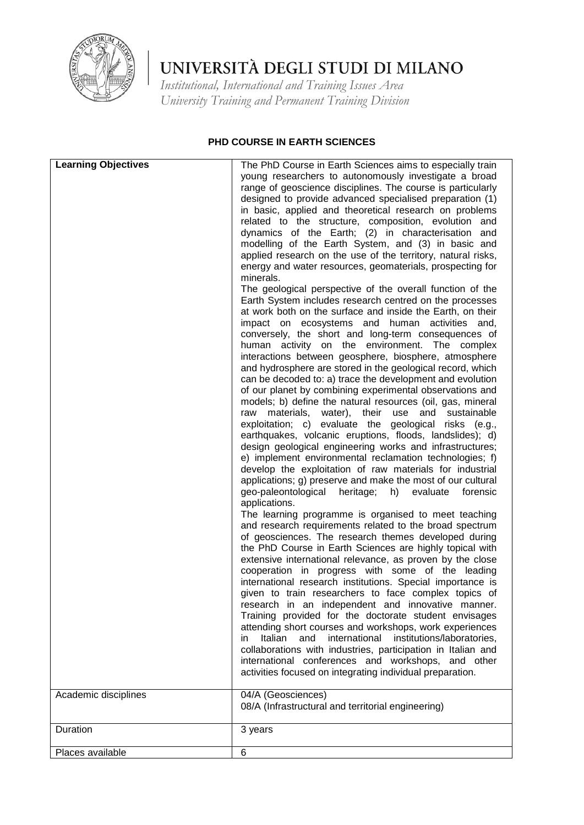

*Institutional, International and Training Issues Area University Training and Permanent Training Division*

#### **PHD COURSE IN EARTH SCIENCES**

| <b>Learning Objectives</b> | The PhD Course in Earth Sciences aims to especially train<br>young researchers to autonomously investigate a broad<br>range of geoscience disciplines. The course is particularly                                                                                                                                                                                                                                                                                                                                                                                                                                                                                                                                                                                                                                                                                                                                                                                                                                                                                                                                                                                                                                                                                                                                                                                                                                                                                                                                                                                                                                                                                                                                                                                                    |
|----------------------------|--------------------------------------------------------------------------------------------------------------------------------------------------------------------------------------------------------------------------------------------------------------------------------------------------------------------------------------------------------------------------------------------------------------------------------------------------------------------------------------------------------------------------------------------------------------------------------------------------------------------------------------------------------------------------------------------------------------------------------------------------------------------------------------------------------------------------------------------------------------------------------------------------------------------------------------------------------------------------------------------------------------------------------------------------------------------------------------------------------------------------------------------------------------------------------------------------------------------------------------------------------------------------------------------------------------------------------------------------------------------------------------------------------------------------------------------------------------------------------------------------------------------------------------------------------------------------------------------------------------------------------------------------------------------------------------------------------------------------------------------------------------------------------------|
|                            | designed to provide advanced specialised preparation (1)<br>in basic, applied and theoretical research on problems<br>related to the structure, composition, evolution and<br>dynamics of the Earth; (2) in characterisation<br>and                                                                                                                                                                                                                                                                                                                                                                                                                                                                                                                                                                                                                                                                                                                                                                                                                                                                                                                                                                                                                                                                                                                                                                                                                                                                                                                                                                                                                                                                                                                                                  |
|                            | modelling of the Earth System, and (3) in basic and<br>applied research on the use of the territory, natural risks,<br>energy and water resources, geomaterials, prospecting for<br>minerals.                                                                                                                                                                                                                                                                                                                                                                                                                                                                                                                                                                                                                                                                                                                                                                                                                                                                                                                                                                                                                                                                                                                                                                                                                                                                                                                                                                                                                                                                                                                                                                                        |
|                            | The geological perspective of the overall function of the<br>Earth System includes research centred on the processes<br>at work both on the surface and inside the Earth, on their<br>impact on ecosystems and human activities<br>and,<br>conversely, the short and long-term consequences of<br>human activity on the environment. The complex<br>interactions between geosphere, biosphere, atmosphere<br>and hydrosphere are stored in the geological record, which<br>can be decoded to: a) trace the development and evolution<br>of our planet by combining experimental observations and<br>models; b) define the natural resources (oil, gas, mineral<br>water),<br>their<br>use<br>and<br>materials,<br>sustainable<br>raw<br>exploitation; c) evaluate the geological risks (e.g.,<br>earthquakes, volcanic eruptions, floods, landslides); d)<br>design geological engineering works and infrastructures;<br>e) implement environmental reclamation technologies; f)<br>develop the exploitation of raw materials for industrial<br>applications; g) preserve and make the most of our cultural<br>geo-paleontological heritage; h)<br>evaluate<br>forensic<br>applications.<br>The learning programme is organised to meet teaching<br>and research requirements related to the broad spectrum<br>of geosciences. The research themes developed during<br>the PhD Course in Earth Sciences are highly topical with<br>extensive international relevance, as proven by the close<br>cooperation in progress with some of the leading<br>international research institutions. Special importance is<br>given to train researchers to face complex topics of<br>research in an independent and innovative manner.<br>Training provided for the doctorate student envisages |
|                            | attending short courses and workshops, work experiences<br>Italian<br>and<br>international institutions/laboratories,<br>in<br>collaborations with industries, participation in Italian and<br>international conferences and workshops, and other<br>activities focused on integrating individual preparation.                                                                                                                                                                                                                                                                                                                                                                                                                                                                                                                                                                                                                                                                                                                                                                                                                                                                                                                                                                                                                                                                                                                                                                                                                                                                                                                                                                                                                                                                       |
| Academic disciplines       | 04/A (Geosciences)<br>08/A (Infrastructural and territorial engineering)                                                                                                                                                                                                                                                                                                                                                                                                                                                                                                                                                                                                                                                                                                                                                                                                                                                                                                                                                                                                                                                                                                                                                                                                                                                                                                                                                                                                                                                                                                                                                                                                                                                                                                             |
| Duration                   | 3 years                                                                                                                                                                                                                                                                                                                                                                                                                                                                                                                                                                                                                                                                                                                                                                                                                                                                                                                                                                                                                                                                                                                                                                                                                                                                                                                                                                                                                                                                                                                                                                                                                                                                                                                                                                              |
| Places available           | 6                                                                                                                                                                                                                                                                                                                                                                                                                                                                                                                                                                                                                                                                                                                                                                                                                                                                                                                                                                                                                                                                                                                                                                                                                                                                                                                                                                                                                                                                                                                                                                                                                                                                                                                                                                                    |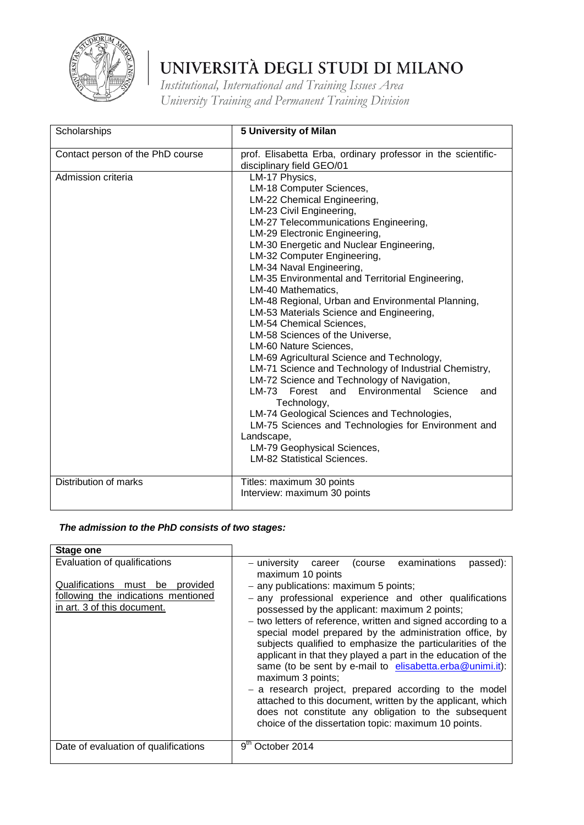

*Institutional, International and Training Issues Area University Training and Permanent Training Division*

| Scholarships                     | 5 University of Milan                                                                                                                                                                                                                                                                                                                                                                                                                                                                                                                                                                                                                                                                                                                                                                                                                                                                                                                                                                |
|----------------------------------|--------------------------------------------------------------------------------------------------------------------------------------------------------------------------------------------------------------------------------------------------------------------------------------------------------------------------------------------------------------------------------------------------------------------------------------------------------------------------------------------------------------------------------------------------------------------------------------------------------------------------------------------------------------------------------------------------------------------------------------------------------------------------------------------------------------------------------------------------------------------------------------------------------------------------------------------------------------------------------------|
| Contact person of the PhD course | prof. Elisabetta Erba, ordinary professor in the scientific-<br>disciplinary field GEO/01                                                                                                                                                                                                                                                                                                                                                                                                                                                                                                                                                                                                                                                                                                                                                                                                                                                                                            |
| Admission criteria               | LM-17 Physics,<br>LM-18 Computer Sciences,<br>LM-22 Chemical Engineering,<br>LM-23 Civil Engineering,<br>LM-27 Telecommunications Engineering,<br>LM-29 Electronic Engineering,<br>LM-30 Energetic and Nuclear Engineering,<br>LM-32 Computer Engineering,<br>LM-34 Naval Engineering,<br>LM-35 Environmental and Territorial Engineering,<br>LM-40 Mathematics,<br>LM-48 Regional, Urban and Environmental Planning,<br>LM-53 Materials Science and Engineering,<br>LM-54 Chemical Sciences,<br>LM-58 Sciences of the Universe,<br>LM-60 Nature Sciences,<br>LM-69 Agricultural Science and Technology,<br>LM-71 Science and Technology of Industrial Chemistry,<br>LM-72 Science and Technology of Navigation,<br>$LM-73$<br>Forest<br>and<br>Environmental Science<br>and<br>Technology,<br>LM-74 Geological Sciences and Technologies,<br>LM-75 Sciences and Technologies for Environment and<br>Landscape,<br>LM-79 Geophysical Sciences,<br><b>LM-82 Statistical Sciences.</b> |
| Distribution of marks            | Titles: maximum 30 points<br>Interview: maximum 30 points                                                                                                                                                                                                                                                                                                                                                                                                                                                                                                                                                                                                                                                                                                                                                                                                                                                                                                                            |

| Stage one                                                                                                                             |                                                                                                                                                                                                                                                                                                                                                                                                                                                                                                                                                                                                                                                                                                                                                                                                                      |
|---------------------------------------------------------------------------------------------------------------------------------------|----------------------------------------------------------------------------------------------------------------------------------------------------------------------------------------------------------------------------------------------------------------------------------------------------------------------------------------------------------------------------------------------------------------------------------------------------------------------------------------------------------------------------------------------------------------------------------------------------------------------------------------------------------------------------------------------------------------------------------------------------------------------------------------------------------------------|
| Evaluation of qualifications<br>Qualifications must be provided<br>following the indications mentioned<br>in art. 3 of this document. | career (course examinations<br>– university<br>passed):<br>maximum 10 points<br>$-$ any publications: maximum 5 points;<br>- any professional experience and other qualifications<br>possessed by the applicant: maximum 2 points;<br>- two letters of reference, written and signed according to a<br>special model prepared by the administration office, by<br>subjects qualified to emphasize the particularities of the<br>applicant in that they played a part in the education of the<br>same (to be sent by e-mail to elisabetta.erba@unimi.it):<br>maximum 3 points;<br>- a research project, prepared according to the model<br>attached to this document, written by the applicant, which<br>does not constitute any obligation to the subsequent<br>choice of the dissertation topic: maximum 10 points. |
| Date of evaluation of qualifications                                                                                                  | $9^{\text{m}}$<br>October 2014                                                                                                                                                                                                                                                                                                                                                                                                                                                                                                                                                                                                                                                                                                                                                                                       |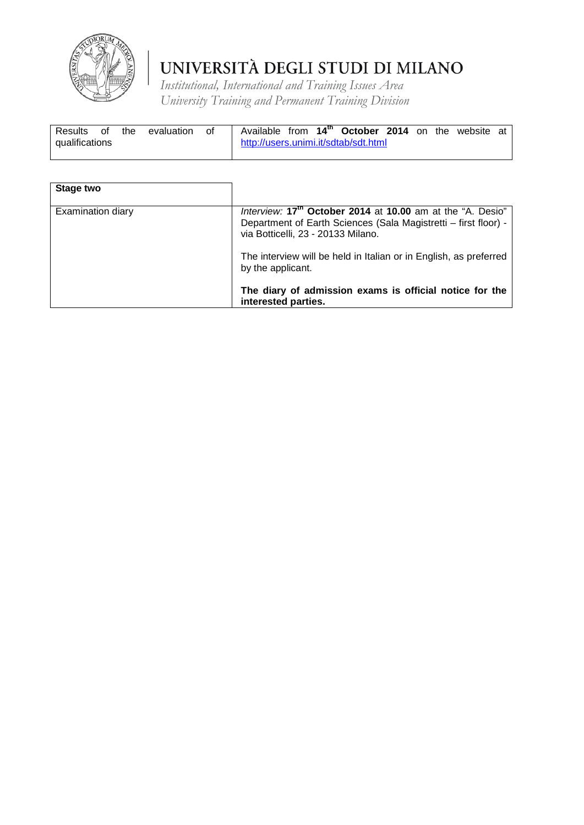

| Results<br>of  | the | evaluation | - of |                                      |  | Available from 14 <sup>th</sup> October 2014 on the website at |  |  |  |
|----------------|-----|------------|------|--------------------------------------|--|----------------------------------------------------------------|--|--|--|
| qualifications |     |            |      | http://users.unimi.it/sdtab/sdt.html |  |                                                                |  |  |  |

| Stage two         |                                                                                                                                                                                 |
|-------------------|---------------------------------------------------------------------------------------------------------------------------------------------------------------------------------|
| Examination diary | Interview: 17 <sup>th</sup> October 2014 at 10.00 am at the "A. Desio"<br>Department of Earth Sciences (Sala Magistretti - first floor) -<br>via Botticelli, 23 - 20133 Milano. |
|                   | The interview will be held in Italian or in English, as preferred<br>by the applicant.                                                                                          |
|                   | The diary of admission exams is official notice for the<br>interested parties.                                                                                                  |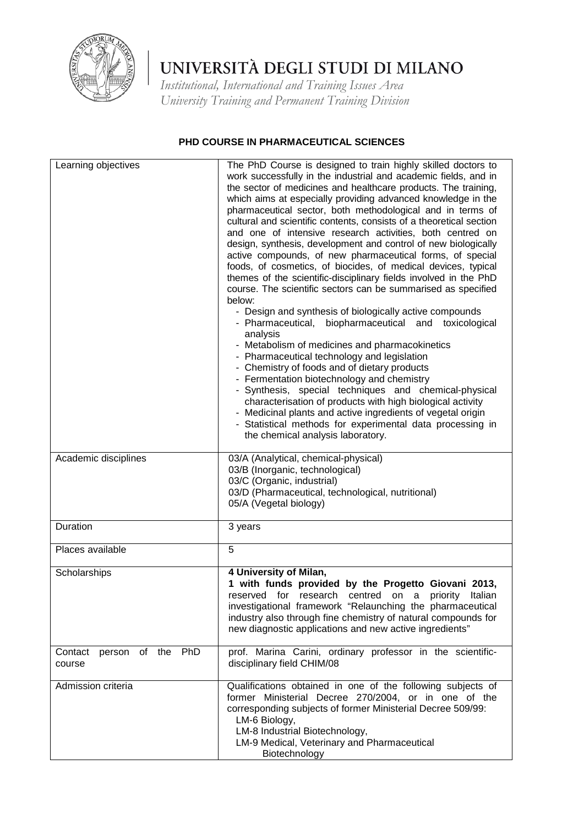

*Institutional, International and Training Issues Area University Training and Permanent Training Division*

### **PHD COURSE IN PHARMACEUTICAL SCIENCES**

| Learning objectives                    | The PhD Course is designed to train highly skilled doctors to<br>work successfully in the industrial and academic fields, and in<br>the sector of medicines and healthcare products. The training,<br>which aims at especially providing advanced knowledge in the<br>pharmaceutical sector, both methodological and in terms of<br>cultural and scientific contents, consists of a theoretical section<br>and one of intensive research activities, both centred on<br>design, synthesis, development and control of new biologically<br>active compounds, of new pharmaceutical forms, of special<br>foods, of cosmetics, of biocides, of medical devices, typical<br>themes of the scientific-disciplinary fields involved in the PhD<br>course. The scientific sectors can be summarised as specified<br>below:<br>- Design and synthesis of biologically active compounds<br>- Pharmaceutical,<br>biopharmaceutical and toxicological<br>analysis<br>- Metabolism of medicines and pharmacokinetics<br>- Pharmaceutical technology and legislation<br>- Chemistry of foods and of dietary products<br>- Fermentation biotechnology and chemistry<br>- Synthesis, special techniques and chemical-physical<br>characterisation of products with high biological activity<br>- Medicinal plants and active ingredients of vegetal origin<br>- Statistical methods for experimental data processing in<br>the chemical analysis laboratory. |
|----------------------------------------|-----------------------------------------------------------------------------------------------------------------------------------------------------------------------------------------------------------------------------------------------------------------------------------------------------------------------------------------------------------------------------------------------------------------------------------------------------------------------------------------------------------------------------------------------------------------------------------------------------------------------------------------------------------------------------------------------------------------------------------------------------------------------------------------------------------------------------------------------------------------------------------------------------------------------------------------------------------------------------------------------------------------------------------------------------------------------------------------------------------------------------------------------------------------------------------------------------------------------------------------------------------------------------------------------------------------------------------------------------------------------------------------------------------------------------------------------|
| Academic disciplines                   | 03/A (Analytical, chemical-physical)<br>03/B (Inorganic, technological)<br>03/C (Organic, industrial)<br>03/D (Pharmaceutical, technological, nutritional)<br>05/A (Vegetal biology)                                                                                                                                                                                                                                                                                                                                                                                                                                                                                                                                                                                                                                                                                                                                                                                                                                                                                                                                                                                                                                                                                                                                                                                                                                                          |
| Duration                               | 3 years                                                                                                                                                                                                                                                                                                                                                                                                                                                                                                                                                                                                                                                                                                                                                                                                                                                                                                                                                                                                                                                                                                                                                                                                                                                                                                                                                                                                                                       |
| Places available                       | 5                                                                                                                                                                                                                                                                                                                                                                                                                                                                                                                                                                                                                                                                                                                                                                                                                                                                                                                                                                                                                                                                                                                                                                                                                                                                                                                                                                                                                                             |
| Scholarships                           | 4 University of Milan,<br>1 with funds provided by the Progetto Giovani 2013,<br>reserved for research centred on a priority Italian<br>investigational framework "Relaunching the pharmaceutical<br>industry also through fine chemistry of natural compounds for<br>new diagnostic applications and new active ingredients"                                                                                                                                                                                                                                                                                                                                                                                                                                                                                                                                                                                                                                                                                                                                                                                                                                                                                                                                                                                                                                                                                                                 |
| person of the PhD<br>Contact<br>course | prof. Marina Carini, ordinary professor in the scientific-<br>disciplinary field CHIM/08                                                                                                                                                                                                                                                                                                                                                                                                                                                                                                                                                                                                                                                                                                                                                                                                                                                                                                                                                                                                                                                                                                                                                                                                                                                                                                                                                      |
| Admission criteria                     | Qualifications obtained in one of the following subjects of<br>former Ministerial Decree 270/2004, or in one of the<br>corresponding subjects of former Ministerial Decree 509/99:<br>LM-6 Biology,<br>LM-8 Industrial Biotechnology,<br>LM-9 Medical, Veterinary and Pharmaceutical<br>Biotechnology                                                                                                                                                                                                                                                                                                                                                                                                                                                                                                                                                                                                                                                                                                                                                                                                                                                                                                                                                                                                                                                                                                                                         |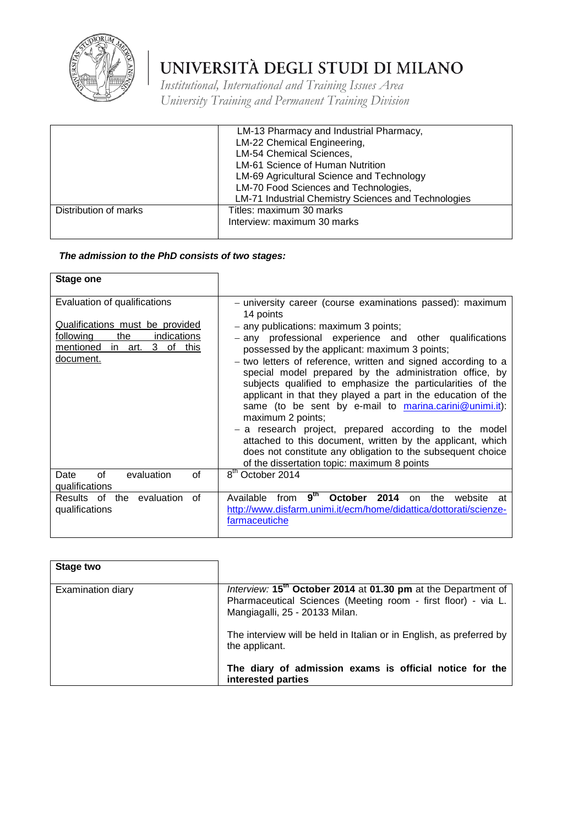

*Institutional, International and Training Issues Area University Training and Permanent Training Division*

|                       | LM-13 Pharmacy and Industrial Pharmacy,<br>LM-22 Chemical Engineering,<br><b>LM-54 Chemical Sciences,</b><br>LM-61 Science of Human Nutrition<br>LM-69 Agricultural Science and Technology<br>LM-70 Food Sciences and Technologies,<br><b>LM-71 Industrial Chemistry Sciences and Technologies</b> |
|-----------------------|----------------------------------------------------------------------------------------------------------------------------------------------------------------------------------------------------------------------------------------------------------------------------------------------------|
| Distribution of marks | Titles: maximum 30 marks<br>Interview: maximum 30 marks                                                                                                                                                                                                                                            |

| Stage one                                                                                                                                         |                                                                                                                                                                                                                                                                                                                                                                                                                                                                                                                                                                                                                                                                                                                                                                                                          |
|---------------------------------------------------------------------------------------------------------------------------------------------------|----------------------------------------------------------------------------------------------------------------------------------------------------------------------------------------------------------------------------------------------------------------------------------------------------------------------------------------------------------------------------------------------------------------------------------------------------------------------------------------------------------------------------------------------------------------------------------------------------------------------------------------------------------------------------------------------------------------------------------------------------------------------------------------------------------|
| Evaluation of qualifications<br>Qualifications must be provided<br>the<br>following<br>indications<br>in art. 3 of this<br>mentioned<br>document. | - university career (course examinations passed): maximum<br>14 points<br>- any publications: maximum 3 points;<br>- any professional experience and other qualifications<br>possessed by the applicant: maximum 3 points;<br>- two letters of reference, written and signed according to a<br>special model prepared by the administration office, by<br>subjects qualified to emphasize the particularities of the<br>applicant in that they played a part in the education of the<br>same (to be sent by e-mail to marina.carini@unimi.it):<br>maximum 2 points;<br>- a research project, prepared according to the model<br>attached to this document, written by the applicant, which<br>does not constitute any obligation to the subsequent choice<br>of the dissertation topic: maximum 8 points |
| evaluation<br>of<br>οf<br>Date<br>qualifications                                                                                                  | 8 <sup>th</sup> October 2014                                                                                                                                                                                                                                                                                                                                                                                                                                                                                                                                                                                                                                                                                                                                                                             |
| Results of the evaluation<br>of<br>qualifications                                                                                                 | 9 <sup>th</sup><br>Available<br>October 2014<br>from<br>the<br>website<br>on.<br>at<br>http://www.disfarm.unimi.it/ecm/home/didattica/dottorati/scienze-<br>farmaceutiche                                                                                                                                                                                                                                                                                                                                                                                                                                                                                                                                                                                                                                |

| Stage two         |                                                                                                                                                                              |
|-------------------|------------------------------------------------------------------------------------------------------------------------------------------------------------------------------|
| Examination diary | Interview: 15 <sup>th</sup> October 2014 at 01.30 pm at the Department of<br>Pharmaceutical Sciences (Meeting room - first floor) - via L.<br>Mangiagalli, 25 - 20133 Milan. |
|                   | The interview will be held in Italian or in English, as preferred by<br>the applicant.                                                                                       |
|                   | The diary of admission exams is official notice for the<br>interested parties                                                                                                |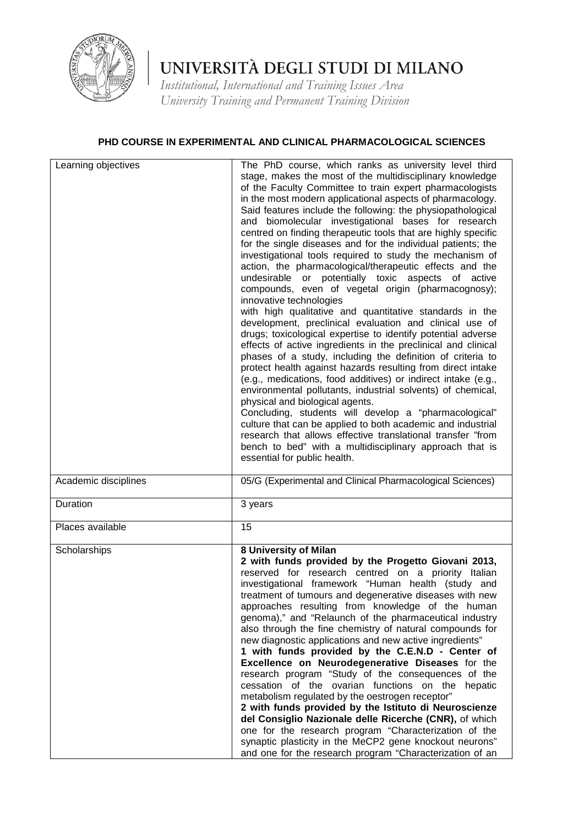

*Institutional, International and Training Issues Area University Training and Permanent Training Division*

### **PHD COURSE IN EXPERIMENTAL AND CLINICAL PHARMACOLOGICAL SCIENCES**

| Learning objectives  | The PhD course, which ranks as university level third<br>stage, makes the most of the multidisciplinary knowledge<br>of the Faculty Committee to train expert pharmacologists<br>in the most modern applicational aspects of pharmacology.<br>Said features include the following: the physiopathological<br>and biomolecular investigational bases for research<br>centred on finding therapeutic tools that are highly specific<br>for the single diseases and for the individual patients; the<br>investigational tools required to study the mechanism of<br>action, the pharmacological/therapeutic effects and the<br>undesirable or potentially toxic aspects of active<br>compounds, even of vegetal origin (pharmacognosy);<br>innovative technologies<br>with high qualitative and quantitative standards in the<br>development, preclinical evaluation and clinical use of<br>drugs; toxicological expertise to identify potential adverse<br>effects of active ingredients in the preclinical and clinical<br>phases of a study, including the definition of criteria to<br>protect health against hazards resulting from direct intake<br>(e.g., medications, food additives) or indirect intake (e.g.,<br>environmental pollutants, industrial solvents) of chemical,<br>physical and biological agents.<br>Concluding, students will develop a "pharmacological"<br>culture that can be applied to both academic and industrial<br>research that allows effective translational transfer "from<br>bench to bed" with a multidisciplinary approach that is<br>essential for public health. |
|----------------------|----------------------------------------------------------------------------------------------------------------------------------------------------------------------------------------------------------------------------------------------------------------------------------------------------------------------------------------------------------------------------------------------------------------------------------------------------------------------------------------------------------------------------------------------------------------------------------------------------------------------------------------------------------------------------------------------------------------------------------------------------------------------------------------------------------------------------------------------------------------------------------------------------------------------------------------------------------------------------------------------------------------------------------------------------------------------------------------------------------------------------------------------------------------------------------------------------------------------------------------------------------------------------------------------------------------------------------------------------------------------------------------------------------------------------------------------------------------------------------------------------------------------------------------------------------------------------------------------------------|
| Academic disciplines | 05/G (Experimental and Clinical Pharmacological Sciences)                                                                                                                                                                                                                                                                                                                                                                                                                                                                                                                                                                                                                                                                                                                                                                                                                                                                                                                                                                                                                                                                                                                                                                                                                                                                                                                                                                                                                                                                                                                                                |
| Duration             | 3 years                                                                                                                                                                                                                                                                                                                                                                                                                                                                                                                                                                                                                                                                                                                                                                                                                                                                                                                                                                                                                                                                                                                                                                                                                                                                                                                                                                                                                                                                                                                                                                                                  |
| Places available     | 15                                                                                                                                                                                                                                                                                                                                                                                                                                                                                                                                                                                                                                                                                                                                                                                                                                                                                                                                                                                                                                                                                                                                                                                                                                                                                                                                                                                                                                                                                                                                                                                                       |
| Scholarships         | 8 University of Milan<br>2 with funds provided by the Progetto Giovani 2013,<br>reserved for research centred on a priority Italian<br>investigational framework "Human health (study and<br>treatment of tumours and degenerative diseases with new<br>approaches resulting from knowledge of the human<br>genoma)," and "Relaunch of the pharmaceutical industry<br>also through the fine chemistry of natural compounds for<br>new diagnostic applications and new active ingredients"<br>1 with funds provided by the C.E.N.D - Center of<br>Excellence on Neurodegenerative Diseases for the<br>research program "Study of the consequences of the<br>cessation of the ovarian functions on the hepatic<br>metabolism regulated by the oestrogen receptor"<br>2 with funds provided by the Istituto di Neuroscienze<br>del Consiglio Nazionale delle Ricerche (CNR), of which<br>one for the research program "Characterization of the<br>synaptic plasticity in the MeCP2 gene knockout neurons"<br>and one for the research program "Characterization of an                                                                                                                                                                                                                                                                                                                                                                                                                                                                                                                                       |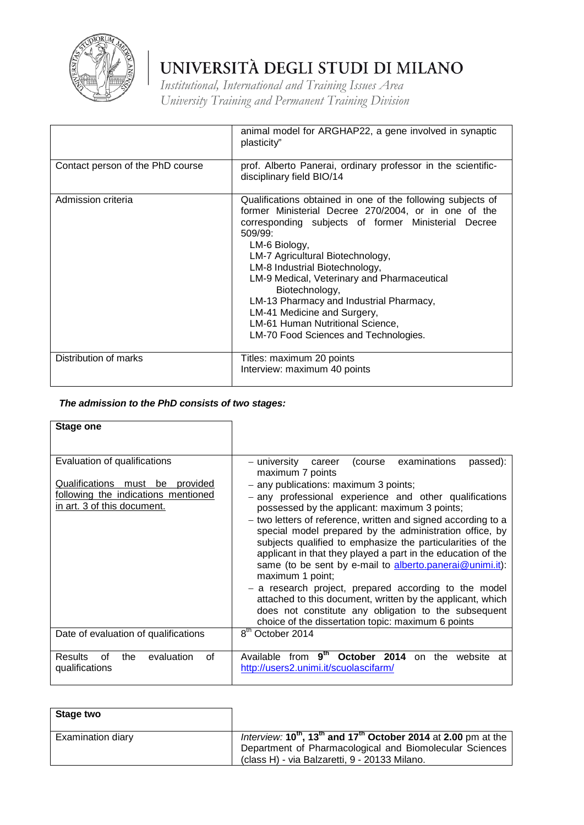

*Institutional, International and Training Issues Area University Training and Permanent Training Division*

|                                  | animal model for ARGHAP22, a gene involved in synaptic<br>plasticity"                                                                                                                                                                                                                                                                                                                                                                                                                                   |
|----------------------------------|---------------------------------------------------------------------------------------------------------------------------------------------------------------------------------------------------------------------------------------------------------------------------------------------------------------------------------------------------------------------------------------------------------------------------------------------------------------------------------------------------------|
| Contact person of the PhD course | prof. Alberto Panerai, ordinary professor in the scientific-<br>disciplinary field BIO/14                                                                                                                                                                                                                                                                                                                                                                                                               |
| Admission criteria               | Qualifications obtained in one of the following subjects of<br>former Ministerial Decree 270/2004, or in one of the<br>corresponding subjects of former Ministerial Decree<br>$509/99$ :<br>LM-6 Biology,<br>LM-7 Agricultural Biotechnology,<br>LM-8 Industrial Biotechnology,<br>LM-9 Medical, Veterinary and Pharmaceutical<br>Biotechnology,<br>LM-13 Pharmacy and Industrial Pharmacy,<br>LM-41 Medicine and Surgery,<br>LM-61 Human Nutritional Science,<br>LM-70 Food Sciences and Technologies. |
| Distribution of marks            | Titles: maximum 20 points<br>Interview: maximum 40 points                                                                                                                                                                                                                                                                                                                                                                                                                                               |

| <b>Stage one</b>                                                                                                                               |                                                                                                                                                                                                                                                                                                                                                                                                                                                                                                                                                                                  |
|------------------------------------------------------------------------------------------------------------------------------------------------|----------------------------------------------------------------------------------------------------------------------------------------------------------------------------------------------------------------------------------------------------------------------------------------------------------------------------------------------------------------------------------------------------------------------------------------------------------------------------------------------------------------------------------------------------------------------------------|
|                                                                                                                                                |                                                                                                                                                                                                                                                                                                                                                                                                                                                                                                                                                                                  |
| Evaluation of qualifications<br>Qualifications<br>be<br>provided<br>must<br>following the indications mentioned<br>in art. 3 of this document. | examinations<br>- university<br>(course)<br>passed):<br>career<br>maximum 7 points<br>- any publications: maximum 3 points;<br>- any professional experience and other qualifications<br>possessed by the applicant: maximum 3 points;<br>- two letters of reference, written and signed according to a<br>special model prepared by the administration office, by<br>subjects qualified to emphasize the particularities of the<br>applicant in that they played a part in the education of the<br>same (to be sent by e-mail to alberto.panerai@unimi.it):<br>maximum 1 point; |
|                                                                                                                                                | - a research project, prepared according to the model<br>attached to this document, written by the applicant, which<br>does not constitute any obligation to the subsequent                                                                                                                                                                                                                                                                                                                                                                                                      |
|                                                                                                                                                | choice of the dissertation topic: maximum 6 points                                                                                                                                                                                                                                                                                                                                                                                                                                                                                                                               |
| Date of evaluation of qualifications                                                                                                           | 8 <sup>th</sup> October 2014                                                                                                                                                                                                                                                                                                                                                                                                                                                                                                                                                     |
| Results<br>evaluation<br>οf<br>0f<br>the<br>qualifications                                                                                     | 9 <sup>th</sup><br>October 2014<br>from<br>Available<br>the<br><sub>on</sub><br>website<br>at<br>http://users2.unimi.it/scuolascifarm/                                                                                                                                                                                                                                                                                                                                                                                                                                           |

| Stage two         |                                                                                             |
|-------------------|---------------------------------------------------------------------------------------------|
| Examination diary | Interview: $10^{th}$ , 13 <sup>th</sup> and 17 <sup>th</sup> October 2014 at 2.00 pm at the |
|                   | Department of Pharmacological and Biomolecular Sciences                                     |
|                   | (class H) - via Balzaretti, 9 - 20133 Milano.                                               |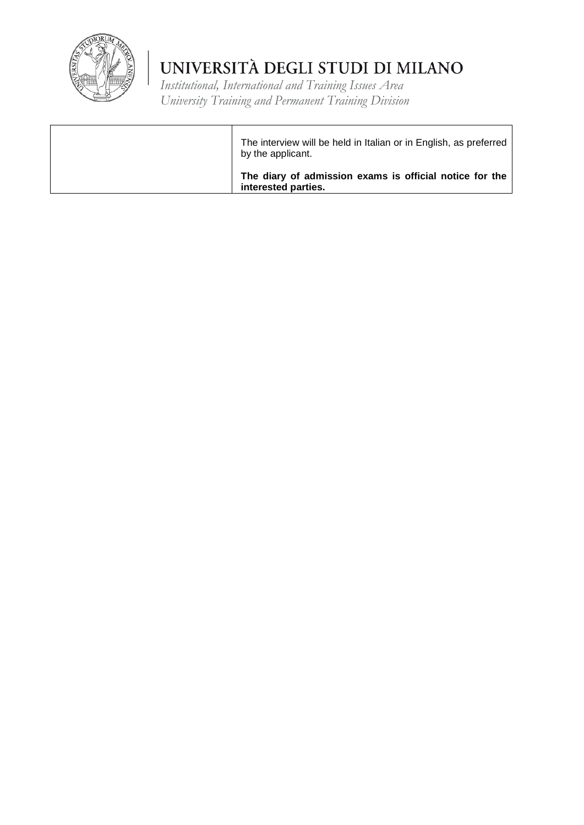

*Institutional, International and Training Issues Area University Training and Permanent Training Division*

The interview will be held in Italian or in English, as preferred by the applicant. **The diary of admission exams is official notice for the interested parties.**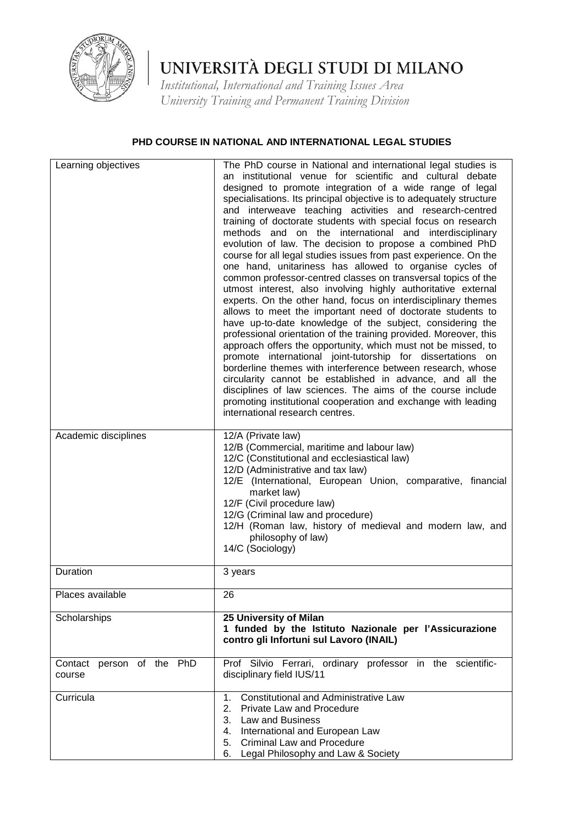

*Institutional, International and Training Issues Area University Training and Permanent Training Division*

### **PHD COURSE IN NATIONAL AND INTERNATIONAL LEGAL STUDIES**

| Learning objectives                 | The PhD course in National and international legal studies is<br>an institutional venue for scientific and cultural debate<br>designed to promote integration of a wide range of legal<br>specialisations. Its principal objective is to adequately structure<br>and interweave teaching activities and research-centred<br>training of doctorate students with special focus on research<br>methods and on the international and interdisciplinary<br>evolution of law. The decision to propose a combined PhD<br>course for all legal studies issues from past experience. On the<br>one hand, unitariness has allowed to organise cycles of<br>common professor-centred classes on transversal topics of the<br>utmost interest, also involving highly authoritative external<br>experts. On the other hand, focus on interdisciplinary themes<br>allows to meet the important need of doctorate students to<br>have up-to-date knowledge of the subject, considering the<br>professional orientation of the training provided. Moreover, this<br>approach offers the opportunity, which must not be missed, to<br>promote international joint-tutorship for dissertations on<br>borderline themes with interference between research, whose<br>circularity cannot be established in advance, and all the<br>disciplines of law sciences. The aims of the course include<br>promoting institutional cooperation and exchange with leading<br>international research centres. |
|-------------------------------------|---------------------------------------------------------------------------------------------------------------------------------------------------------------------------------------------------------------------------------------------------------------------------------------------------------------------------------------------------------------------------------------------------------------------------------------------------------------------------------------------------------------------------------------------------------------------------------------------------------------------------------------------------------------------------------------------------------------------------------------------------------------------------------------------------------------------------------------------------------------------------------------------------------------------------------------------------------------------------------------------------------------------------------------------------------------------------------------------------------------------------------------------------------------------------------------------------------------------------------------------------------------------------------------------------------------------------------------------------------------------------------------------------------------------------------------------------------------------------------|
| Academic disciplines                | 12/A (Private law)<br>12/B (Commercial, maritime and labour law)<br>12/C (Constitutional and ecclesiastical law)<br>12/D (Administrative and tax law)<br>12/E (International, European Union, comparative, financial<br>market law)<br>12/F (Civil procedure law)<br>12/G (Criminal law and procedure)<br>12/H (Roman law, history of medieval and modern law, and<br>philosophy of law)<br>14/C (Sociology)                                                                                                                                                                                                                                                                                                                                                                                                                                                                                                                                                                                                                                                                                                                                                                                                                                                                                                                                                                                                                                                                    |
| Duration                            | 3 years                                                                                                                                                                                                                                                                                                                                                                                                                                                                                                                                                                                                                                                                                                                                                                                                                                                                                                                                                                                                                                                                                                                                                                                                                                                                                                                                                                                                                                                                         |
| Places available                    | 26                                                                                                                                                                                                                                                                                                                                                                                                                                                                                                                                                                                                                                                                                                                                                                                                                                                                                                                                                                                                                                                                                                                                                                                                                                                                                                                                                                                                                                                                              |
| Scholarships                        | 25 University of Milan<br>1 funded by the Istituto Nazionale per l'Assicurazione<br>contro gli Infortuni sul Lavoro (INAIL)                                                                                                                                                                                                                                                                                                                                                                                                                                                                                                                                                                                                                                                                                                                                                                                                                                                                                                                                                                                                                                                                                                                                                                                                                                                                                                                                                     |
| Contact person of the PhD<br>course | Prof Silvio Ferrari, ordinary professor in the scientific-<br>disciplinary field IUS/11                                                                                                                                                                                                                                                                                                                                                                                                                                                                                                                                                                                                                                                                                                                                                                                                                                                                                                                                                                                                                                                                                                                                                                                                                                                                                                                                                                                         |
| Curricula                           | <b>Constitutional and Administrative Law</b><br>1.<br>2.<br><b>Private Law and Procedure</b><br>3. Law and Business<br>4. International and European Law<br>5. Criminal Law and Procedure<br>6. Legal Philosophy and Law & Society                                                                                                                                                                                                                                                                                                                                                                                                                                                                                                                                                                                                                                                                                                                                                                                                                                                                                                                                                                                                                                                                                                                                                                                                                                              |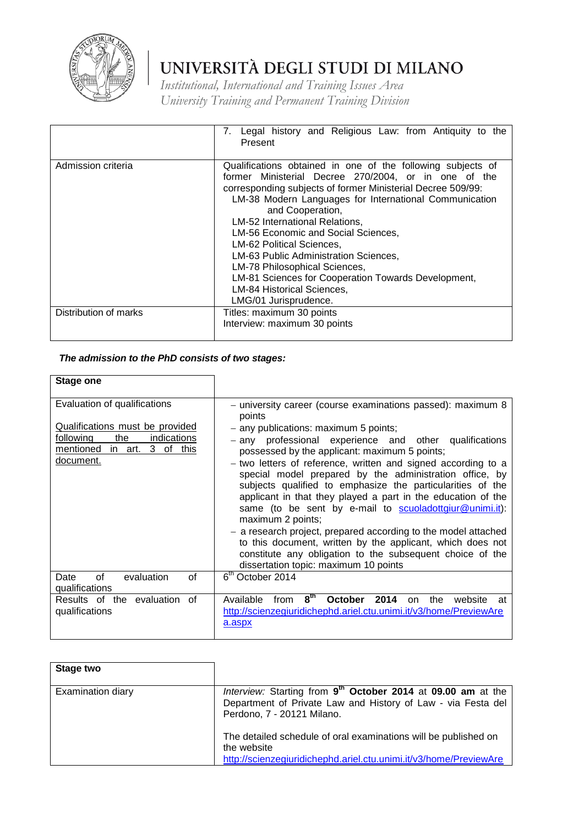

*Institutional, International and Training Issues Area University Training and Permanent Training Division*

|                       | Legal history and Religious Law: from Antiquity to the<br>7.<br>Present                                                                                                                                                                                                                                                                                                                                                                                                                                                                                        |
|-----------------------|----------------------------------------------------------------------------------------------------------------------------------------------------------------------------------------------------------------------------------------------------------------------------------------------------------------------------------------------------------------------------------------------------------------------------------------------------------------------------------------------------------------------------------------------------------------|
| Admission criteria    | Qualifications obtained in one of the following subjects of<br>former Ministerial Decree 270/2004, or in one of the<br>corresponding subjects of former Ministerial Decree 509/99:<br>LM-38 Modern Languages for International Communication<br>and Cooperation,<br>LM-52 International Relations,<br>LM-56 Economic and Social Sciences,<br>LM-62 Political Sciences,<br>LM-63 Public Administration Sciences,<br>LM-78 Philosophical Sciences,<br>LM-81 Sciences for Cooperation Towards Development,<br>LM-84 Historical Sciences,<br>LMG/01 Jurisprudence. |
| Distribution of marks | Titles: maximum 30 points<br>Interview: maximum 30 points                                                                                                                                                                                                                                                                                                                                                                                                                                                                                                      |

| Stage one                                                                                                                                      |                                                                                                                                                                                                                                                                                                                                                                                                                                                                                                                                                                                                                                                                                                                                                                                                              |
|------------------------------------------------------------------------------------------------------------------------------------------------|--------------------------------------------------------------------------------------------------------------------------------------------------------------------------------------------------------------------------------------------------------------------------------------------------------------------------------------------------------------------------------------------------------------------------------------------------------------------------------------------------------------------------------------------------------------------------------------------------------------------------------------------------------------------------------------------------------------------------------------------------------------------------------------------------------------|
| Evaluation of qualifications<br>Qualifications must be provided<br>the<br>following<br>indications<br>mentioned in art. 3 of this<br>document. | - university career (course examinations passed): maximum 8<br>points<br>- any publications: maximum 5 points;<br>professional experience and other qualifications<br>– any<br>possessed by the applicant: maximum 5 points;<br>- two letters of reference, written and signed according to a<br>special model prepared by the administration office, by<br>subjects qualified to emphasize the particularities of the<br>applicant in that they played a part in the education of the<br>same (to be sent by e-mail to scuoladottgiur@unimi.it):<br>maximum 2 points;<br>- a research project, prepared according to the model attached<br>to this document, written by the applicant, which does not<br>constitute any obligation to the subsequent choice of the<br>dissertation topic: maximum 10 points |
| οf<br>evaluation<br>Ωf<br>Date<br>qualifications                                                                                               | 6 <sup>th</sup> October 2014                                                                                                                                                                                                                                                                                                                                                                                                                                                                                                                                                                                                                                                                                                                                                                                 |
| Results of the evaluation<br>of<br>qualifications                                                                                              | 8 <sup>th</sup><br>Available<br>October<br>2014<br>the<br>from<br>website<br><sub>on</sub><br>at<br>http://scienzegiuridichephd.ariel.ctu.unimi.it/v3/home/PreviewAre<br>a.aspx                                                                                                                                                                                                                                                                                                                                                                                                                                                                                                                                                                                                                              |

| Stage two         |                                                                                                                                                                        |
|-------------------|------------------------------------------------------------------------------------------------------------------------------------------------------------------------|
| Examination diary | Interview: Starting from 9 <sup>th</sup> October 2014 at 09.00 am at the<br>Department of Private Law and History of Law - via Festa del<br>Perdono, 7 - 20121 Milano. |
|                   | The detailed schedule of oral examinations will be published on<br>the website<br>http://scienzegiuridichephd.ariel.ctu.unimi.it/v3/home/PreviewAre                    |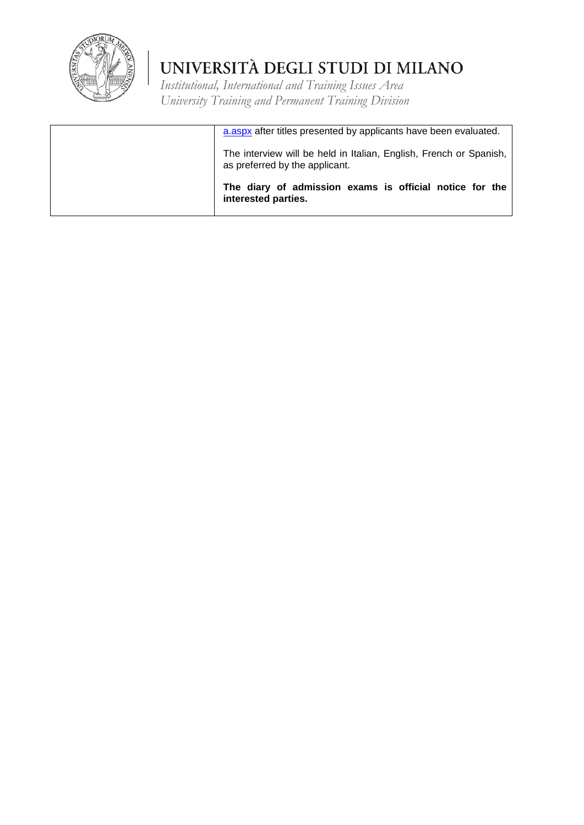

| a.aspx after titles presented by applicants have been evaluated.                                     |
|------------------------------------------------------------------------------------------------------|
| The interview will be held in Italian, English, French or Spanish,<br>as preferred by the applicant. |
| The diary of admission exams is official notice for the<br>interested parties.                       |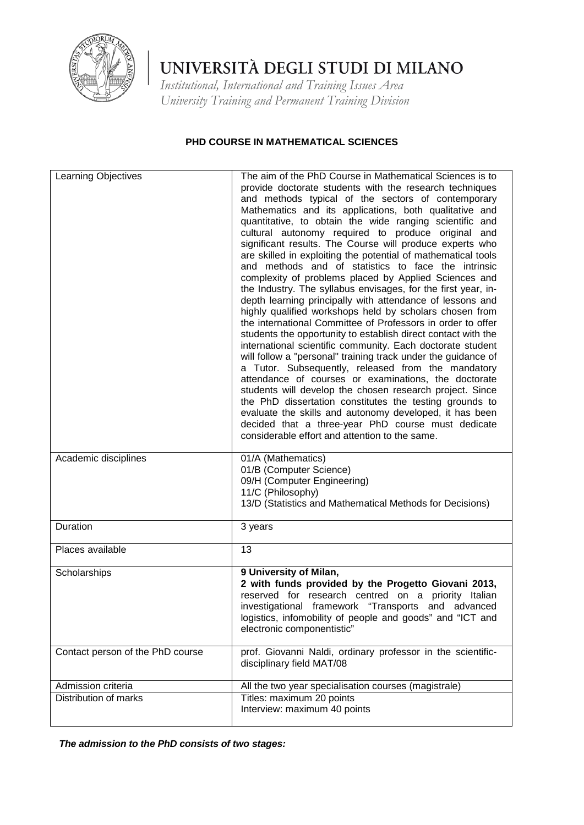

*Institutional, International and Training Issues Area University Training and Permanent Training Division*

#### **PHD COURSE IN MATHEMATICAL SCIENCES**

| Learning Objectives              | The aim of the PhD Course in Mathematical Sciences is to<br>provide doctorate students with the research techniques<br>and methods typical of the sectors of contemporary<br>Mathematics and its applications, both qualitative and<br>quantitative, to obtain the wide ranging scientific and<br>cultural autonomy required to produce original and<br>significant results. The Course will produce experts who<br>are skilled in exploiting the potential of mathematical tools<br>and methods and of statistics to face the intrinsic<br>complexity of problems placed by Applied Sciences and<br>the Industry. The syllabus envisages, for the first year, in-<br>depth learning principally with attendance of lessons and<br>highly qualified workshops held by scholars chosen from<br>the international Committee of Professors in order to offer<br>students the opportunity to establish direct contact with the<br>international scientific community. Each doctorate student<br>will follow a "personal" training track under the guidance of<br>a Tutor. Subsequently, released from the mandatory<br>attendance of courses or examinations, the doctorate<br>students will develop the chosen research project. Since<br>the PhD dissertation constitutes the testing grounds to<br>evaluate the skills and autonomy developed, it has been<br>decided that a three-year PhD course must dedicate<br>considerable effort and attention to the same. |
|----------------------------------|-------------------------------------------------------------------------------------------------------------------------------------------------------------------------------------------------------------------------------------------------------------------------------------------------------------------------------------------------------------------------------------------------------------------------------------------------------------------------------------------------------------------------------------------------------------------------------------------------------------------------------------------------------------------------------------------------------------------------------------------------------------------------------------------------------------------------------------------------------------------------------------------------------------------------------------------------------------------------------------------------------------------------------------------------------------------------------------------------------------------------------------------------------------------------------------------------------------------------------------------------------------------------------------------------------------------------------------------------------------------------------------------------------------------------------------------------------------------|
| Academic disciplines             | 01/A (Mathematics)<br>01/B (Computer Science)<br>09/H (Computer Engineering)<br>11/C (Philosophy)<br>13/D (Statistics and Mathematical Methods for Decisions)                                                                                                                                                                                                                                                                                                                                                                                                                                                                                                                                                                                                                                                                                                                                                                                                                                                                                                                                                                                                                                                                                                                                                                                                                                                                                                     |
| Duration                         | 3 years                                                                                                                                                                                                                                                                                                                                                                                                                                                                                                                                                                                                                                                                                                                                                                                                                                                                                                                                                                                                                                                                                                                                                                                                                                                                                                                                                                                                                                                           |
| Places available                 | 13                                                                                                                                                                                                                                                                                                                                                                                                                                                                                                                                                                                                                                                                                                                                                                                                                                                                                                                                                                                                                                                                                                                                                                                                                                                                                                                                                                                                                                                                |
| Scholarships                     | 9 University of Milan,<br>2 with funds provided by the Progetto Giovani 2013,<br>reserved for research centred on a priority Italian<br>investigational framework "Transports and advanced<br>logistics, infomobility of people and goods" and "ICT and<br>electronic componentistic"                                                                                                                                                                                                                                                                                                                                                                                                                                                                                                                                                                                                                                                                                                                                                                                                                                                                                                                                                                                                                                                                                                                                                                             |
| Contact person of the PhD course | prof. Giovanni Naldi, ordinary professor in the scientific-<br>disciplinary field MAT/08                                                                                                                                                                                                                                                                                                                                                                                                                                                                                                                                                                                                                                                                                                                                                                                                                                                                                                                                                                                                                                                                                                                                                                                                                                                                                                                                                                          |
| Admission criteria               | All the two year specialisation courses (magistrale)                                                                                                                                                                                                                                                                                                                                                                                                                                                                                                                                                                                                                                                                                                                                                                                                                                                                                                                                                                                                                                                                                                                                                                                                                                                                                                                                                                                                              |
| Distribution of marks            | Titles: maximum 20 points<br>Interview: maximum 40 points                                                                                                                                                                                                                                                                                                                                                                                                                                                                                                                                                                                                                                                                                                                                                                                                                                                                                                                                                                                                                                                                                                                                                                                                                                                                                                                                                                                                         |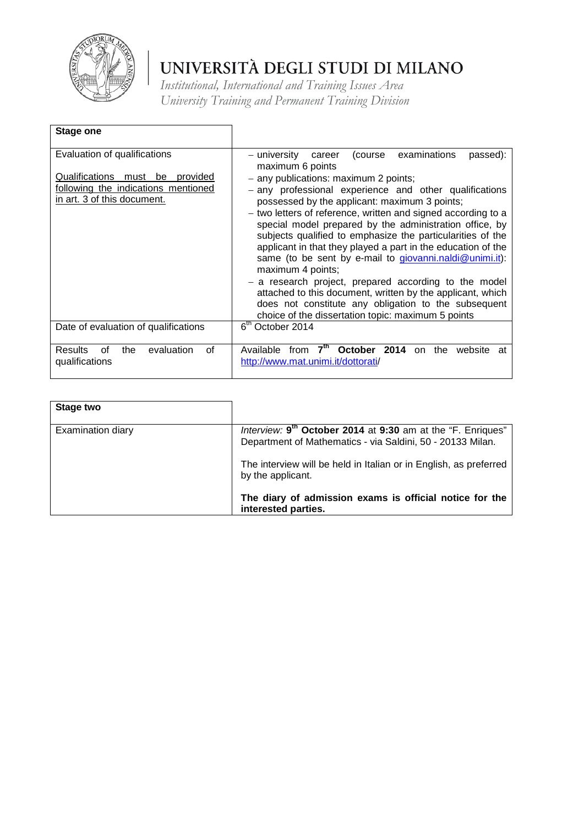

| Stage one                                                                                                                                   |                                                                                                                                                                                                                                                                                                                                                                                                                                                                                                                                                                                                                                                                                                                                                                                                                              |
|---------------------------------------------------------------------------------------------------------------------------------------------|------------------------------------------------------------------------------------------------------------------------------------------------------------------------------------------------------------------------------------------------------------------------------------------------------------------------------------------------------------------------------------------------------------------------------------------------------------------------------------------------------------------------------------------------------------------------------------------------------------------------------------------------------------------------------------------------------------------------------------------------------------------------------------------------------------------------------|
| Evaluation of qualifications<br>Qualifications<br>must be<br>provided<br>following the indications mentioned<br>in art. 3 of this document. | examinations<br>passed):<br>– university<br>(course<br>career<br>maximum 6 points<br>- any publications: maximum 2 points;<br>- any professional experience and other qualifications<br>possessed by the applicant: maximum 3 points;<br>- two letters of reference, written and signed according to a<br>special model prepared by the administration office, by<br>subjects qualified to emphasize the particularities of the<br>applicant in that they played a part in the education of the<br>same (to be sent by e-mail to giovanni nail $\omega$ unimi.it):<br>maximum 4 points;<br>- a research project, prepared according to the model<br>attached to this document, written by the applicant, which<br>does not constitute any obligation to the subsequent<br>choice of the dissertation topic: maximum 5 points |
| Date of evaluation of qualifications                                                                                                        | 6 <sup>th</sup> October 2014                                                                                                                                                                                                                                                                                                                                                                                                                                                                                                                                                                                                                                                                                                                                                                                                 |
| evaluation<br><b>Results</b><br>the<br>0f<br>οf<br>qualifications                                                                           | 7 <sup>th</sup><br>October 2014<br>Available<br>the<br>from<br>website<br>on<br>at<br>http://www.mat.unimi.it/dottorati/                                                                                                                                                                                                                                                                                                                                                                                                                                                                                                                                                                                                                                                                                                     |

| Stage two         |                                                                                                                                       |
|-------------------|---------------------------------------------------------------------------------------------------------------------------------------|
| Examination diary | Interview: 9 <sup>th</sup> October 2014 at 9:30 am at the "F. Enriques"<br>Department of Mathematics - via Saldini, 50 - 20133 Milan. |
|                   | The interview will be held in Italian or in English, as preferred<br>by the applicant.                                                |
|                   | The diary of admission exams is official notice for the<br>interested parties.                                                        |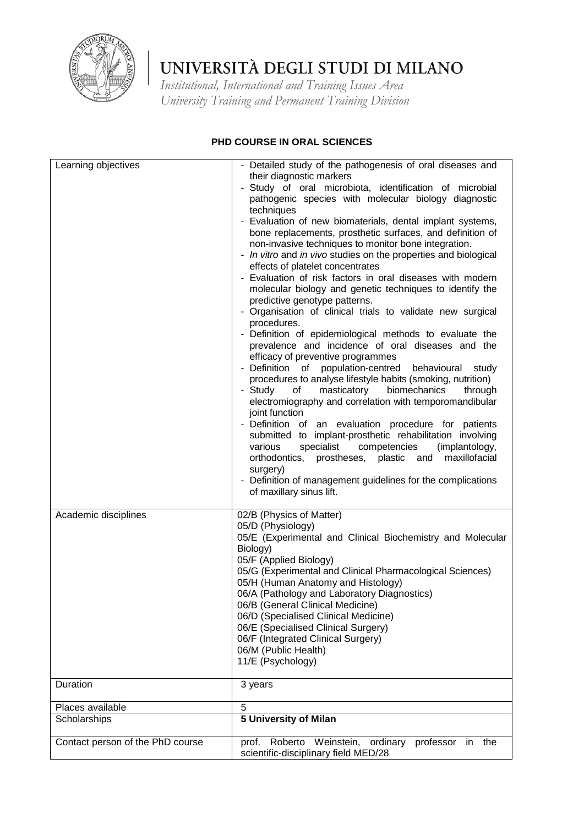

*Institutional, International and Training Issues Area University Training and Permanent Training Division*

### **PHD COURSE IN ORAL SCIENCES**

| Learning objectives              | - Detailed study of the pathogenesis of oral diseases and<br>their diagnostic markers<br>- Study of oral microbiota, identification of microbial<br>pathogenic species with molecular biology diagnostic<br>techniques<br>- Evaluation of new biomaterials, dental implant systems,<br>bone replacements, prosthetic surfaces, and definition of<br>non-invasive techniques to monitor bone integration.<br>- In vitro and in vivo studies on the properties and biological<br>effects of platelet concentrates<br>- Evaluation of risk factors in oral diseases with modern<br>molecular biology and genetic techniques to identify the<br>predictive genotype patterns.<br>- Organisation of clinical trials to validate new surgical<br>procedures.<br>- Definition of epidemiological methods to evaluate the<br>prevalence and incidence of oral diseases and the<br>efficacy of preventive programmes<br>- Definition of population-centred behavioural study<br>procedures to analyse lifestyle habits (smoking, nutrition)<br>- Study<br>of<br>masticatory<br>biomechanics<br>through<br>electromiography and correlation with temporomandibular<br>joint function<br>- Definition of an evaluation procedure for patients<br>submitted to implant-prosthetic rehabilitation involving<br>various<br>specialist<br>competencies<br>(implantology,<br>orthodontics, prostheses, plastic and<br>maxillofacial<br>surgery)<br>- Definition of management guidelines for the complications<br>of maxillary sinus lift. |
|----------------------------------|----------------------------------------------------------------------------------------------------------------------------------------------------------------------------------------------------------------------------------------------------------------------------------------------------------------------------------------------------------------------------------------------------------------------------------------------------------------------------------------------------------------------------------------------------------------------------------------------------------------------------------------------------------------------------------------------------------------------------------------------------------------------------------------------------------------------------------------------------------------------------------------------------------------------------------------------------------------------------------------------------------------------------------------------------------------------------------------------------------------------------------------------------------------------------------------------------------------------------------------------------------------------------------------------------------------------------------------------------------------------------------------------------------------------------------------------------------------------------------------------------------------------------|
| Academic disciplines             | 02/B (Physics of Matter)<br>05/D (Physiology)<br>05/E (Experimental and Clinical Biochemistry and Molecular<br>Biology)<br>05/F (Applied Biology)<br>05/G (Experimental and Clinical Pharmacological Sciences)<br>05/H (Human Anatomy and Histology)<br>06/A (Pathology and Laboratory Diagnostics)<br>06/B (General Clinical Medicine)<br>06/D (Specialised Clinical Medicine)<br>06/E (Specialised Clinical Surgery)<br>06/F (Integrated Clinical Surgery)<br>06/M (Public Health)<br>11/E (Psychology)                                                                                                                                                                                                                                                                                                                                                                                                                                                                                                                                                                                                                                                                                                                                                                                                                                                                                                                                                                                                                  |
| Duration                         | 3 years                                                                                                                                                                                                                                                                                                                                                                                                                                                                                                                                                                                                                                                                                                                                                                                                                                                                                                                                                                                                                                                                                                                                                                                                                                                                                                                                                                                                                                                                                                                    |
| Places available                 | 5                                                                                                                                                                                                                                                                                                                                                                                                                                                                                                                                                                                                                                                                                                                                                                                                                                                                                                                                                                                                                                                                                                                                                                                                                                                                                                                                                                                                                                                                                                                          |
| Scholarships                     | 5 University of Milan                                                                                                                                                                                                                                                                                                                                                                                                                                                                                                                                                                                                                                                                                                                                                                                                                                                                                                                                                                                                                                                                                                                                                                                                                                                                                                                                                                                                                                                                                                      |
| Contact person of the PhD course | Roberto Weinstein,<br>ordinary<br>professor in<br>prof.<br>the<br>scientific-disciplinary field MED/28                                                                                                                                                                                                                                                                                                                                                                                                                                                                                                                                                                                                                                                                                                                                                                                                                                                                                                                                                                                                                                                                                                                                                                                                                                                                                                                                                                                                                     |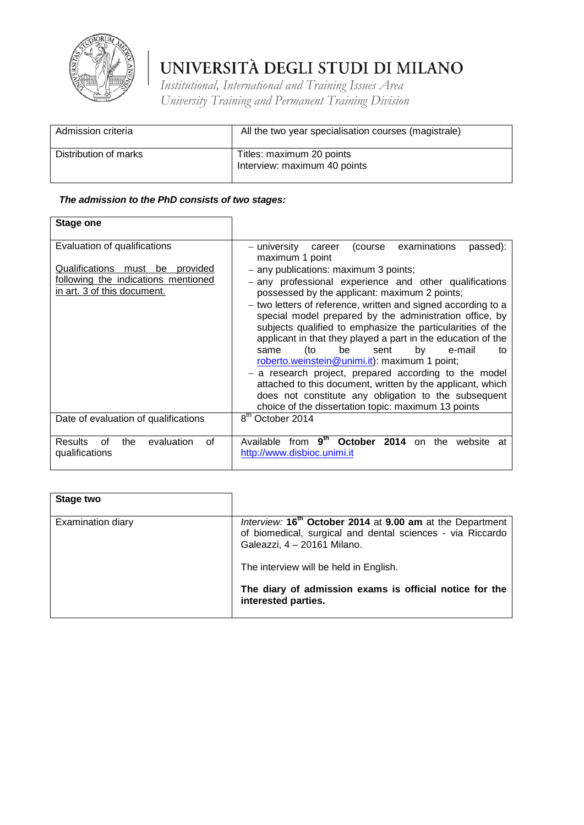

*Institutional, International and Training Issues Area University Training and Permanent Training Division*

| Admission criteria    | All the two year specialisation courses (magistrale)      |
|-----------------------|-----------------------------------------------------------|
| Distribution of marks | Titles: maximum 20 points<br>Interview: maximum 40 points |

| <b>Stage one</b>                                                                                                                      |                                                                                                                                                                                                                                                                                                                                                                                                                                                                                                                                                                                                                                                                                                                                                                                                                                          |
|---------------------------------------------------------------------------------------------------------------------------------------|------------------------------------------------------------------------------------------------------------------------------------------------------------------------------------------------------------------------------------------------------------------------------------------------------------------------------------------------------------------------------------------------------------------------------------------------------------------------------------------------------------------------------------------------------------------------------------------------------------------------------------------------------------------------------------------------------------------------------------------------------------------------------------------------------------------------------------------|
| Evaluation of qualifications<br>Qualifications must be provided<br>following the indications mentioned<br>in art. 3 of this document. | passed):<br>– university<br>(course<br>examinations<br>career<br>maximum 1 point<br>- any publications: maximum 3 points;<br>- any professional experience and other qualifications<br>possessed by the applicant: maximum 2 points;<br>- two letters of reference, written and signed according to a<br>special model prepared by the administration office, by<br>subjects qualified to emphasize the particularities of the<br>applicant in that they played a part in the education of the<br>be<br>(to<br>by<br>e-mail<br>sent<br>same<br>to<br>roberto.weinstein@unimi.it): maximum 1 point;<br>- a research project, prepared according to the model<br>attached to this document, written by the applicant, which<br>does not constitute any obligation to the subsequent<br>choice of the dissertation topic: maximum 13 points |
| Date of evaluation of qualifications                                                                                                  | $\overline{8}^{\text{th}}$ October 2014                                                                                                                                                                                                                                                                                                                                                                                                                                                                                                                                                                                                                                                                                                                                                                                                  |
| evaluation<br><b>Results</b><br>the<br>οf<br>οf<br>qualifications                                                                     | 9 <sup>th</sup><br>October<br>2014<br>Available<br>the<br>from<br>website<br>on<br>at<br>http://www.disbioc.unimi.it                                                                                                                                                                                                                                                                                                                                                                                                                                                                                                                                                                                                                                                                                                                     |

| Stage two                |                                                                                                                                                                    |
|--------------------------|--------------------------------------------------------------------------------------------------------------------------------------------------------------------|
| <b>Examination diary</b> | Interview: 16 <sup>th</sup> October 2014 at 9.00 am at the Department<br>of biomedical, surgical and dental sciences - via Riccardo<br>Galeazzi, 4 - 20161 Milano. |
|                          | The interview will be held in English.                                                                                                                             |
|                          | The diary of admission exams is official notice for the<br>interested parties.                                                                                     |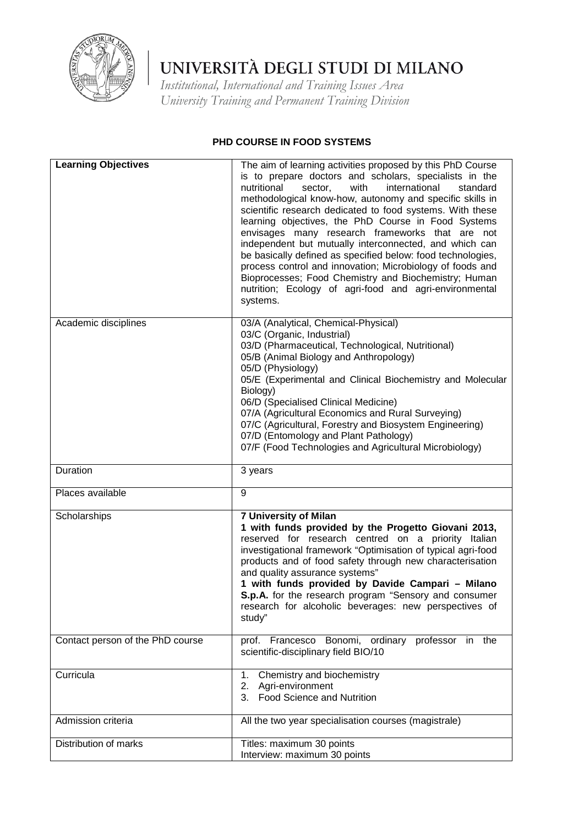

*Institutional, International and Training Issues Area University Training and Permanent Training Division*

### **PHD COURSE IN FOOD SYSTEMS**

| <b>Learning Objectives</b>       | The aim of learning activities proposed by this PhD Course<br>is to prepare doctors and scholars, specialists in the<br>nutritional<br>international<br>sector,<br>with<br>standard<br>methodological know-how, autonomy and specific skills in<br>scientific research dedicated to food systems. With these<br>learning objectives, the PhD Course in Food Systems<br>envisages many research frameworks that are not<br>independent but mutually interconnected, and which can<br>be basically defined as specified below: food technologies,<br>process control and innovation; Microbiology of foods and<br>Bioprocesses; Food Chemistry and Biochemistry; Human<br>nutrition; Ecology of agri-food and agri-environmental<br>systems. |
|----------------------------------|--------------------------------------------------------------------------------------------------------------------------------------------------------------------------------------------------------------------------------------------------------------------------------------------------------------------------------------------------------------------------------------------------------------------------------------------------------------------------------------------------------------------------------------------------------------------------------------------------------------------------------------------------------------------------------------------------------------------------------------------|
| Academic disciplines             | 03/A (Analytical, Chemical-Physical)<br>03/C (Organic, Industrial)<br>03/D (Pharmaceutical, Technological, Nutritional)<br>05/B (Animal Biology and Anthropology)<br>05/D (Physiology)<br>05/E (Experimental and Clinical Biochemistry and Molecular<br>Biology)<br>06/D (Specialised Clinical Medicine)<br>07/A (Agricultural Economics and Rural Surveying)<br>07/C (Agricultural, Forestry and Biosystem Engineering)<br>07/D (Entomology and Plant Pathology)<br>07/F (Food Technologies and Agricultural Microbiology)                                                                                                                                                                                                                |
| Duration                         | 3 years                                                                                                                                                                                                                                                                                                                                                                                                                                                                                                                                                                                                                                                                                                                                    |
| Places available                 | 9                                                                                                                                                                                                                                                                                                                                                                                                                                                                                                                                                                                                                                                                                                                                          |
| Scholarships                     | <b>7 University of Milan</b><br>1 with funds provided by the Progetto Giovani 2013,<br>reserved for research centred on a priority Italian<br>investigational framework "Optimisation of typical agri-food<br>products and of food safety through new characterisation<br>and quality assurance systems"<br>1 with funds provided by Davide Campari - Milano<br>S.p.A. for the research program "Sensory and consumer<br>research for alcoholic beverages: new perspectives of<br>study"                                                                                                                                                                                                                                                   |
| Contact person of the PhD course | prof. Francesco Bonomi, ordinary professor in the<br>scientific-disciplinary field BIO/10                                                                                                                                                                                                                                                                                                                                                                                                                                                                                                                                                                                                                                                  |
| Curricula                        | Chemistry and biochemistry<br>1.<br>2. Agri-environment<br>3. Food Science and Nutrition                                                                                                                                                                                                                                                                                                                                                                                                                                                                                                                                                                                                                                                   |
| Admission criteria               | All the two year specialisation courses (magistrale)                                                                                                                                                                                                                                                                                                                                                                                                                                                                                                                                                                                                                                                                                       |
| Distribution of marks            | Titles: maximum 30 points<br>Interview: maximum 30 points                                                                                                                                                                                                                                                                                                                                                                                                                                                                                                                                                                                                                                                                                  |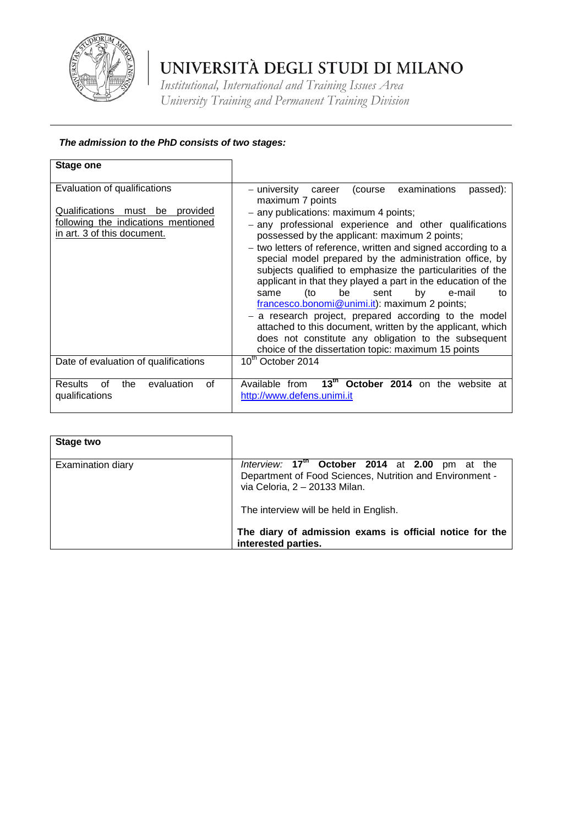

*Institutional, International and Training Issues Area University Training and Permanent Training Division*

| Stage one                                                                                                                                   |                                                                                                                                                                                                                                                                                                                                                                                                                                                                                                                                                                                                                                                                                                                                                                                                                                           |
|---------------------------------------------------------------------------------------------------------------------------------------------|-------------------------------------------------------------------------------------------------------------------------------------------------------------------------------------------------------------------------------------------------------------------------------------------------------------------------------------------------------------------------------------------------------------------------------------------------------------------------------------------------------------------------------------------------------------------------------------------------------------------------------------------------------------------------------------------------------------------------------------------------------------------------------------------------------------------------------------------|
| Evaluation of qualifications<br>Qualifications<br>must be<br>provided<br>following the indications mentioned<br>in art. 3 of this document. | examinations<br>passed):<br>– university<br>(course<br>career<br>maximum 7 points<br>- any publications: maximum 4 points;<br>- any professional experience and other qualifications<br>possessed by the applicant: maximum 2 points;<br>- two letters of reference, written and signed according to a<br>special model prepared by the administration office, by<br>subjects qualified to emphasize the particularities of the<br>applicant in that they played a part in the education of the<br>be<br>(to<br>by<br>e-mail<br>sent<br>same<br>to<br>francesco.bonomi@unimi.it): maximum 2 points;<br>- a research project, prepared according to the model<br>attached to this document, written by the applicant, which<br>does not constitute any obligation to the subsequent<br>choice of the dissertation topic: maximum 15 points |
| Date of evaluation of qualifications                                                                                                        | 10 <sup>th</sup> October 2014                                                                                                                                                                                                                                                                                                                                                                                                                                                                                                                                                                                                                                                                                                                                                                                                             |
| evaluation<br>Results<br>οf<br>the<br>οf<br>qualifications                                                                                  | $13^{\text{th}}$<br>October 2014 on the<br>Available from<br>website at<br>http://www.defens.unimi.it                                                                                                                                                                                                                                                                                                                                                                                                                                                                                                                                                                                                                                                                                                                                     |

| Stage two                |                                                                                                                                                                                                                                                                           |
|--------------------------|---------------------------------------------------------------------------------------------------------------------------------------------------------------------------------------------------------------------------------------------------------------------------|
| <b>Examination diary</b> | Interview: $17th$ October 2014 at 2.00 pm at the<br>Department of Food Sciences, Nutrition and Environment -<br>via Celoria, 2 - 20133 Milan.<br>The interview will be held in English.<br>The diary of admission exams is official notice for the<br>interested parties. |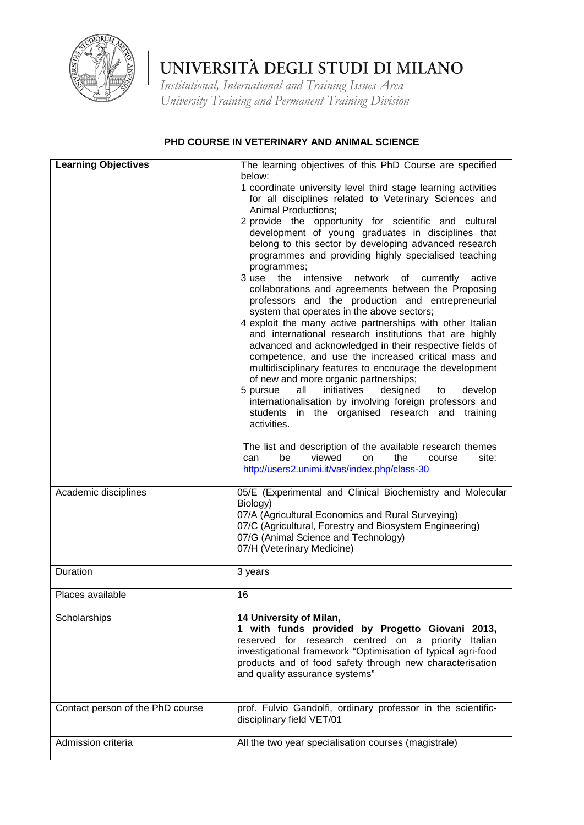

*Institutional, International and Training Issues Area University Training and Permanent Training Division*

#### **PHD COURSE IN VETERINARY AND ANIMAL SCIENCE**

| <b>Learning Objectives</b>       | The learning objectives of this PhD Course are specified                                                                                                                                                                                                                                                                                  |
|----------------------------------|-------------------------------------------------------------------------------------------------------------------------------------------------------------------------------------------------------------------------------------------------------------------------------------------------------------------------------------------|
|                                  | below:                                                                                                                                                                                                                                                                                                                                    |
|                                  | 1 coordinate university level third stage learning activities<br>for all disciplines related to Veterinary Sciences and<br><b>Animal Productions;</b>                                                                                                                                                                                     |
|                                  | 2 provide the opportunity for scientific and cultural                                                                                                                                                                                                                                                                                     |
|                                  | development of young graduates in disciplines that                                                                                                                                                                                                                                                                                        |
|                                  | belong to this sector by developing advanced research                                                                                                                                                                                                                                                                                     |
|                                  | programmes and providing highly specialised teaching                                                                                                                                                                                                                                                                                      |
|                                  | programmes;<br>3 use the<br>intensive network of currently<br>active                                                                                                                                                                                                                                                                      |
|                                  | collaborations and agreements between the Proposing<br>professors and the production and entrepreneurial<br>system that operates in the above sectors;<br>4 exploit the many active partnerships with other Italian<br>and international research institutions that are highly<br>advanced and acknowledged in their respective fields of |
|                                  | competence, and use the increased critical mass and<br>multidisciplinary features to encourage the development<br>of new and more organic partnerships;                                                                                                                                                                                   |
|                                  | 5 pursue<br>all<br>initiatives<br>designed<br>develop<br>to                                                                                                                                                                                                                                                                               |
|                                  | internationalisation by involving foreign professors and<br>students in the organised research and training<br>activities.                                                                                                                                                                                                                |
|                                  |                                                                                                                                                                                                                                                                                                                                           |
|                                  | The list and description of the available research themes<br>viewed<br>be<br>can<br>on<br>the<br>site:<br>course<br>http://users2.unimi.it/vas/index.php/class-30                                                                                                                                                                         |
| Academic disciplines             | 05/E (Experimental and Clinical Biochemistry and Molecular<br>Biology)                                                                                                                                                                                                                                                                    |
|                                  | 07/A (Agricultural Economics and Rural Surveying)<br>07/C (Agricultural, Forestry and Biosystem Engineering)<br>07/G (Animal Science and Technology)<br>07/H (Veterinary Medicine)                                                                                                                                                        |
| Duration                         | 3 years                                                                                                                                                                                                                                                                                                                                   |
| Places available                 | 16                                                                                                                                                                                                                                                                                                                                        |
| Scholarships                     | 14 University of Milan,<br>1 with funds provided by Progetto Giovani 2013,<br>reserved for research centred on a priority Italian<br>investigational framework "Optimisation of typical agri-food<br>products and of food safety through new characterisation<br>and quality assurance systems"                                           |
| Contact person of the PhD course | prof. Fulvio Gandolfi, ordinary professor in the scientific-<br>disciplinary field VET/01                                                                                                                                                                                                                                                 |
| Admission criteria               | All the two year specialisation courses (magistrale)                                                                                                                                                                                                                                                                                      |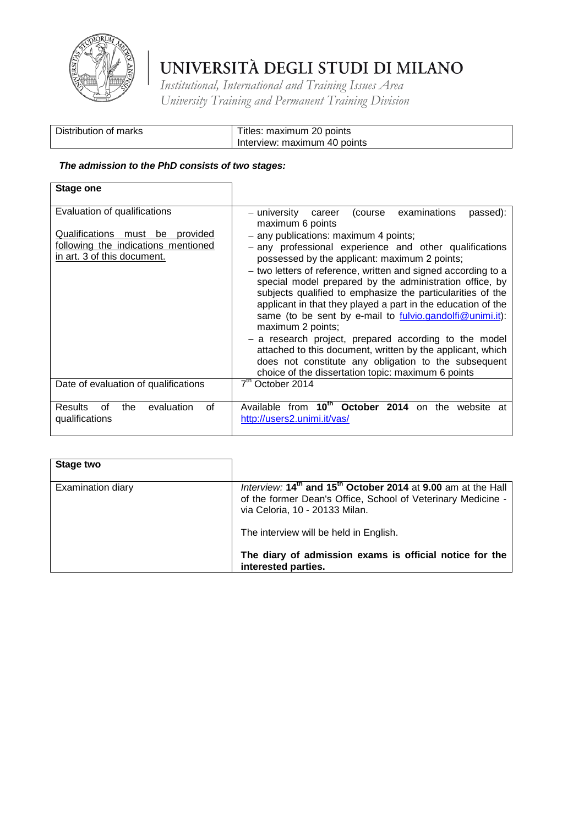

*Institutional, International and Training Issues Area University Training and Permanent Training Division*

| Distribution of marks | Titles: maximum 20 points    |
|-----------------------|------------------------------|
|                       | Interview: maximum 40 points |

| <b>Stage one</b>                                                                                            |                                                                                                                                                                                                                                                                                                                                                                                                                                                                                             |
|-------------------------------------------------------------------------------------------------------------|---------------------------------------------------------------------------------------------------------------------------------------------------------------------------------------------------------------------------------------------------------------------------------------------------------------------------------------------------------------------------------------------------------------------------------------------------------------------------------------------|
| Evaluation of qualifications                                                                                | – university<br>(course<br>examinations<br>passed):<br>career<br>maximum 6 points                                                                                                                                                                                                                                                                                                                                                                                                           |
| Qualifications<br>must be<br>provided<br>following the indications mentioned<br>in art. 3 of this document. | - any publications: maximum 4 points;<br>- any professional experience and other qualifications<br>possessed by the applicant: maximum 2 points;<br>- two letters of reference, written and signed according to a<br>special model prepared by the administration office, by<br>subjects qualified to emphasize the particularities of the<br>applicant in that they played a part in the education of the<br>same (to be sent by e-mail to fulvio.gandolfi@unimi.it):<br>maximum 2 points; |
|                                                                                                             | - a research project, prepared according to the model<br>attached to this document, written by the applicant, which<br>does not constitute any obligation to the subsequent<br>choice of the dissertation topic: maximum 6 points                                                                                                                                                                                                                                                           |
| Date of evaluation of qualifications                                                                        | 7 <sup>th</sup> October 2014                                                                                                                                                                                                                                                                                                                                                                                                                                                                |
| <b>Results</b><br>evaluation<br>0f<br>the<br>Ωf<br>qualifications                                           | Available from 10 <sup>th</sup><br><b>October 2014</b> on the website at<br>http://users2.unimi.it/vas/                                                                                                                                                                                                                                                                                                                                                                                     |

| Stage two                |                                                                                                                                                                            |
|--------------------------|----------------------------------------------------------------------------------------------------------------------------------------------------------------------------|
| <b>Examination diary</b> | Interview: 14th and 15 <sup>th</sup> October 2014 at 9.00 am at the Hall<br>of the former Dean's Office, School of Veterinary Medicine -<br>via Celoria, 10 - 20133 Milan. |
|                          | The interview will be held in English.                                                                                                                                     |
|                          | The diary of admission exams is official notice for the<br>interested parties.                                                                                             |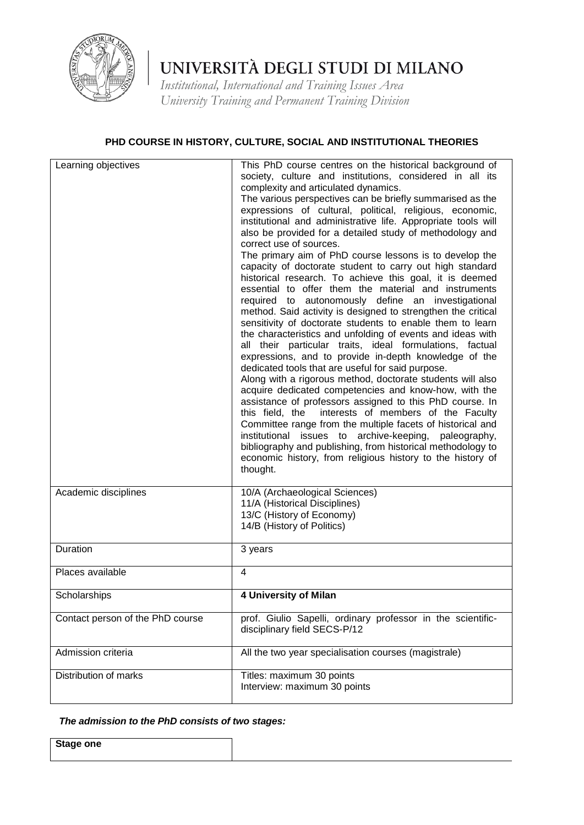

*Institutional, International and Training Issues Area University Training and Permanent Training Division*

#### **PHD COURSE IN HISTORY, CULTURE, SOCIAL AND INSTITUTIONAL THEORIES**

| Learning objectives              | This PhD course centres on the historical background of<br>society, culture and institutions, considered in all its<br>complexity and articulated dynamics.<br>The various perspectives can be briefly summarised as the<br>expressions of cultural, political, religious, economic,<br>institutional and administrative life. Appropriate tools will<br>also be provided for a detailed study of methodology and<br>correct use of sources.<br>The primary aim of PhD course lessons is to develop the<br>capacity of doctorate student to carry out high standard<br>historical research. To achieve this goal, it is deemed<br>essential to offer them the material and instruments<br>required to autonomously define an investigational<br>method. Said activity is designed to strengthen the critical<br>sensitivity of doctorate students to enable them to learn<br>the characteristics and unfolding of events and ideas with<br>all their particular traits, ideal formulations, factual<br>expressions, and to provide in-depth knowledge of the<br>dedicated tools that are useful for said purpose.<br>Along with a rigorous method, doctorate students will also<br>acquire dedicated competencies and know-how, with the<br>assistance of professors assigned to this PhD course. In<br>interests of members of the Faculty<br>this field, the<br>Committee range from the multiple facets of historical and<br>institutional issues to archive-keeping, paleography,<br>bibliography and publishing, from historical methodology to<br>economic history, from religious history to the history of<br>thought. |
|----------------------------------|--------------------------------------------------------------------------------------------------------------------------------------------------------------------------------------------------------------------------------------------------------------------------------------------------------------------------------------------------------------------------------------------------------------------------------------------------------------------------------------------------------------------------------------------------------------------------------------------------------------------------------------------------------------------------------------------------------------------------------------------------------------------------------------------------------------------------------------------------------------------------------------------------------------------------------------------------------------------------------------------------------------------------------------------------------------------------------------------------------------------------------------------------------------------------------------------------------------------------------------------------------------------------------------------------------------------------------------------------------------------------------------------------------------------------------------------------------------------------------------------------------------------------------------------------------------------------------------------------------------------------------|
| Academic disciplines             | 10/A (Archaeological Sciences)<br>11/A (Historical Disciplines)<br>13/C (History of Economy)<br>14/B (History of Politics)                                                                                                                                                                                                                                                                                                                                                                                                                                                                                                                                                                                                                                                                                                                                                                                                                                                                                                                                                                                                                                                                                                                                                                                                                                                                                                                                                                                                                                                                                                     |
| Duration                         | 3 years                                                                                                                                                                                                                                                                                                                                                                                                                                                                                                                                                                                                                                                                                                                                                                                                                                                                                                                                                                                                                                                                                                                                                                                                                                                                                                                                                                                                                                                                                                                                                                                                                        |
| Places available                 | 4                                                                                                                                                                                                                                                                                                                                                                                                                                                                                                                                                                                                                                                                                                                                                                                                                                                                                                                                                                                                                                                                                                                                                                                                                                                                                                                                                                                                                                                                                                                                                                                                                              |
| Scholarships                     | 4 University of Milan                                                                                                                                                                                                                                                                                                                                                                                                                                                                                                                                                                                                                                                                                                                                                                                                                                                                                                                                                                                                                                                                                                                                                                                                                                                                                                                                                                                                                                                                                                                                                                                                          |
| Contact person of the PhD course | prof. Giulio Sapelli, ordinary professor in the scientific-<br>disciplinary field SECS-P/12                                                                                                                                                                                                                                                                                                                                                                                                                                                                                                                                                                                                                                                                                                                                                                                                                                                                                                                                                                                                                                                                                                                                                                                                                                                                                                                                                                                                                                                                                                                                    |
| Admission criteria               | All the two year specialisation courses (magistrale)                                                                                                                                                                                                                                                                                                                                                                                                                                                                                                                                                                                                                                                                                                                                                                                                                                                                                                                                                                                                                                                                                                                                                                                                                                                                                                                                                                                                                                                                                                                                                                           |
| Distribution of marks            | Titles: maximum 30 points<br>Interview: maximum 30 points                                                                                                                                                                                                                                                                                                                                                                                                                                                                                                                                                                                                                                                                                                                                                                                                                                                                                                                                                                                                                                                                                                                                                                                                                                                                                                                                                                                                                                                                                                                                                                      |

#### *The admission to the PhD consists of two stages:*

**Stage one**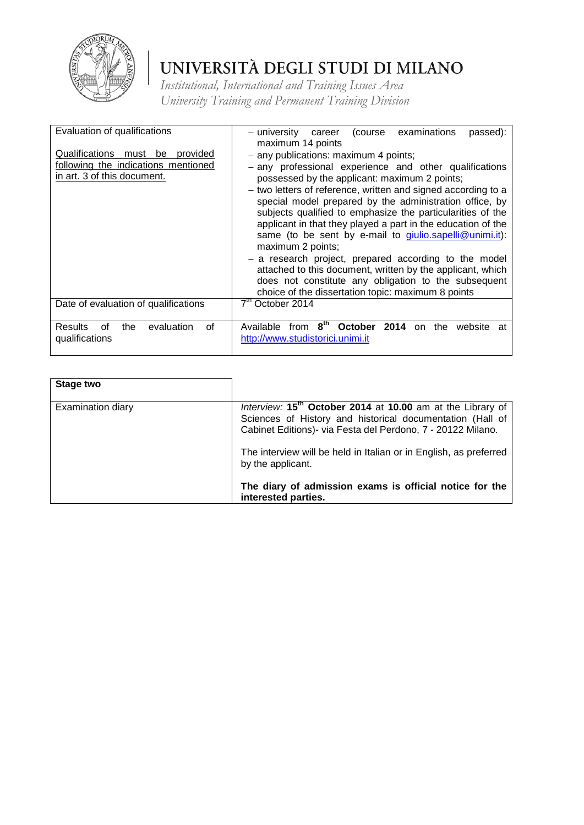

| Evaluation of qualifications                                                                                   | examinations<br>(course<br>– university<br>passed):<br>career<br>maximum 14 points                                                                                                                                                                                                                                                                                                                                                                                                                 |
|----------------------------------------------------------------------------------------------------------------|----------------------------------------------------------------------------------------------------------------------------------------------------------------------------------------------------------------------------------------------------------------------------------------------------------------------------------------------------------------------------------------------------------------------------------------------------------------------------------------------------|
| Qualifications<br>be<br>provided<br>must<br>following the indications mentioned<br>in art. 3 of this document. | - any publications: maximum 4 points;<br>- any professional experience and other qualifications<br>possessed by the applicant: maximum 2 points;<br>- two letters of reference, written and signed according to a<br>special model prepared by the administration office, by<br>subjects qualified to emphasize the particularities of the<br>applicant in that they played a part in the education of the<br>same (to be sent by e-mail to <i>giulio.sapelli@unimi.it)</i> :<br>maximum 2 points; |
|                                                                                                                | - a research project, prepared according to the model<br>attached to this document, written by the applicant, which<br>does not constitute any obligation to the subsequent<br>choice of the dissertation topic: maximum 8 points                                                                                                                                                                                                                                                                  |
| Date of evaluation of qualifications                                                                           | 7 <sup>th</sup> October 2014                                                                                                                                                                                                                                                                                                                                                                                                                                                                       |
| Results<br>evaluation<br>the<br>οf<br>Ωf<br>qualifications                                                     | $8^{th}$<br><b>October</b><br>2014<br>Available<br>from<br>the<br>website<br><sub>on</sub><br>at<br>http://www.studistorici.unimi.it                                                                                                                                                                                                                                                                                                                                                               |

| Stage two         |                                                                                                                                                                                                    |
|-------------------|----------------------------------------------------------------------------------------------------------------------------------------------------------------------------------------------------|
| Examination diary | Interview: 15 <sup>th</sup> October 2014 at 10.00 am at the Library of<br>Sciences of History and historical documentation (Hall of<br>Cabinet Editions)- via Festa del Perdono, 7 - 20122 Milano. |
|                   | The interview will be held in Italian or in English, as preferred<br>by the applicant.                                                                                                             |
|                   | The diary of admission exams is official notice for the<br>interested parties.                                                                                                                     |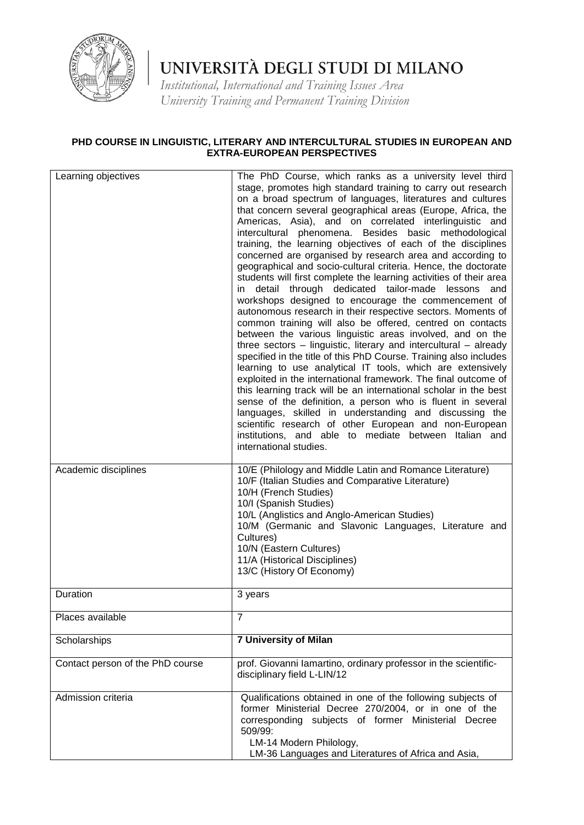

*Institutional, International and Training Issues Area University Training and Permanent Training Division*

#### **PHD COURSE IN LINGUISTIC, LITERARY AND INTERCULTURAL STUDIES IN EUROPEAN AND EXTRA-EUROPEAN PERSPECTIVES**

| Learning objectives              | The PhD Course, which ranks as a university level third<br>stage, promotes high standard training to carry out research<br>on a broad spectrum of languages, literatures and cultures<br>that concern several geographical areas (Europe, Africa, the<br>Americas, Asia), and on correlated interlinguistic and<br>intercultural phenomena. Besides basic methodological<br>training, the learning objectives of each of the disciplines<br>concerned are organised by research area and according to                                                                                                                                                                                                                                                                                                                                                                                                                                                                                 |
|----------------------------------|---------------------------------------------------------------------------------------------------------------------------------------------------------------------------------------------------------------------------------------------------------------------------------------------------------------------------------------------------------------------------------------------------------------------------------------------------------------------------------------------------------------------------------------------------------------------------------------------------------------------------------------------------------------------------------------------------------------------------------------------------------------------------------------------------------------------------------------------------------------------------------------------------------------------------------------------------------------------------------------|
|                                  | geographical and socio-cultural criteria. Hence, the doctorate<br>students will first complete the learning activities of their area<br>detail through dedicated tailor-made lessons<br>and<br>in.<br>workshops designed to encourage the commencement of<br>autonomous research in their respective sectors. Moments of<br>common training will also be offered, centred on contacts<br>between the various linguistic areas involved, and on the<br>three sectors $-$ linguistic, literary and intercultural $-$ already<br>specified in the title of this PhD Course. Training also includes<br>learning to use analytical IT tools, which are extensively<br>exploited in the international framework. The final outcome of<br>this learning track will be an international scholar in the best<br>sense of the definition, a person who is fluent in several<br>languages, skilled in understanding and discussing the<br>scientific research of other European and non-European |
|                                  | institutions, and able to mediate between Italian and<br>international studies.                                                                                                                                                                                                                                                                                                                                                                                                                                                                                                                                                                                                                                                                                                                                                                                                                                                                                                       |
| Academic disciplines             | 10/E (Philology and Middle Latin and Romance Literature)<br>10/F (Italian Studies and Comparative Literature)<br>10/H (French Studies)<br>10/I (Spanish Studies)<br>10/L (Anglistics and Anglo-American Studies)<br>10/M (Germanic and Slavonic Languages, Literature and<br>Cultures)<br>10/N (Eastern Cultures)<br>11/A (Historical Disciplines)<br>13/C (History Of Economy)                                                                                                                                                                                                                                                                                                                                                                                                                                                                                                                                                                                                       |
| Duration<br>Places available     | 3 years<br>$\overline{7}$                                                                                                                                                                                                                                                                                                                                                                                                                                                                                                                                                                                                                                                                                                                                                                                                                                                                                                                                                             |
| Scholarships                     | <b>7 University of Milan</b>                                                                                                                                                                                                                                                                                                                                                                                                                                                                                                                                                                                                                                                                                                                                                                                                                                                                                                                                                          |
| Contact person of the PhD course | prof. Giovanni lamartino, ordinary professor in the scientific-<br>disciplinary field L-LIN/12                                                                                                                                                                                                                                                                                                                                                                                                                                                                                                                                                                                                                                                                                                                                                                                                                                                                                        |
| Admission criteria               | Qualifications obtained in one of the following subjects of<br>former Ministerial Decree 270/2004, or in one of the<br>corresponding subjects of former Ministerial Decree<br>509/99:<br>LM-14 Modern Philology,<br>LM-36 Languages and Literatures of Africa and Asia,                                                                                                                                                                                                                                                                                                                                                                                                                                                                                                                                                                                                                                                                                                               |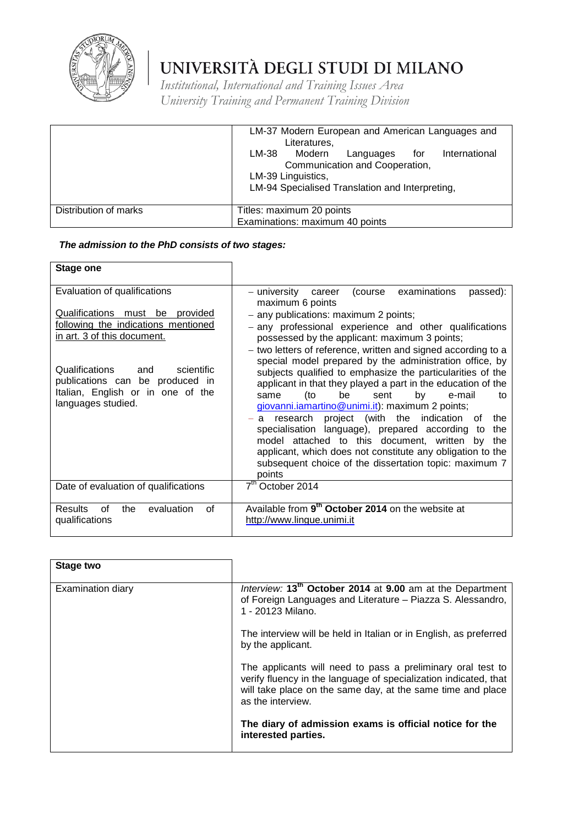

*Institutional, International and Training Issues Area University Training and Permanent Training Division*

|                       | LM-37 Modern European and American Languages and<br>Literatures,                                                                                                                                                     |  |  |  |  |
|-----------------------|----------------------------------------------------------------------------------------------------------------------------------------------------------------------------------------------------------------------|--|--|--|--|
|                       | LM-38 Modern<br>International<br>Languages<br>for the set of the set of the set of the set of the set of the set of the set of the set of the set of the set<br>Communication and Cooperation,<br>LM-39 Linguistics, |  |  |  |  |
|                       | LM-94 Specialised Translation and Interpreting,                                                                                                                                                                      |  |  |  |  |
| Distribution of marks | Titles: maximum 20 points                                                                                                                                                                                            |  |  |  |  |
|                       | Examinations: maximum 40 points                                                                                                                                                                                      |  |  |  |  |

#### *The admission to the PhD consists of two stages:*

| <b>Stage one</b>                                                                                                                  |                                                                                                                                                                                                                                                                                                                                                                                                                                                                                                                                                                                                                |
|-----------------------------------------------------------------------------------------------------------------------------------|----------------------------------------------------------------------------------------------------------------------------------------------------------------------------------------------------------------------------------------------------------------------------------------------------------------------------------------------------------------------------------------------------------------------------------------------------------------------------------------------------------------------------------------------------------------------------------------------------------------|
| Evaluation of qualifications                                                                                                      | examinations<br>– university<br>(course<br>passed):<br>career<br>maximum 6 points                                                                                                                                                                                                                                                                                                                                                                                                                                                                                                                              |
| Qualifications<br>must be provided<br>following the indications mentioned<br>in art. 3 of this document.                          | - any publications: maximum 2 points;<br>- any professional experience and other qualifications<br>possessed by the applicant: maximum 3 points;<br>- two letters of reference, written and signed according to a                                                                                                                                                                                                                                                                                                                                                                                              |
| Qualifications<br>scientific<br>and<br>publications can be produced in<br>Italian, English or in one of the<br>languages studied. | special model prepared by the administration office, by<br>subjects qualified to emphasize the particularities of the<br>applicant in that they played a part in the education of the<br>(to<br>be<br>by<br>e-mail<br>sent<br>same<br>tο<br>giovanni.iamartino@unimi.it): maximum 2 points;<br>project (with the indication<br>research<br>the<br>οf<br>a<br>specialisation language), prepared according<br>the<br>to<br>model attached to this document, written by<br>the<br>applicant, which does not constitute any obligation to the<br>subsequent choice of the dissertation topic: maximum 7<br>points |
| Date of evaluation of qualifications                                                                                              | $7th$ October 2014                                                                                                                                                                                                                                                                                                                                                                                                                                                                                                                                                                                             |
| evaluation<br><b>Results</b><br>0f<br>the<br>οf<br>qualifications                                                                 | Available from 9 <sup>th</sup> October 2014 on the website at<br>http://www.lingue.unimi.it                                                                                                                                                                                                                                                                                                                                                                                                                                                                                                                    |

| Stage two         |                                                                                                                                                                                                                     |
|-------------------|---------------------------------------------------------------------------------------------------------------------------------------------------------------------------------------------------------------------|
| Examination diary | Interview: 13 <sup>th</sup> October 2014 at 9.00 am at the Department<br>of Foreign Languages and Literature - Piazza S. Alessandro,<br>1 - 20123 Milano.                                                           |
|                   | The interview will be held in Italian or in English, as preferred<br>by the applicant.                                                                                                                              |
|                   | The applicants will need to pass a preliminary oral test to<br>verify fluency in the language of specialization indicated, that<br>will take place on the same day, at the same time and place<br>as the interview. |
|                   | The diary of admission exams is official notice for the<br>interested parties.                                                                                                                                      |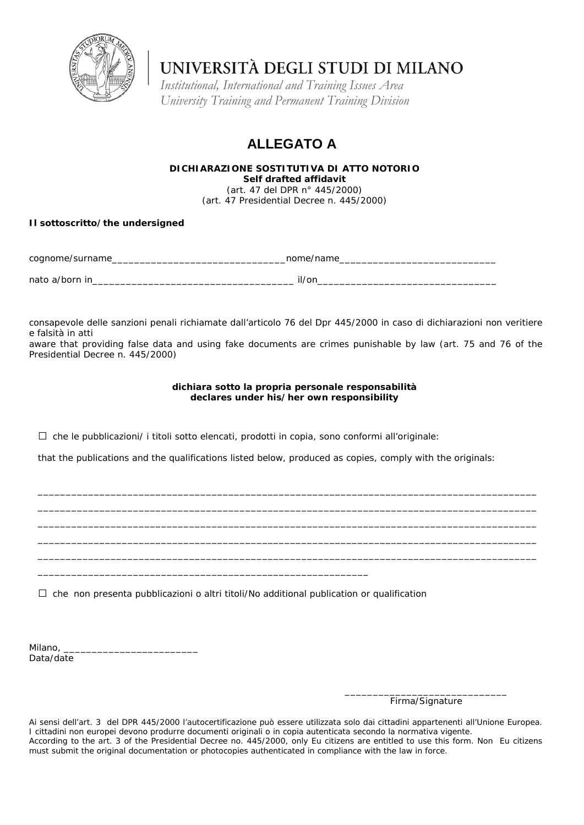

*Institutional, International and Training Issues Area University Training and Permanent Training Division*

### **ALLEGATO A**

**DICHIARAZIONE SOSTITUTIVA DI ATTO NOTORIO** *Self drafted affidavit* (art. 47 del DPR n° 445/2000) (art. 47 Presidential Decree n. 445/2000)

#### **Il sottoscritto/***the undersigned*

| cognome/surname | nome/ <i>name</i> |
|-----------------|-------------------|
| nato a/born in  | il/on             |

consapevole delle sanzioni penali richiamate dall'articolo 76 del Dpr 445/2000 in caso di dichiarazioni non veritiere e falsità in atti

*aware that providing false data and using fake documents are crimes punishable by law (art. 75 and 76 of the Presidential Decree n. 445/2000)* 

#### **dichiara sotto la propria personale responsabilità declares under his/her own responsibility**

 $\square$  che le pubblicazioni/ i titoli sotto elencati, prodotti in copia, sono conformi all'originale:

*that the publications and the qualifications listed below, produced as copies, comply with the originals:*

*\_\_\_\_\_\_\_\_\_\_\_\_\_\_\_\_\_\_\_\_\_\_\_\_\_\_\_\_\_\_\_\_\_\_\_\_\_\_\_\_\_\_\_\_\_\_\_\_\_\_\_\_\_\_\_\_\_\_\_\_\_\_\_\_\_\_\_\_\_\_\_\_\_\_\_\_\_\_\_\_\_\_\_\_\_\_\_\_\_ \_\_\_\_\_\_\_\_\_\_\_\_\_\_\_\_\_\_\_\_\_\_\_\_\_\_\_\_\_\_\_\_\_\_\_\_\_\_\_\_\_\_\_\_\_\_\_\_\_\_\_\_\_\_\_\_\_\_\_\_\_\_\_\_\_\_\_\_\_\_\_\_\_\_\_\_\_\_\_\_\_\_\_\_\_\_\_\_\_ \_\_\_\_\_\_\_\_\_\_\_\_\_\_\_\_\_\_\_\_\_\_\_\_\_\_\_\_\_\_\_\_\_\_\_\_\_\_\_\_\_\_\_\_\_\_\_\_\_\_\_\_\_\_\_\_\_\_\_\_\_\_\_\_\_\_\_\_\_\_\_\_\_\_\_\_\_\_\_\_\_\_\_\_\_\_\_\_\_ \_\_\_\_\_\_\_\_\_\_\_\_\_\_\_\_\_\_\_\_\_\_\_\_\_\_\_\_\_\_\_\_\_\_\_\_\_\_\_\_\_\_\_\_\_\_\_\_\_\_\_\_\_\_\_\_\_\_\_\_\_\_\_\_\_\_\_\_\_\_\_\_\_\_\_\_\_\_\_\_\_\_\_\_\_\_\_\_\_ \_\_\_\_\_\_\_\_\_\_\_\_\_\_\_\_\_\_\_\_\_\_\_\_\_\_\_\_\_\_\_\_\_\_\_\_\_\_\_\_\_\_\_\_\_\_\_\_\_\_\_\_\_\_\_\_\_\_\_\_\_\_\_\_\_\_\_\_\_\_\_\_\_\_\_\_\_\_\_\_\_\_\_\_\_\_\_\_\_*

□ che non presenta pubblicazioni o altri titoli/*No additional publication or qualification*

*\_\_\_\_\_\_\_\_\_\_\_\_\_\_\_\_\_\_\_\_\_\_\_\_\_\_\_\_\_\_\_\_\_\_\_\_\_\_\_\_\_\_\_\_\_\_\_\_\_\_\_\_\_\_\_\_\_\_\_*

Milano, \_\_\_\_\_\_\_\_\_\_\_\_\_\_\_\_\_\_\_\_\_\_\_\_ Data/*date*

> \_\_\_\_\_\_\_\_\_\_\_\_\_\_\_\_\_\_\_\_\_\_\_\_\_\_\_\_\_ Firma/*Signature*

Ai sensi dell'art. 3 del DPR 445/2000 l'autocertificazione può essere utilizzata solo dai cittadini appartenenti all'Unione Europea. I cittadini non europei devono produrre documenti originali o in copia autenticata secondo la normativa vigente. *According to the art. 3 of the Presidential Decree no. 445/2000, only Eu citizens are entitled to use this form. Non Eu citizens must submit the original documentation or photocopies authenticated in compliance with the law in force.*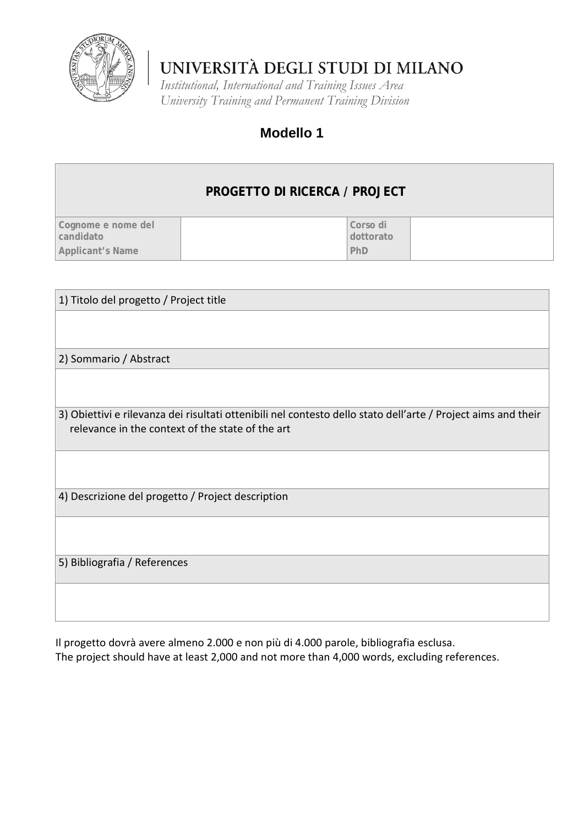

*Institutional, International and Training Issues Area University Training and Permanent Training Division*

### **Modello 1**

#### **PROGETTO DI RICERCA / PROJECT Cognome e nome del candidato Applicant's Name Corso di dottorato PhD**

1) Titolo del progetto / Project title

2) Sommario / Abstract

3) Obiettivi e rilevanza dei risultati ottenibili nel contesto dello stato dell'arte / Project aims and their relevance in the context of the state of the art

4) Descrizione del progetto / Project description

5) Bibliografia / References

Il progetto dovrà avere almeno 2.000 e non più di 4.000 parole, bibliografia esclusa. The project should have at least 2,000 and not more than 4,000 words, excluding references.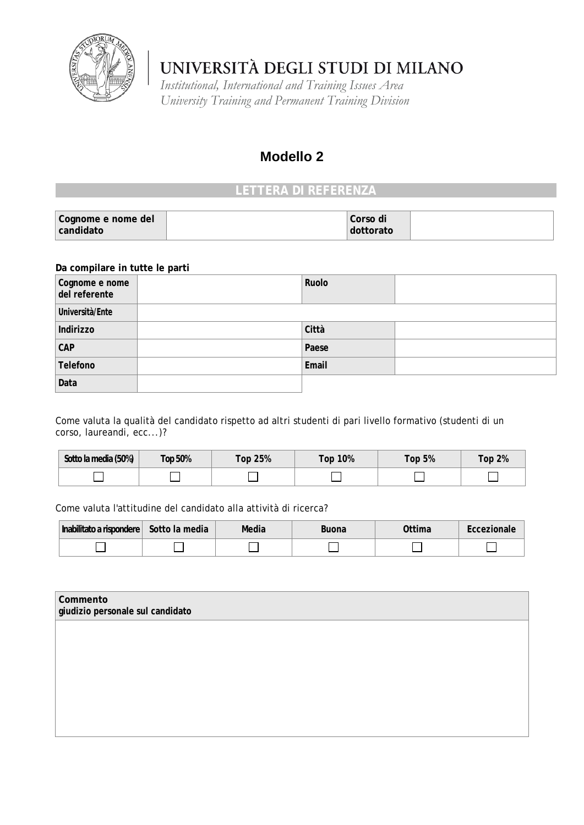

*Institutional, International and Training Issues Area University Training and Permanent Training Division*

### **Modello 2**

### **LETTERA DI REFERENZA**

| Cognome e nome del | Corso di  |  |
|--------------------|-----------|--|
| candidato          | dottorato |  |

#### **Da compilare in tutte le parti**

| Cognome e nome<br>del referente | Ruolo |  |
|---------------------------------|-------|--|
| Università/Ente                 |       |  |
| Indirizzo                       | Città |  |
| CAP                             | Paese |  |
| Telefono                        | Email |  |
| Data                            |       |  |

Come valuta la qualità del candidato rispetto ad altri studenti di pari livello formativo (studenti di un corso, laureandi, ecc...)?

| Sotto la media (50%) | <b>Top 50%</b> | Top 25% | Top 10% | Top $5%$ | <b>Top 2%</b> |
|----------------------|----------------|---------|---------|----------|---------------|
|                      |                |         |         |          |               |

Come valuta l'attitudine del candidato alla attività di ricerca?

| l Inabilitato a rispondere l | Sotto la media | Media | Buona | $\gamma$ <sup>t</sup> tima |  |
|------------------------------|----------------|-------|-------|----------------------------|--|
|                              |                |       |       |                            |  |

| Commento<br>giudizio personale sul candidato |  |  |
|----------------------------------------------|--|--|
|                                              |  |  |
|                                              |  |  |
|                                              |  |  |
|                                              |  |  |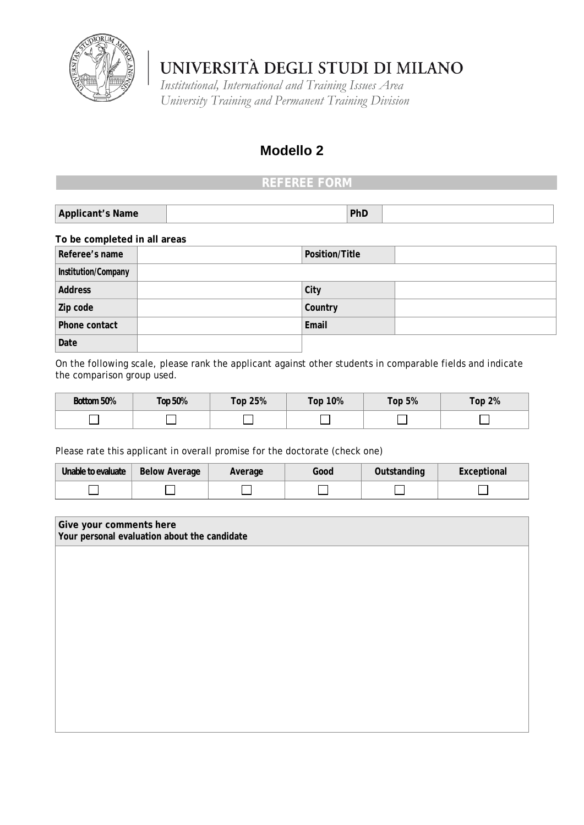

*Institutional, International and Training Issues Area University Training and Permanent Training Division*

### **Modello 2**

### **REFEREE FORM**

| Applicant's Name | PhD |  |
|------------------|-----|--|
|                  |     |  |

#### **To be completed in all areas**

| Referee's name      | Position/Title |  |
|---------------------|----------------|--|
| Institution/Company |                |  |
| <b>Address</b>      | City           |  |
| Zip code            | Country        |  |
| Phone contact       | Email          |  |
| Date                |                |  |

On the following scale, please rank the applicant against other students in comparable fields and indicate the comparison group used.

| Bottom 50% | Top 50% | <b>Top 25%</b> | 10%<br>$\mathsf{Top}^-$ | Гор 5% | Top $2%$ |
|------------|---------|----------------|-------------------------|--------|----------|
|            |         |                |                         |        |          |

Please rate this applicant in overall promise for the doctorate (check one)

| Unable to evaluate | <b>Below Average</b> | Average | Good | Outstanding | Exceptional |
|--------------------|----------------------|---------|------|-------------|-------------|
|                    |                      |         |      |             |             |

| Give your comments here<br>Your personal evaluation about the candidate |  |  |  |
|-------------------------------------------------------------------------|--|--|--|
|                                                                         |  |  |  |
|                                                                         |  |  |  |
|                                                                         |  |  |  |
|                                                                         |  |  |  |
|                                                                         |  |  |  |
|                                                                         |  |  |  |